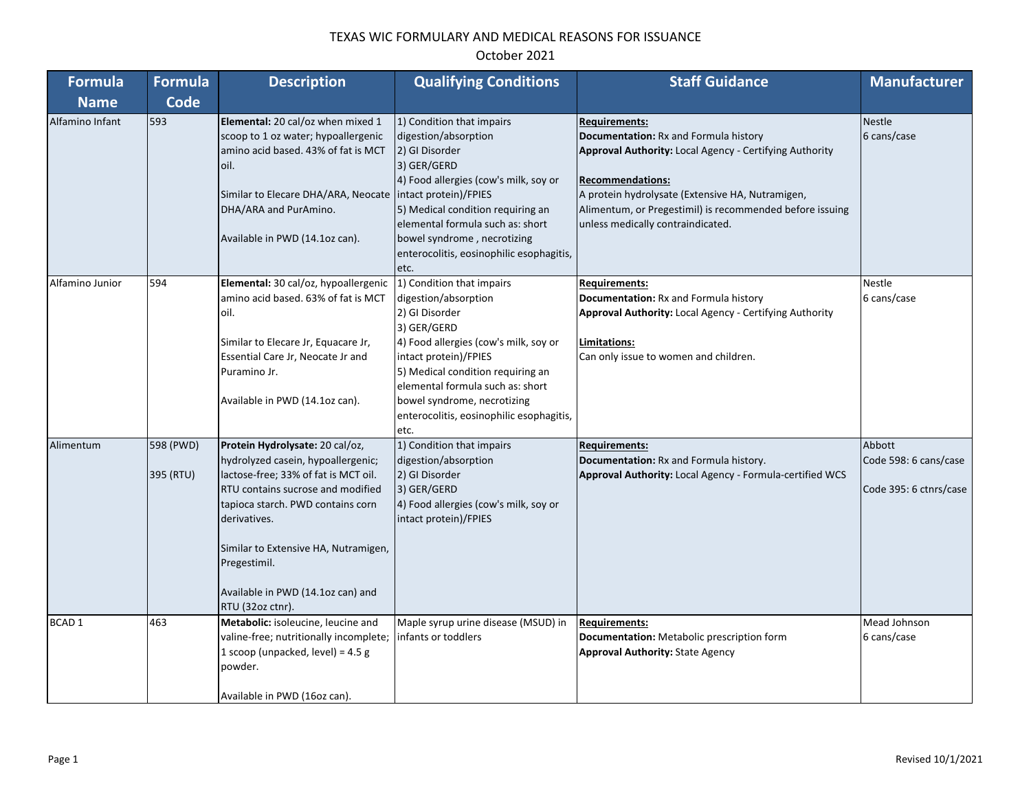| <b>Formula</b>  | <b>Formula</b>         | <b>Description</b>                                                                                                                                                                                                                                                                                                       | <b>Qualifying Conditions</b>                                                                                                                                                                                                                                                                                     | <b>Staff Guidance</b>                                                                                                                                                                                                                                                                                           | <b>Manufacturer</b>                                       |
|-----------------|------------------------|--------------------------------------------------------------------------------------------------------------------------------------------------------------------------------------------------------------------------------------------------------------------------------------------------------------------------|------------------------------------------------------------------------------------------------------------------------------------------------------------------------------------------------------------------------------------------------------------------------------------------------------------------|-----------------------------------------------------------------------------------------------------------------------------------------------------------------------------------------------------------------------------------------------------------------------------------------------------------------|-----------------------------------------------------------|
| <b>Name</b>     | Code                   |                                                                                                                                                                                                                                                                                                                          |                                                                                                                                                                                                                                                                                                                  |                                                                                                                                                                                                                                                                                                                 |                                                           |
| Alfamino Infant | 593                    | Elemental: 20 cal/oz when mixed 1<br>scoop to 1 oz water; hypoallergenic<br>amino acid based. 43% of fat is MCT<br>oil.<br>Similar to Elecare DHA/ARA, Neocate<br>DHA/ARA and PurAmino.<br>Available in PWD (14.1oz can).                                                                                                | 1) Condition that impairs<br>digestion/absorption<br>2) GI Disorder<br>3) GER/GERD<br>4) Food allergies (cow's milk, soy or<br>intact protein)/FPIES<br>5) Medical condition requiring an<br>elemental formula such as: short<br>bowel syndrome, necrotizing<br>enterocolitis, eosinophilic esophagitis,<br>etc. | <b>Requirements:</b><br>Documentation: Rx and Formula history<br><b>Approval Authority: Local Agency - Certifying Authority</b><br><b>Recommendations:</b><br>A protein hydrolysate (Extensive HA, Nutramigen,<br>Alimentum, or Pregestimil) is recommended before issuing<br>unless medically contraindicated. | <b>Nestle</b><br>6 cans/case                              |
| Alfamino Junior | 594                    | Elemental: 30 cal/oz, hypoallergenic<br>amino acid based. 63% of fat is MCT<br>oil.<br>Similar to Elecare Jr, Equacare Jr,<br>Essential Care Jr, Neocate Jr and<br>Puramino Jr.<br>Available in PWD (14.1oz can).                                                                                                        | 1) Condition that impairs<br>digestion/absorption<br>2) GI Disorder<br>3) GER/GERD<br>4) Food allergies (cow's milk, soy or<br>intact protein)/FPIES<br>5) Medical condition requiring an<br>elemental formula such as: short<br>bowel syndrome, necrotizing<br>enterocolitis, eosinophilic esophagitis,<br>etc. | <b>Requirements:</b><br>Documentation: Rx and Formula history<br>Approval Authority: Local Agency - Certifying Authority<br>Limitations:<br>Can only issue to women and children.                                                                                                                               | Nestle<br>6 cans/case                                     |
| Alimentum       | 598 (PWD)<br>395 (RTU) | Protein Hydrolysate: 20 cal/oz,<br>hydrolyzed casein, hypoallergenic;<br>lactose-free; 33% of fat is MCT oil.<br>RTU contains sucrose and modified<br>tapioca starch. PWD contains corn<br>derivatives.<br>Similar to Extensive HA, Nutramigen,<br>Pregestimil.<br>Available in PWD (14.1oz can) and<br>RTU (32oz ctnr). | 1) Condition that impairs<br>digestion/absorption<br>2) GI Disorder<br>3) GER/GERD<br>4) Food allergies (cow's milk, soy or<br>intact protein)/FPIES                                                                                                                                                             | <b>Requirements:</b><br>Documentation: Rx and Formula history.<br>Approval Authority: Local Agency - Formula-certified WCS                                                                                                                                                                                      | Abbott<br>Code 598: 6 cans/case<br>Code 395: 6 ctnrs/case |
| <b>BCAD1</b>    | 463                    | Metabolic: isoleucine, leucine and<br>valine-free; nutritionally incomplete;<br>1 scoop (unpacked, level) = 4.5 g<br>powder.<br>Available in PWD (16oz can).                                                                                                                                                             | Maple syrup urine disease (MSUD) in<br>infants or toddlers                                                                                                                                                                                                                                                       | <b>Requirements:</b><br>Documentation: Metabolic prescription form<br><b>Approval Authority: State Agency</b>                                                                                                                                                                                                   | Mead Johnson<br>6 cans/case                               |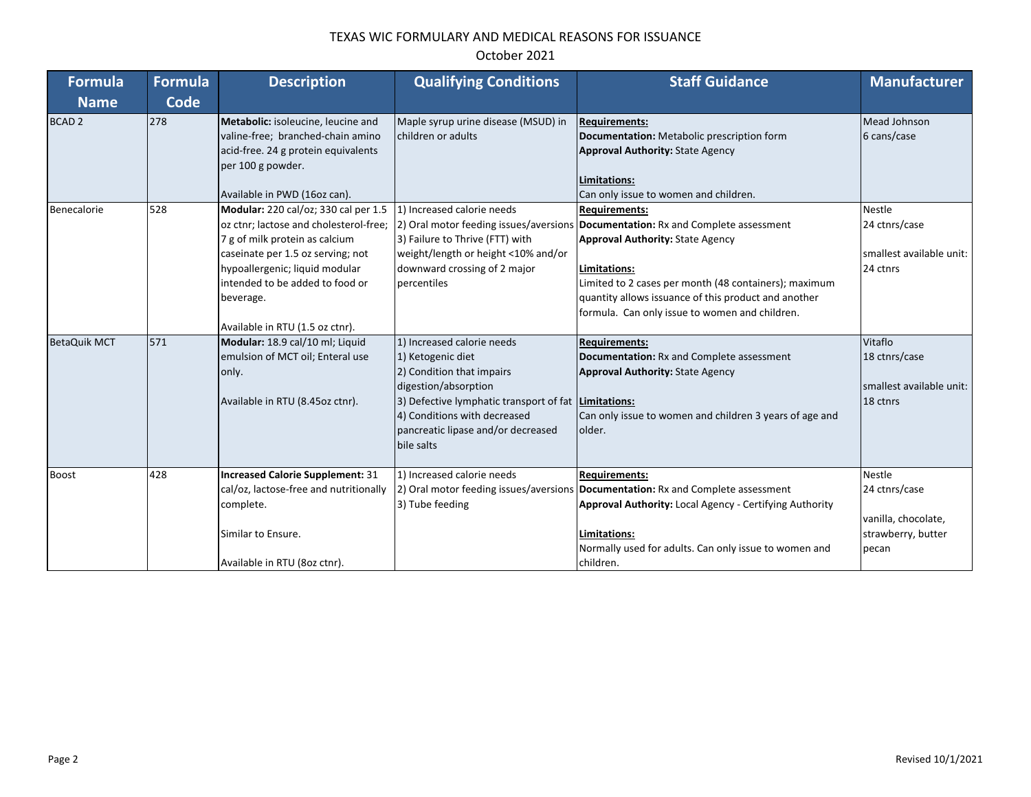| <b>Formula</b>      | <b>Formula</b> | <b>Description</b>                                                                                                                                                                                                                                                         | <b>Qualifying Conditions</b>                                                                                                                                                                                                                       | <b>Staff Guidance</b>                                                                                                                                                                                                                                                                                                                    | <b>Manufacturer</b>                                                                  |
|---------------------|----------------|----------------------------------------------------------------------------------------------------------------------------------------------------------------------------------------------------------------------------------------------------------------------------|----------------------------------------------------------------------------------------------------------------------------------------------------------------------------------------------------------------------------------------------------|------------------------------------------------------------------------------------------------------------------------------------------------------------------------------------------------------------------------------------------------------------------------------------------------------------------------------------------|--------------------------------------------------------------------------------------|
| <b>Name</b>         | <b>Code</b>    |                                                                                                                                                                                                                                                                            |                                                                                                                                                                                                                                                    |                                                                                                                                                                                                                                                                                                                                          |                                                                                      |
| <b>BCAD 2</b>       | 278            | Metabolic: isoleucine, leucine and<br>valine-free; branched-chain amino<br>acid-free. 24 g protein equivalents<br>per 100 g powder.<br>Available in PWD (16oz can).                                                                                                        | Maple syrup urine disease (MSUD) in<br>children or adults                                                                                                                                                                                          | <b>Requirements:</b><br>Documentation: Metabolic prescription form<br><b>Approval Authority: State Agency</b><br>Limitations:<br>Can only issue to women and children.                                                                                                                                                                   | Mead Johnson<br>6 cans/case                                                          |
| Benecalorie         | 528            | Modular: 220 cal/oz; 330 cal per 1.5<br>oz ctnr; lactose and cholesterol-free;<br>7 g of milk protein as calcium<br>caseinate per 1.5 oz serving; not<br>hypoallergenic; liquid modular<br>intended to be added to food or<br>beverage.<br>Available in RTU (1.5 oz ctnr). | 1) Increased calorie needs<br>3) Failure to Thrive (FTT) with<br>weight/length or height <10% and/or<br>downward crossing of 2 major<br>percentiles                                                                                                | <b>Requirements:</b><br>2) Oral motor feeding issues/aversions   Documentation: Rx and Complete assessment<br><b>Approval Authority: State Agency</b><br>Limitations:<br>Limited to 2 cases per month (48 containers); maximum<br>quantity allows issuance of this product and another<br>formula. Can only issue to women and children. | <b>Nestle</b><br>24 ctnrs/case<br>smallest available unit:<br>24 ctnrs               |
| <b>BetaQuik MCT</b> | 571            | Modular: 18.9 cal/10 ml; Liquid<br>emulsion of MCT oil; Enteral use<br>only.<br>Available in RTU (8.45oz ctnr).                                                                                                                                                            | 1) Increased calorie needs<br>1) Ketogenic diet<br>2) Condition that impairs<br>digestion/absorption<br>3) Defective lymphatic transport of fat   Limitations:<br>4) Conditions with decreased<br>pancreatic lipase and/or decreased<br>bile salts | <b>Requirements:</b><br>Documentation: Rx and Complete assessment<br><b>Approval Authority: State Agency</b><br>Can only issue to women and children 3 years of age and<br>older.                                                                                                                                                        | Vitaflo<br>18 ctnrs/case<br>smallest available unit:<br>18 ctnrs                     |
| <b>Boost</b>        | 428            | <b>Increased Calorie Supplement: 31</b><br>cal/oz, lactose-free and nutritionally<br>complete.<br>Similar to Ensure.<br>Available in RTU (8oz ctnr).                                                                                                                       | 1) Increased calorie needs<br>3) Tube feeding                                                                                                                                                                                                      | <b>Requirements:</b><br>2) Oral motor feeding issues/aversions Documentation: Rx and Complete assessment<br>Approval Authority: Local Agency - Certifying Authority<br>Limitations:<br>Normally used for adults. Can only issue to women and<br>children.                                                                                | <b>Nestle</b><br>24 ctnrs/case<br>vanilla, chocolate,<br>strawberry, butter<br>pecan |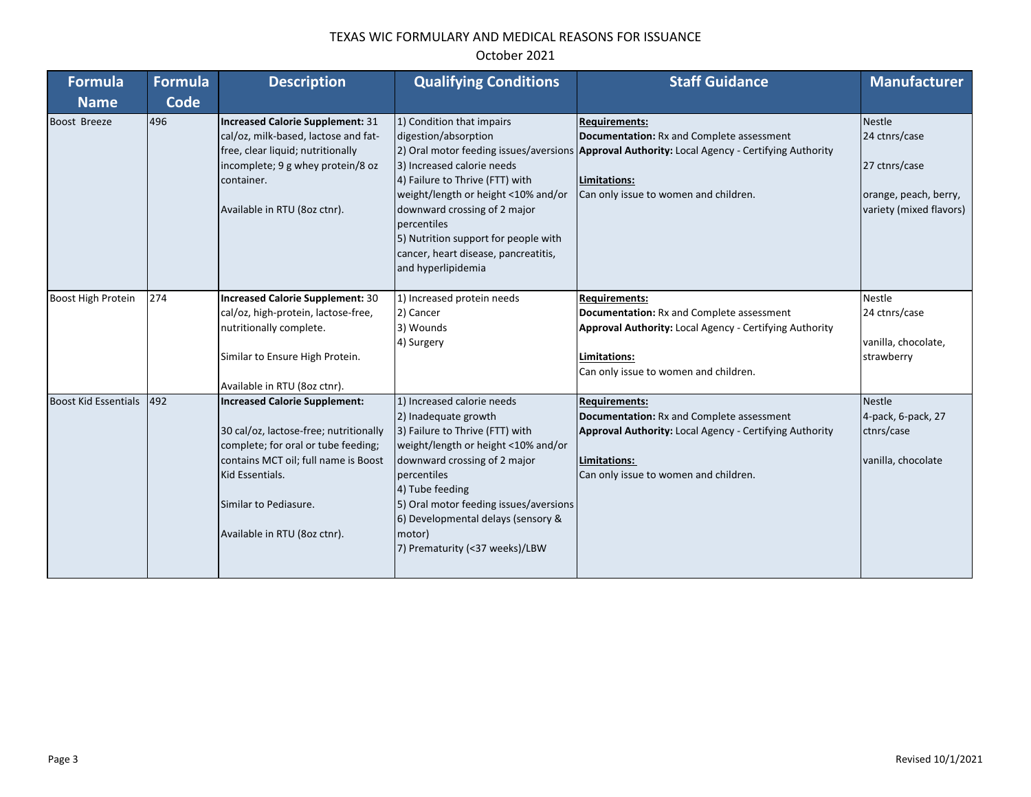| <b>Formula</b>              | <b>Formula</b> | <b>Description</b>                                                                                                                                                                                                                        | <b>Qualifying Conditions</b>                                                                                                                                                                                                                                                                                               | <b>Staff Guidance</b>                                                                                                                                                                                                        | <b>Manufacturer</b>                                                                                 |
|-----------------------------|----------------|-------------------------------------------------------------------------------------------------------------------------------------------------------------------------------------------------------------------------------------------|----------------------------------------------------------------------------------------------------------------------------------------------------------------------------------------------------------------------------------------------------------------------------------------------------------------------------|------------------------------------------------------------------------------------------------------------------------------------------------------------------------------------------------------------------------------|-----------------------------------------------------------------------------------------------------|
| <b>Name</b>                 | Code           |                                                                                                                                                                                                                                           |                                                                                                                                                                                                                                                                                                                            |                                                                                                                                                                                                                              |                                                                                                     |
| Boost Breeze                | 496            | Increased Calorie Supplement: 31<br>cal/oz, milk-based, lactose and fat-<br>free, clear liquid; nutritionally<br>incomplete; 9 g whey protein/8 oz<br>container.<br>Available in RTU (8oz ctnr).                                          | 1) Condition that impairs<br>digestion/absorption<br>3) Increased calorie needs<br>4) Failure to Thrive (FTT) with<br>weight/length or height <10% and/or<br>downward crossing of 2 major<br>bercentiles<br>5) Nutrition support for people with<br>cancer, heart disease, pancreatitis,<br>and hyperlipidemia             | <b>Requirements:</b><br>Documentation: Rx and Complete assessment<br>2) Oral motor feeding issues/aversions Approval Authority: Local Agency - Certifying Authority<br>Limitations:<br>Can only issue to women and children. | <b>Nestle</b><br>24 ctnrs/case<br>27 ctnrs/case<br>orange, peach, berry,<br>variety (mixed flavors) |
| Boost High Protein          | 274            | Increased Calorie Supplement: 30<br>cal/oz, high-protein, lactose-free,<br>nutritionally complete.<br>Similar to Ensure High Protein.<br>Available in RTU (8oz ctnr).                                                                     | 1) Increased protein needs<br>2) Cancer<br>3) Wounds<br>4) Surgery                                                                                                                                                                                                                                                         | <b>Requirements:</b><br><b>Documentation: Rx and Complete assessment</b><br><b>Approval Authority: Local Agency - Certifying Authority</b><br>Limitations:<br>Can only issue to women and children.                          | <b>Nestle</b><br>24 ctnrs/case<br>vanilla, chocolate,<br>strawberry                                 |
| <b>Boost Kid Essentials</b> | 492            | <b>Increased Calorie Supplement:</b><br>30 cal/oz, lactose-free; nutritionally<br>complete; for oral or tube feeding;<br>contains MCT oil; full name is Boost<br>Kid Essentials.<br>Similar to Pediasure.<br>Available in RTU (8oz ctnr). | 1) Increased calorie needs<br>2) Inadequate growth<br>3) Failure to Thrive (FTT) with<br>weight/length or height <10% and/or<br>downward crossing of 2 major<br>percentiles<br>4) Tube feeding<br>5) Oral motor feeding issues/aversions<br>6) Developmental delays (sensory &<br>motor)<br>7) Prematurity (<37 weeks)/LBW | <b>Requirements:</b><br>Documentation: Rx and Complete assessment<br>Approval Authority: Local Agency - Certifying Authority<br>Limitations:<br>Can only issue to women and children.                                        | <b>Nestle</b><br>4-pack, 6-pack, 27<br>ctnrs/case<br>vanilla, chocolate                             |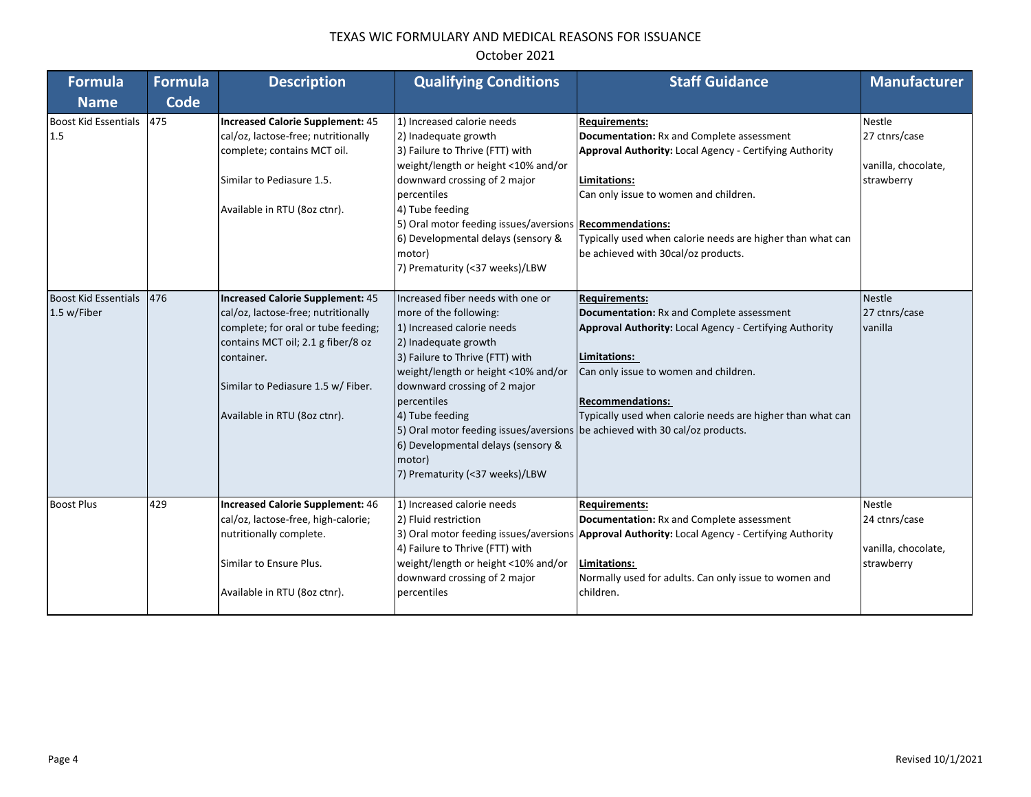#### **Formula Name Formula Code Description Qualifying Conditions Staff Guidance Manufacturer** Boost Kid Essentials 1.5 475 **Increased Calorie Supplement:** 45 cal/oz, lactose-free; nutritionally complete; contains MCT oil. Similar to Pediasure 1.5. Available in RTU (8oz ctnr). 1) Increased calorie needs 2) Inadequate growth 3) Failure to Thrive (FTT) with weight/length or height <10% and/or downward crossing of 2 major percentiles 4) Tube feeding 5) Oral motor feeding issues/aversions **Recommendations:** 6) Developmental delays (sensory & motor) 7) Prematurity (<37 weeks)/LBW **Requirements: Documentation:** Rx and Complete assessment **Approval Authority:** Local Agency - Certifying Authority **Limitations:** Can only issue to women and children. Typically used when calorie needs are higher than what can be achieved with 30cal/oz products. Nestle 27 ctnrs/case vanilla, chocolate, strawberry Boost Kid Essentials 1.5 w/Fiber 476 **Increased Calorie Supplement:** 45 cal/oz, lactose-free; nutritionally complete; for oral or tube feeding; contains MCT oil; 2.1 g fiber/8 oz container. Similar to Pediasure 1.5 w/ Fiber. Available in RTU (8oz ctnr). Increased fiber needs with one or more of the following: 1) Increased calorie needs 2) Inadequate growth 3) Failure to Thrive (FTT) with weight/length or height <10% and/or downward crossing of 2 major percentiles 4) Tube feeding 5) Oral motor feeding issues/aversions be achieved with 30 cal/oz products. 6) Developmental delays (sensory & motor) 7) Prematurity (<37 weeks)/LBW **Requirements: Documentation:** Rx and Complete assessment **Approval Authority:** Local Agency - Certifying Authority **Limitations:**  Can only issue to women and children. **Recommendations:**  Typically used when calorie needs are higher than what can Nestle 27 ctnrs/case vanilla Boost Plus 429 **Increased Calorie Supplement:** 46 cal/oz, lactose-free, high-calorie; nutritionally complete. Similar to Ensure Plus. Available in RTU (8oz ctnr). 1) Increased calorie needs 2) Fluid restriction 3) Oral motor feeding issues/aversions | Approval Authority: Local Agency - Certifying Authority 4) Failure to Thrive (FTT) with weight/length or height <10% and/or downward crossing of 2 major percentiles **Requirements: Documentation:** Rx and Complete assessment **Limitations:**  Normally used for adults. Can only issue to women and children. Nestle 24 ctnrs/case vanilla, chocolate, strawberry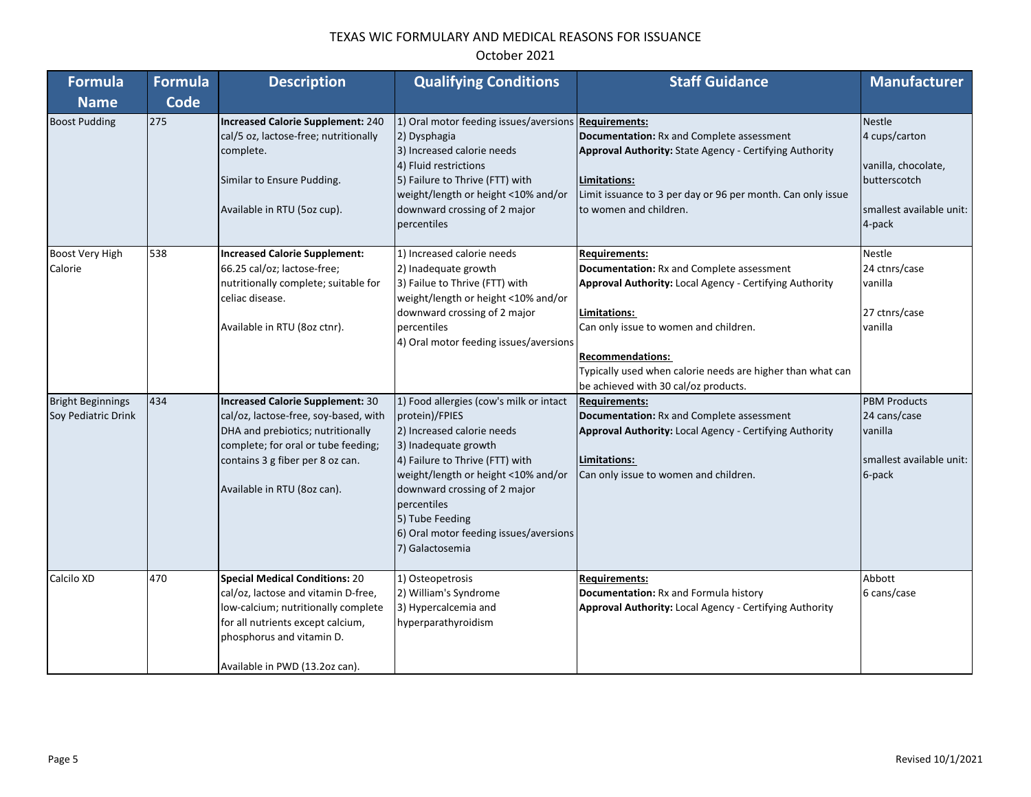| October 2021 |  |
|--------------|--|
|--------------|--|

| Formula                                         | <b>Formula</b> | <b>Description</b>                                                                                                                                                                                                       | <b>Qualifying Conditions</b>                                                                                                                                                                                                                                                                                             | <b>Staff Guidance</b>                                                                                                                                                                                                                                                                                                         | <b>Manufacturer</b>                                                                                         |
|-------------------------------------------------|----------------|--------------------------------------------------------------------------------------------------------------------------------------------------------------------------------------------------------------------------|--------------------------------------------------------------------------------------------------------------------------------------------------------------------------------------------------------------------------------------------------------------------------------------------------------------------------|-------------------------------------------------------------------------------------------------------------------------------------------------------------------------------------------------------------------------------------------------------------------------------------------------------------------------------|-------------------------------------------------------------------------------------------------------------|
| <b>Name</b>                                     | <b>Code</b>    |                                                                                                                                                                                                                          |                                                                                                                                                                                                                                                                                                                          |                                                                                                                                                                                                                                                                                                                               |                                                                                                             |
| <b>Boost Pudding</b>                            | 275            | Increased Calorie Supplement: 240<br>cal/5 oz, lactose-free; nutritionally<br>complete.<br>Similar to Ensure Pudding.<br>Available in RTU (5oz cup).                                                                     | 1) Oral motor feeding issues/aversions Requirements:<br>2) Dysphagia<br>3) Increased calorie needs<br>4) Fluid restrictions<br>5) Failure to Thrive (FTT) with<br>weight/length or height <10% and/or<br>downward crossing of 2 major<br>percentiles                                                                     | Documentation: Rx and Complete assessment<br>Approval Authority: State Agency - Certifying Authority<br>Limitations:<br>Limit issuance to 3 per day or 96 per month. Can only issue<br>to women and children.                                                                                                                 | <b>Nestle</b><br>4 cups/carton<br>vanilla, chocolate,<br>butterscotch<br>smallest available unit:<br>4-pack |
| Boost Very High<br>Calorie                      | 538            | <b>Increased Calorie Supplement:</b><br>66.25 cal/oz; lactose-free;<br>nutritionally complete; suitable for<br>celiac disease.<br>Available in RTU (8oz ctnr).                                                           | 1) Increased calorie needs<br>2) Inadequate growth<br>3) Failue to Thrive (FTT) with<br>weight/length or height <10% and/or<br>downward crossing of 2 major<br>percentiles<br>4) Oral motor feeding issues/aversions                                                                                                     | <b>Requirements:</b><br><b>Documentation:</b> Rx and Complete assessment<br>Approval Authority: Local Agency - Certifying Authority<br>Limitations:<br>Can only issue to women and children.<br><b>Recommendations:</b><br>Typically used when calorie needs are higher than what can<br>be achieved with 30 cal/oz products. | <b>Nestle</b><br>24 ctnrs/case<br>vanilla<br>27 ctnrs/case<br>vanilla                                       |
| <b>Bright Beginnings</b><br>Soy Pediatric Drink | 434            | Increased Calorie Supplement: 30<br>cal/oz, lactose-free, soy-based, with<br>DHA and prebiotics; nutritionally<br>complete; for oral or tube feeding;<br>contains 3 g fiber per 8 oz can.<br>Available in RTU (8oz can). | 1) Food allergies (cow's milk or intact<br>protein)/FPIES<br>2) Increased calorie needs<br>3) Inadequate growth<br>4) Failure to Thrive (FTT) with<br>weight/length or height <10% and/or<br>downward crossing of 2 major<br>percentiles<br>5) Tube Feeding<br>6) Oral motor feeding issues/aversions<br>7) Galactosemia | <b>Requirements:</b><br>Documentation: Rx and Complete assessment<br>Approval Authority: Local Agency - Certifying Authority<br><b>Limitations:</b><br>Can only issue to women and children.                                                                                                                                  | <b>PBM Products</b><br>24 cans/case<br>vanilla<br>smallest available unit:<br>6-pack                        |
| Calcilo XD                                      | 470            | <b>Special Medical Conditions: 20</b><br>cal/oz, lactose and vitamin D-free,<br>low-calcium; nutritionally complete<br>for all nutrients except calcium,<br>phosphorus and vitamin D.<br>Available in PWD (13.2oz can).  | 1) Osteopetrosis<br>2) William's Syndrome<br>3) Hypercalcemia and<br>hyperparathyroidism                                                                                                                                                                                                                                 | <b>Requirements:</b><br>Documentation: Rx and Formula history<br>Approval Authority: Local Agency - Certifying Authority                                                                                                                                                                                                      | Abbott<br>6 cans/case                                                                                       |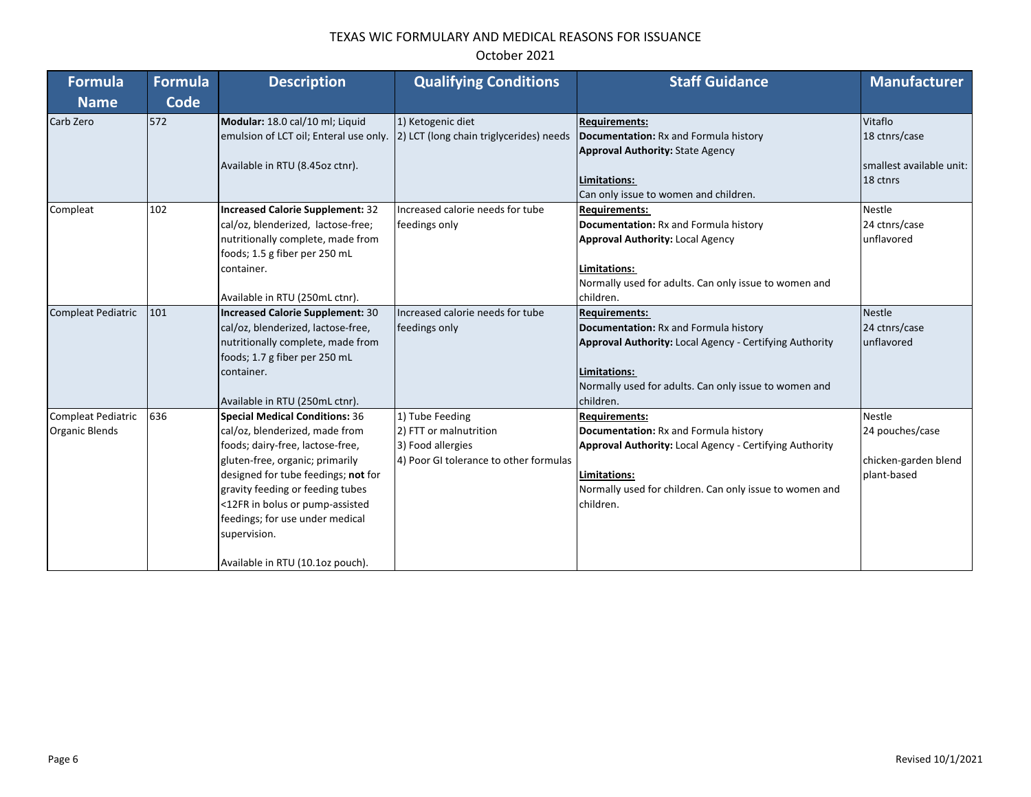| <b>Formula</b>                                     | <b>Formula</b> | <b>Description</b>                                                                                                                                                                                                                                                                                                                           | <b>Qualifying Conditions</b>                                                                             | <b>Staff Guidance</b>                                                                                                                                                                                            | <b>Manufacturer</b>                                                     |
|----------------------------------------------------|----------------|----------------------------------------------------------------------------------------------------------------------------------------------------------------------------------------------------------------------------------------------------------------------------------------------------------------------------------------------|----------------------------------------------------------------------------------------------------------|------------------------------------------------------------------------------------------------------------------------------------------------------------------------------------------------------------------|-------------------------------------------------------------------------|
| <b>Name</b>                                        | Code           |                                                                                                                                                                                                                                                                                                                                              |                                                                                                          |                                                                                                                                                                                                                  |                                                                         |
| Carb Zero                                          | 572            | Modular: 18.0 cal/10 ml; Liquid<br>emulsion of LCT oil; Enteral use only.<br>Available in RTU (8.45oz ctnr).                                                                                                                                                                                                                                 | 1) Ketogenic diet<br>2) LCT (long chain triglycerides) needs                                             | <b>Requirements:</b><br>Documentation: Rx and Formula history<br><b>Approval Authority: State Agency</b><br>Limitations:<br>Can only issue to women and children.                                                | Vitaflo<br>18 ctnrs/case<br>smallest available unit:<br>18 ctnrs        |
| Compleat                                           | 102            | <b>Increased Calorie Supplement: 32</b><br>cal/oz, blenderized, lactose-free;<br>nutritionally complete, made from<br>foods; 1.5 g fiber per 250 mL<br>container.<br>Available in RTU (250mL ctnr).                                                                                                                                          | Increased calorie needs for tube<br>feedings only                                                        | <b>Requirements:</b><br>Documentation: Rx and Formula history<br><b>Approval Authority: Local Agency</b><br>Limitations:<br>Normally used for adults. Can only issue to women and<br>children.                   | <b>Nestle</b><br>24 ctnrs/case<br>unflavored                            |
| <b>Compleat Pediatric</b>                          | 101            | <b>Increased Calorie Supplement: 30</b><br>cal/oz, blenderized, lactose-free,<br>nutritionally complete, made from<br>foods; 1.7 g fiber per 250 mL<br>container.<br>Available in RTU (250mL ctnr).                                                                                                                                          | Increased calorie needs for tube<br>feedings only                                                        | <b>Requirements:</b><br>Documentation: Rx and Formula history<br>Approval Authority: Local Agency - Certifying Authority<br>Limitations:<br>Normally used for adults. Can only issue to women and<br>children.   | <b>Nestle</b><br>24 ctnrs/case<br>unflavored                            |
| <b>Compleat Pediatric</b><br><b>Organic Blends</b> | 636            | Special Medical Conditions: 36<br>cal/oz, blenderized, made from<br>foods; dairy-free, lactose-free,<br>gluten-free, organic; primarily<br>designed for tube feedings; not for<br>gravity feeding or feeding tubes<br><12FR in bolus or pump-assisted<br>feedings; for use under medical<br>supervision.<br>Available in RTU (10.1oz pouch). | 1) Tube Feeding<br>2) FTT or malnutrition<br>3) Food allergies<br>4) Poor GI tolerance to other formulas | Requirements:<br>Documentation: Rx and Formula history<br><b>Approval Authority: Local Agency - Certifying Authority</b><br>Limitations:<br>Normally used for children. Can only issue to women and<br>children. | <b>Nestle</b><br>24 pouches/case<br>chicken-garden blend<br>plant-based |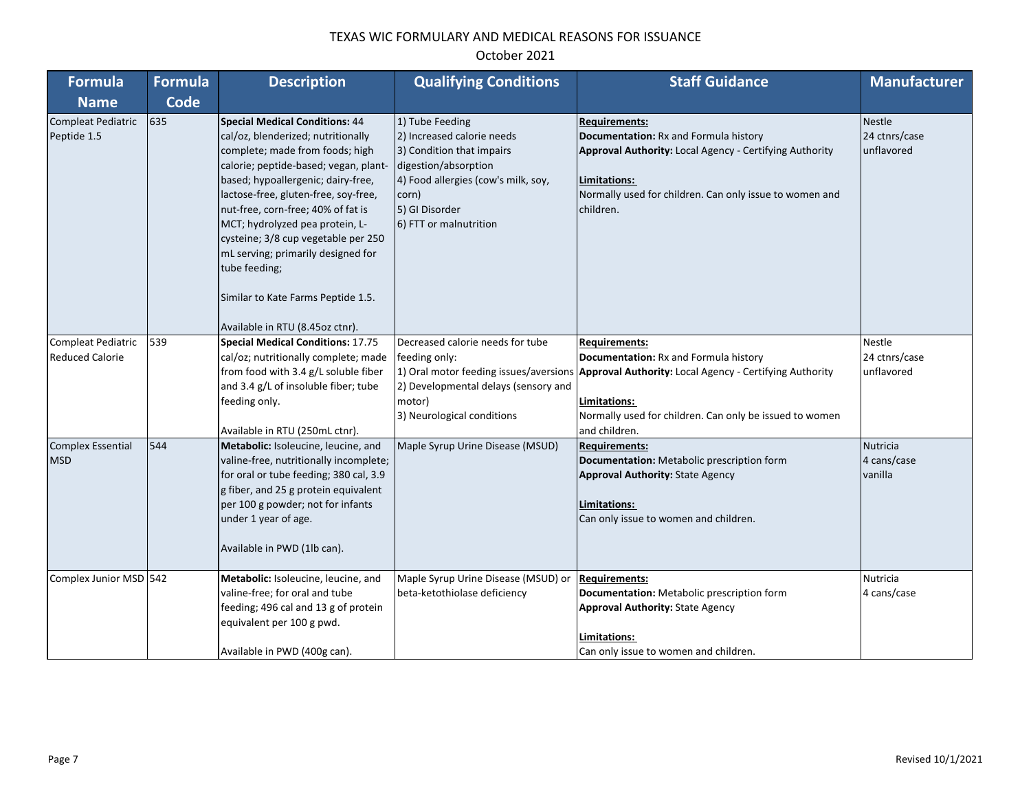| Formula                                      | <b>Formula</b> | <b>Description</b>                                                                                                                                                                                                                                                                                                                                                                                                                                                                    | <b>Qualifying Conditions</b>                                                                                                                                                                   | <b>Staff Guidance</b>                                                                                                                                                                                                                                       | <b>Manufacturer</b>                          |
|----------------------------------------------|----------------|---------------------------------------------------------------------------------------------------------------------------------------------------------------------------------------------------------------------------------------------------------------------------------------------------------------------------------------------------------------------------------------------------------------------------------------------------------------------------------------|------------------------------------------------------------------------------------------------------------------------------------------------------------------------------------------------|-------------------------------------------------------------------------------------------------------------------------------------------------------------------------------------------------------------------------------------------------------------|----------------------------------------------|
| <b>Name</b>                                  | <b>Code</b>    |                                                                                                                                                                                                                                                                                                                                                                                                                                                                                       |                                                                                                                                                                                                |                                                                                                                                                                                                                                                             |                                              |
| <b>Compleat Pediatric</b><br>Peptide 1.5     | 635            | <b>Special Medical Conditions: 44</b><br>cal/oz, blenderized; nutritionally<br>complete; made from foods; high<br>calorie; peptide-based; vegan, plant-<br>based; hypoallergenic; dairy-free,<br>lactose-free, gluten-free, soy-free,<br>nut-free, corn-free; 40% of fat is<br>MCT; hydrolyzed pea protein, L-<br>cysteine; 3/8 cup vegetable per 250<br>mL serving; primarily designed for<br>tube feeding;<br>Similar to Kate Farms Peptide 1.5.<br>Available in RTU (8.45oz ctnr). | 1) Tube Feeding<br>2) Increased calorie needs<br>3) Condition that impairs<br>digestion/absorption<br>4) Food allergies (cow's milk, soy,<br>corn)<br>5) GI Disorder<br>6) FTT or malnutrition | <b>Requirements:</b><br>Documentation: Rx and Formula history<br>Approval Authority: Local Agency - Certifying Authority<br>Limitations:<br>Normally used for children. Can only issue to women and<br>children.                                            | <b>Nestle</b><br>24 ctnrs/case<br>unflavored |
| Compleat Pediatric<br><b>Reduced Calorie</b> | 539            | <b>Special Medical Conditions: 17.75</b><br>cal/oz; nutritionally complete; made<br>from food with 3.4 g/L soluble fiber<br>and 3.4 g/L of insoluble fiber; tube<br>feeding only.<br>Available in RTU (250mL ctnr).                                                                                                                                                                                                                                                                   | Decreased calorie needs for tube<br>feeding only:<br>2) Developmental delays (sensory and<br>motor)<br>3) Neurological conditions                                                              | <b>Requirements:</b><br>Documentation: Rx and Formula history<br>1) Oral motor feeding issues/aversions Approval Authority: Local Agency - Certifying Authority<br>Limitations:<br>Normally used for children. Can only be issued to women<br>and children. | Nestle<br>24 ctnrs/case<br>unflavored        |
| <b>Complex Essential</b><br><b>MSD</b>       | 544            | Metabolic: Isoleucine, leucine, and<br>valine-free, nutritionally incomplete;<br>for oral or tube feeding; 380 cal, 3.9<br>g fiber, and 25 g protein equivalent<br>per 100 g powder; not for infants<br>under 1 year of age.<br>Available in PWD (1lb can).                                                                                                                                                                                                                           | Maple Syrup Urine Disease (MSUD)                                                                                                                                                               | <b>Requirements:</b><br>Documentation: Metabolic prescription form<br><b>Approval Authority: State Agency</b><br>Limitations:<br>Can only issue to women and children.                                                                                      | <b>Nutricia</b><br>4 cans/case<br>vanilla    |
| Complex Junior MSD 542                       |                | Metabolic: Isoleucine, leucine, and<br>valine-free; for oral and tube<br>feeding; 496 cal and 13 g of protein<br>equivalent per 100 g pwd.<br>Available in PWD (400g can).                                                                                                                                                                                                                                                                                                            | Maple Syrup Urine Disease (MSUD) or<br>beta-ketothiolase deficiency                                                                                                                            | <b>Requirements:</b><br>Documentation: Metabolic prescription form<br><b>Approval Authority: State Agency</b><br>Limitations:<br>Can only issue to women and children.                                                                                      | Nutricia<br>4 cans/case                      |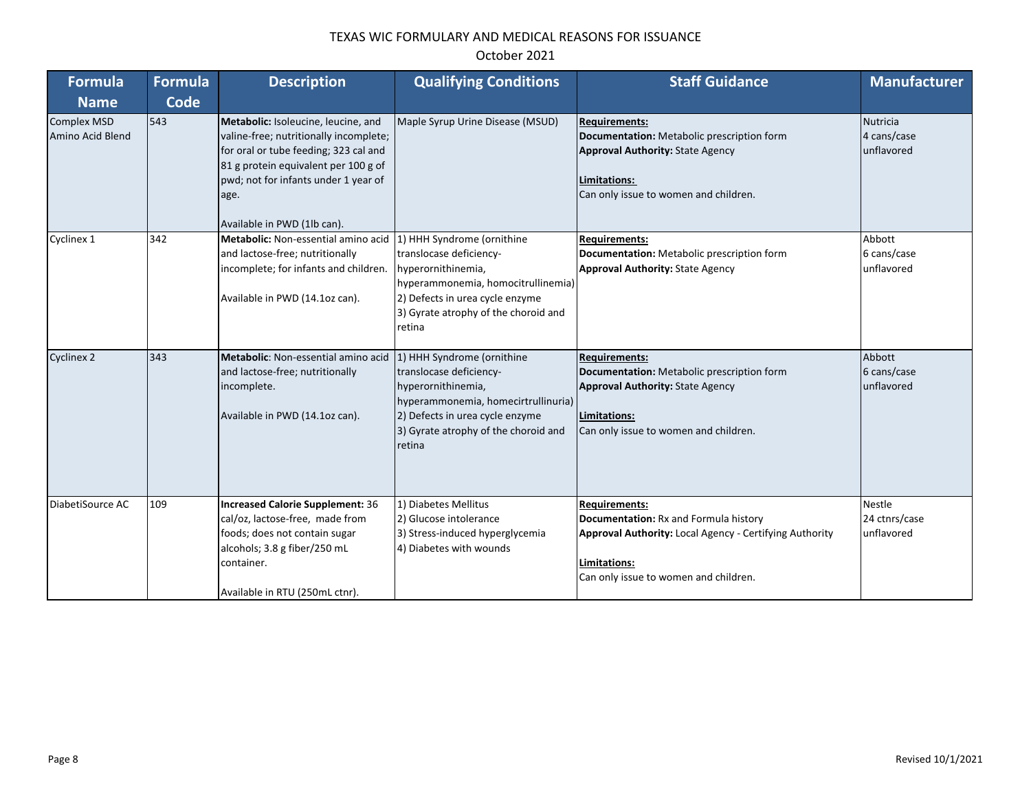| Formula                                | <b>Formula</b> | <b>Description</b>                                                                                                                                                                                                                            | <b>Qualifying Conditions</b>                                                                                                                                                                            | <b>Staff Guidance</b>                                                                                                                                                                    | <b>Manufacturer</b>                          |
|----------------------------------------|----------------|-----------------------------------------------------------------------------------------------------------------------------------------------------------------------------------------------------------------------------------------------|---------------------------------------------------------------------------------------------------------------------------------------------------------------------------------------------------------|------------------------------------------------------------------------------------------------------------------------------------------------------------------------------------------|----------------------------------------------|
| <b>Name</b>                            | Code           |                                                                                                                                                                                                                                               |                                                                                                                                                                                                         |                                                                                                                                                                                          |                                              |
| <b>Complex MSD</b><br>Amino Acid Blend | 543            | Metabolic: Isoleucine, leucine, and<br>valine-free; nutritionally incomplete;<br>for oral or tube feeding; 323 cal and<br>81 g protein equivalent per 100 g of<br>pwd; not for infants under 1 year of<br>age.<br>Available in PWD (1lb can). | Maple Syrup Urine Disease (MSUD)                                                                                                                                                                        | <b>Requirements:</b><br>Documentation: Metabolic prescription form<br><b>Approval Authority: State Agency</b><br>Limitations:<br>Can only issue to women and children.                   | <b>Nutricia</b><br>4 cans/case<br>unflavored |
| Cyclinex 1                             | 342            | Metabolic: Non-essential amino acid<br>and lactose-free; nutritionally<br>incomplete; for infants and children.<br>Available in PWD (14.1oz can).                                                                                             | 1) HHH Syndrome (ornithine<br>translocase deficiency-<br>hyperornithinemia,<br>hyperammonemia, homocitrullinemia)<br>2) Defects in urea cycle enzyme<br>3) Gyrate atrophy of the choroid and<br>retina  | <b>Requirements:</b><br>Documentation: Metabolic prescription form<br><b>Approval Authority: State Agency</b>                                                                            | Abbott<br>6 cans/case<br>unflavored          |
| <b>Cyclinex 2</b>                      | 343            | Metabolic: Non-essential amino acid<br>and lactose-free; nutritionally<br>incomplete.<br>Available in PWD (14.1oz can).                                                                                                                       | 1) HHH Syndrome (ornithine<br>translocase deficiency-<br>hyperornithinemia,<br>hyperammonemia, homecirtrullinuria)<br>2) Defects in urea cycle enzyme<br>3) Gyrate atrophy of the choroid and<br>retina | <b>Requirements:</b><br>Documentation: Metabolic prescription form<br><b>Approval Authority: State Agency</b><br>Limitations:<br>Can only issue to women and children.                   | Abbott<br>6 cans/case<br>unflavored          |
| DiabetiSource AC                       | 109            | <b>Increased Calorie Supplement: 36</b><br>cal/oz, lactose-free, made from<br>foods; does not contain sugar<br>alcohols; 3.8 g fiber/250 mL<br>container.<br>Available in RTU (250mL ctnr).                                                   | 1) Diabetes Mellitus<br>2) Glucose intolerance<br>3) Stress-induced hyperglycemia<br>4) Diabetes with wounds                                                                                            | <b>Requirements:</b><br>Documentation: Rx and Formula history<br><b>Approval Authority: Local Agency - Certifying Authority</b><br>Limitations:<br>Can only issue to women and children. | <b>Nestle</b><br>24 ctnrs/case<br>unflavored |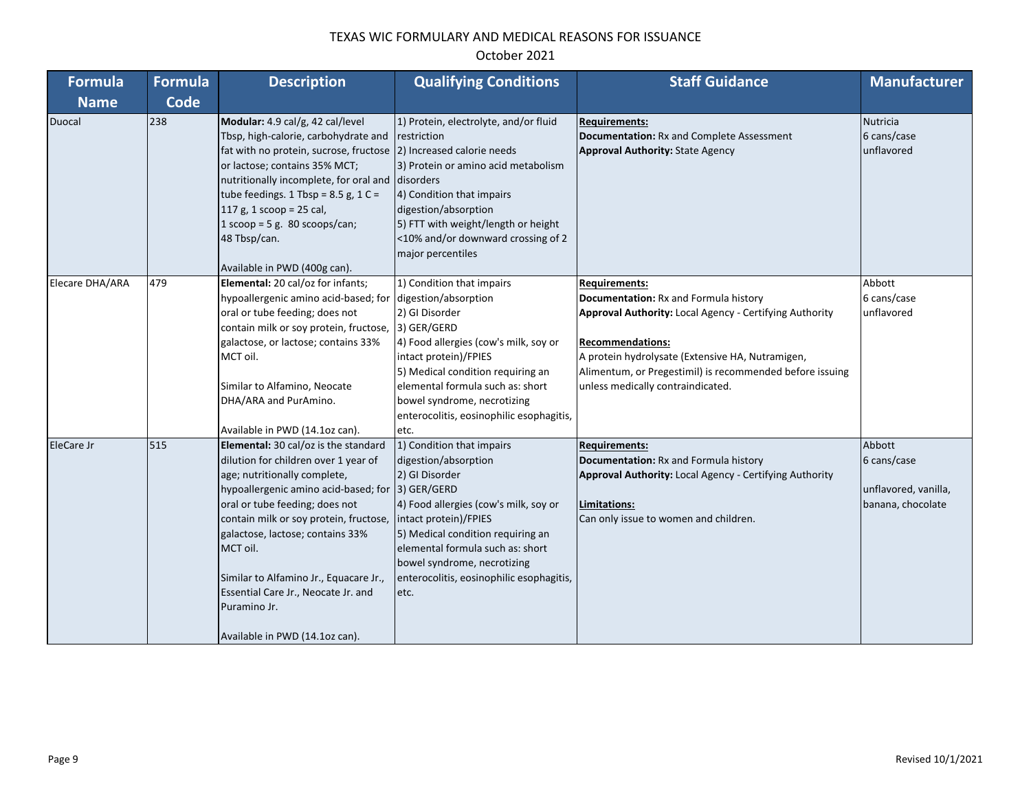| Formula         | <b>Formula</b> | <b>Description</b>                                                                                                                                                                                                                                                                                                                                                                                                  | <b>Qualifying Conditions</b>                                                                                                                                                                                                                                                                                     | <b>Staff Guidance</b>                                                                                                                                                                                                                                                                                    | <b>Manufacturer</b>                                                |
|-----------------|----------------|---------------------------------------------------------------------------------------------------------------------------------------------------------------------------------------------------------------------------------------------------------------------------------------------------------------------------------------------------------------------------------------------------------------------|------------------------------------------------------------------------------------------------------------------------------------------------------------------------------------------------------------------------------------------------------------------------------------------------------------------|----------------------------------------------------------------------------------------------------------------------------------------------------------------------------------------------------------------------------------------------------------------------------------------------------------|--------------------------------------------------------------------|
| <b>Name</b>     | Code           |                                                                                                                                                                                                                                                                                                                                                                                                                     |                                                                                                                                                                                                                                                                                                                  |                                                                                                                                                                                                                                                                                                          |                                                                    |
| Duocal          | 238            | Modular: 4.9 cal/g, 42 cal/level<br>Tbsp, high-calorie, carbohydrate and<br>fat with no protein, sucrose, fructose<br>or lactose; contains 35% MCT;<br>nutritionally incomplete, for oral and<br>tube feedings. 1 Tbsp = $8.5$ g, 1 C =<br>117 g, 1 scoop = 25 cal,<br>1 scoop = 5 g. 80 scoops/can;<br>48 Tbsp/can.<br>Available in PWD (400g can).                                                                | 1) Protein, electrolyte, and/or fluid<br>restriction<br>2) Increased calorie needs<br>3) Protein or amino acid metabolism<br>disorders<br>4) Condition that impairs<br>digestion/absorption<br>5) FTT with weight/length or height<br><10% and/or downward crossing of 2<br>major percentiles                    | <b>Requirements:</b><br>Documentation: Rx and Complete Assessment<br><b>Approval Authority: State Agency</b>                                                                                                                                                                                             | <b>Nutricia</b><br>6 cans/case<br>unflavored                       |
| Elecare DHA/ARA | 479            | Elemental: 20 cal/oz for infants;<br>hypoallergenic amino acid-based; for<br>oral or tube feeding; does not<br>contain milk or soy protein, fructose,<br>galactose, or lactose; contains 33%<br>MCT oil.<br>Similar to Alfamino, Neocate<br>DHA/ARA and PurAmino.<br>Available in PWD (14.1oz can).                                                                                                                 | 1) Condition that impairs<br>digestion/absorption<br>2) GI Disorder<br>3) GER/GERD<br>4) Food allergies (cow's milk, soy or<br>intact protein)/FPIES<br>5) Medical condition requiring an<br>elemental formula such as: short<br>bowel syndrome, necrotizing<br>enterocolitis, eosinophilic esophagitis,<br>etc. | <b>Requirements:</b><br>Documentation: Rx and Formula history<br>Approval Authority: Local Agency - Certifying Authority<br><b>Recommendations:</b><br>A protein hydrolysate (Extensive HA, Nutramigen,<br>Alimentum, or Pregestimil) is recommended before issuing<br>unless medically contraindicated. | Abbott<br>6 cans/case<br>unflavored                                |
| EleCare Jr      | 515            | Elemental: 30 cal/oz is the standard<br>dilution for children over 1 year of<br>age; nutritionally complete,<br>hypoallergenic amino acid-based; for<br>oral or tube feeding; does not<br>contain milk or soy protein, fructose,<br>galactose, lactose; contains 33%<br>MCT oil.<br>Similar to Alfamino Jr., Equacare Jr.,<br>Essential Care Jr., Neocate Jr. and<br>Puramino Jr.<br>Available in PWD (14.1oz can). | 1) Condition that impairs<br>digestion/absorption<br>2) GI Disorder<br>3) GER/GERD<br>4) Food allergies (cow's milk, soy or<br>intact protein)/FPIES<br>5) Medical condition requiring an<br>elemental formula such as: short<br>bowel syndrome, necrotizing<br>enterocolitis, eosinophilic esophagitis,<br>etc. | <b>Requirements:</b><br>Documentation: Rx and Formula history<br>Approval Authority: Local Agency - Certifying Authority<br>Limitations:<br>Can only issue to women and children.                                                                                                                        | Abbott<br>6 cans/case<br>unflavored, vanilla,<br>banana, chocolate |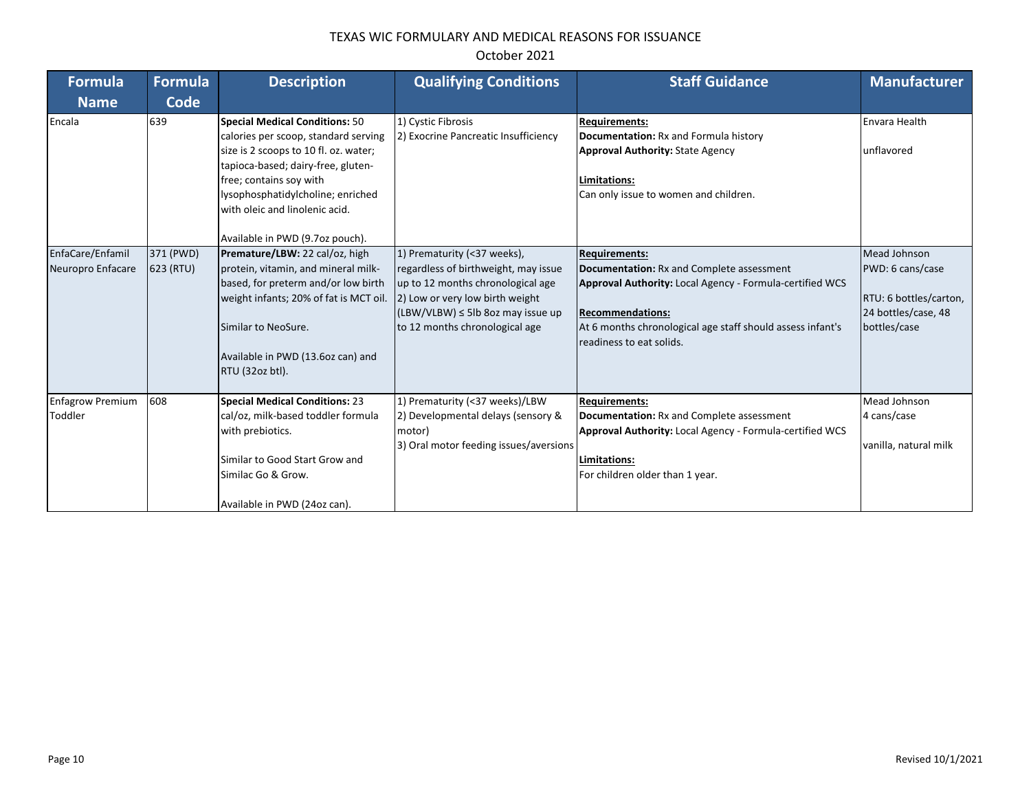| Formula<br><b>Name</b>                | Formula<br>Code        | <b>Description</b>                                                                                                                                                                                                                                                                         | <b>Qualifying Conditions</b>                                                                                                                                                                                            | <b>Staff Guidance</b>                                                                                                                                                                                                                                     | <b>Manufacturer</b>                                                                               |
|---------------------------------------|------------------------|--------------------------------------------------------------------------------------------------------------------------------------------------------------------------------------------------------------------------------------------------------------------------------------------|-------------------------------------------------------------------------------------------------------------------------------------------------------------------------------------------------------------------------|-----------------------------------------------------------------------------------------------------------------------------------------------------------------------------------------------------------------------------------------------------------|---------------------------------------------------------------------------------------------------|
| Encala                                | 639                    | Special Medical Conditions: 50<br>calories per scoop, standard serving<br>size is 2 scoops to 10 fl. oz. water;<br>tapioca-based; dairy-free, gluten-<br>free; contains soy with<br>lysophosphatidylcholine; enriched<br>with oleic and linolenic acid.<br>Available in PWD (9.7oz pouch). | 1) Cystic Fibrosis<br>2) Exocrine Pancreatic Insufficiency                                                                                                                                                              | <b>Requirements:</b><br>Documentation: Rx and Formula history<br><b>Approval Authority: State Agency</b><br>Limitations:<br>Can only issue to women and children.                                                                                         | Envara Health<br>unflavored                                                                       |
| EnfaCare/Enfamil<br>Neuropro Enfacare | 371 (PWD)<br>623 (RTU) | Premature/LBW: 22 cal/oz, high<br>protein, vitamin, and mineral milk-<br>based, for preterm and/or low birth<br>weight infants; 20% of fat is MCT oil.<br>Similar to NeoSure.<br>Available in PWD (13.6oz can) and<br>RTU (32oz btl).                                                      | 1) Prematurity (<37 weeks),<br>regardless of birthweight, may issue<br>up to 12 months chronological age<br>2) Low or very low birth weight<br>$(LBW/VLBW) \leq 5lb$ 8oz may issue up<br>to 12 months chronological age | <b>Requirements:</b><br>Documentation: Rx and Complete assessment<br><b>Approval Authority: Local Agency - Formula-certified WCS</b><br><b>Recommendations:</b><br>At 6 months chronological age staff should assess infant's<br>readiness to eat solids. | Mead Johnson<br>PWD: 6 cans/case<br>RTU: 6 bottles/carton,<br>24 bottles/case, 48<br>bottles/case |
| <b>Enfagrow Premium</b><br>Toddler    | 608                    | <b>Special Medical Conditions: 23</b><br>cal/oz, milk-based toddler formula<br>with prebiotics.<br>Similar to Good Start Grow and<br>Similac Go & Grow.<br>Available in PWD (24oz can).                                                                                                    | 1) Prematurity (<37 weeks)/LBW<br>2) Developmental delays (sensory &<br>motor)<br>3) Oral motor feeding issues/aversions                                                                                                | <b>Requirements:</b><br><b>Documentation:</b> Rx and Complete assessment<br><b>Approval Authority: Local Agency - Formula-certified WCS</b><br>Limitations:<br>For children older than 1 year.                                                            | Mead Johnson<br>4 cans/case<br>vanilla, natural milk                                              |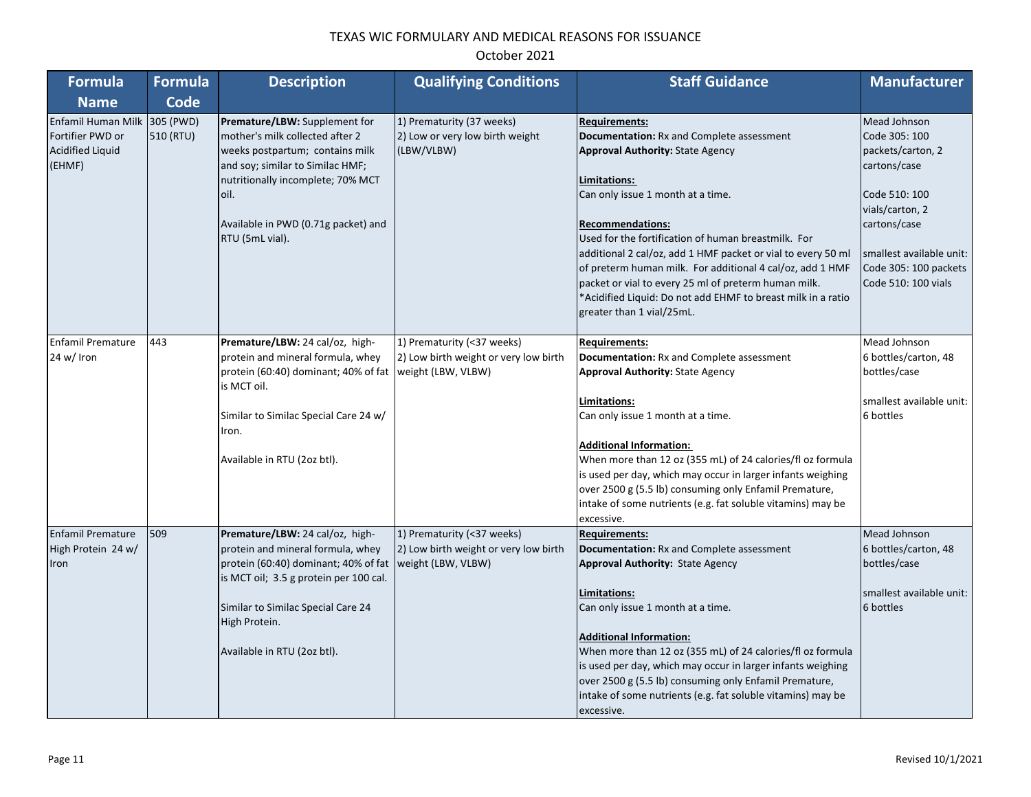| Formula                                                                               | <b>Formula</b> | <b>Description</b>                                                                                                                                                                                                                             | <b>Qualifying Conditions</b>                                                              | <b>Staff Guidance</b>                                                                                                                                                                                                                                                                                                                                                                                                                                                                                                                 | <b>Manufacturer</b>                                                                                                                                                                                |
|---------------------------------------------------------------------------------------|----------------|------------------------------------------------------------------------------------------------------------------------------------------------------------------------------------------------------------------------------------------------|-------------------------------------------------------------------------------------------|---------------------------------------------------------------------------------------------------------------------------------------------------------------------------------------------------------------------------------------------------------------------------------------------------------------------------------------------------------------------------------------------------------------------------------------------------------------------------------------------------------------------------------------|----------------------------------------------------------------------------------------------------------------------------------------------------------------------------------------------------|
| <b>Name</b>                                                                           | <b>Code</b>    |                                                                                                                                                                                                                                                |                                                                                           |                                                                                                                                                                                                                                                                                                                                                                                                                                                                                                                                       |                                                                                                                                                                                                    |
| Enfamil Human Milk 305 (PWD)<br>Fortifier PWD or<br><b>Acidified Liquid</b><br>(EHMF) | 510 (RTU)      | Premature/LBW: Supplement for<br>mother's milk collected after 2<br>weeks postpartum; contains milk<br>and soy; similar to Similac HMF;<br>nutritionally incomplete; 70% MCT<br>oil.<br>Available in PWD (0.71g packet) and<br>RTU (5mL vial). | 1) Prematurity (37 weeks)<br>2) Low or very low birth weight<br>(LBW/VLBW)                | <b>Requirements:</b><br>Documentation: Rx and Complete assessment<br><b>Approval Authority: State Agency</b><br>Limitations:<br>Can only issue 1 month at a time.<br><b>Recommendations:</b><br>Used for the fortification of human breastmilk. For<br>additional 2 cal/oz, add 1 HMF packet or vial to every 50 ml<br>of preterm human milk. For additional 4 cal/oz, add 1 HMF<br>packet or vial to every 25 ml of preterm human milk.<br>*Acidified Liquid: Do not add EHMF to breast milk in a ratio<br>greater than 1 vial/25mL. | Mead Johnson<br>Code 305: 100<br>packets/carton, 2<br>cartons/case<br>Code 510: 100<br>vials/carton, 2<br>cartons/case<br>smallest available unit:<br>Code 305: 100 packets<br>Code 510: 100 vials |
| <b>Enfamil Premature</b><br>24 w/ Iron                                                | 443            | Premature/LBW: 24 cal/oz, high-<br>protein and mineral formula, whey<br>protein (60:40) dominant; 40% of fat weight (LBW, VLBW)<br>is MCT oil.<br>Similar to Similac Special Care 24 w/<br>Iron.<br>Available in RTU (2oz btl).                | 1) Prematurity (<37 weeks)<br>2) Low birth weight or very low birth                       | <b>Requirements:</b><br>Documentation: Rx and Complete assessment<br><b>Approval Authority: State Agency</b><br>Limitations:<br>Can only issue 1 month at a time.<br><b>Additional Information:</b><br>When more than 12 oz (355 mL) of 24 calories/fl oz formula<br>is used per day, which may occur in larger infants weighing<br>over 2500 g (5.5 lb) consuming only Enfamil Premature,<br>intake of some nutrients (e.g. fat soluble vitamins) may be<br>excessive.                                                               | Mead Johnson<br>6 bottles/carton, 48<br>bottles/case<br>smallest available unit:<br>6 bottles                                                                                                      |
| <b>Enfamil Premature</b><br>High Protein 24 w/<br>Iron                                | 509            | Premature/LBW: 24 cal/oz, high-<br>protein and mineral formula, whey<br>protein (60:40) dominant; 40% of fat<br>is MCT oil; 3.5 g protein per 100 cal.<br>Similar to Similac Special Care 24<br>High Protein.<br>Available in RTU (2oz btl).   | 1) Prematurity (<37 weeks)<br>2) Low birth weight or very low birth<br>weight (LBW, VLBW) | <b>Requirements:</b><br>Documentation: Rx and Complete assessment<br><b>Approval Authority: State Agency</b><br>Limitations:<br>Can only issue 1 month at a time.<br><b>Additional Information:</b><br>When more than 12 oz (355 mL) of 24 calories/fl oz formula<br>is used per day, which may occur in larger infants weighing<br>over 2500 g (5.5 lb) consuming only Enfamil Premature,<br>intake of some nutrients (e.g. fat soluble vitamins) may be<br>excessive.                                                               | Mead Johnson<br>6 bottles/carton, 48<br>bottles/case<br>smallest available unit:<br>6 bottles                                                                                                      |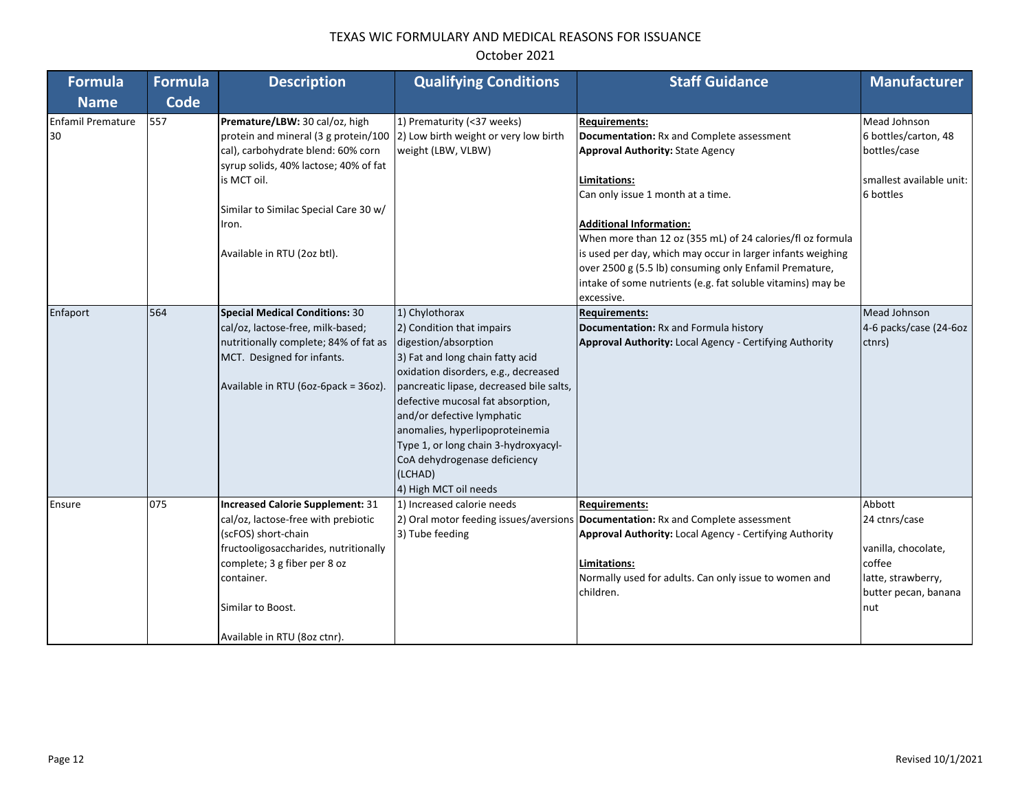| Formula                        | <b>Formula</b> | <b>Description</b>                                                                                                                                                                                                                                    | <b>Qualifying Conditions</b>                                                                                                                                                                                                                                                                                                                                                                                  | <b>Staff Guidance</b>                                                                                                                                                                                                                                                                                                                                                                                                                                                   | <b>Manufacturer</b>                                                                                           |
|--------------------------------|----------------|-------------------------------------------------------------------------------------------------------------------------------------------------------------------------------------------------------------------------------------------------------|---------------------------------------------------------------------------------------------------------------------------------------------------------------------------------------------------------------------------------------------------------------------------------------------------------------------------------------------------------------------------------------------------------------|-------------------------------------------------------------------------------------------------------------------------------------------------------------------------------------------------------------------------------------------------------------------------------------------------------------------------------------------------------------------------------------------------------------------------------------------------------------------------|---------------------------------------------------------------------------------------------------------------|
| <b>Name</b>                    | Code           |                                                                                                                                                                                                                                                       |                                                                                                                                                                                                                                                                                                                                                                                                               |                                                                                                                                                                                                                                                                                                                                                                                                                                                                         |                                                                                                               |
| <b>Enfamil Premature</b><br>30 | 557            | Premature/LBW: 30 cal/oz, high<br>protein and mineral (3 g protein/100<br>cal), carbohydrate blend: 60% corn<br>syrup solids, 40% lactose; 40% of fat<br>is MCT oil.<br>Similar to Similac Special Care 30 w/<br>Iron.<br>Available in RTU (2oz btl). | 1) Prematurity (<37 weeks)<br>2) Low birth weight or very low birth<br>weight (LBW, VLBW)                                                                                                                                                                                                                                                                                                                     | <b>Requirements:</b><br>Documentation: Rx and Complete assessment<br><b>Approval Authority: State Agency</b><br>Limitations:<br>Can only issue 1 month at a time.<br><b>Additional Information:</b><br>When more than 12 oz (355 mL) of 24 calories/fl oz formula<br>is used per day, which may occur in larger infants weighing<br>over 2500 g (5.5 lb) consuming only Enfamil Premature,<br>intake of some nutrients (e.g. fat soluble vitamins) may be<br>excessive. | Mead Johnson<br>6 bottles/carton, 48<br>bottles/case<br>smallest available unit:<br>6 bottles                 |
| Enfaport                       | 564            | <b>Special Medical Conditions: 30</b><br>cal/oz, lactose-free, milk-based;<br>nutritionally complete; 84% of fat as<br>MCT. Designed for infants.<br>Available in RTU (6oz-6pack = 36oz).                                                             | 1) Chylothorax<br>2) Condition that impairs<br>digestion/absorption<br>3) Fat and long chain fatty acid<br>oxidation disorders, e.g., decreased<br>pancreatic lipase, decreased bile salts,<br>defective mucosal fat absorption,<br>and/or defective lymphatic<br>anomalies, hyperlipoproteinemia<br>Type 1, or long chain 3-hydroxyacyl-<br>CoA dehydrogenase deficiency<br>(LCHAD)<br>4) High MCT oil needs | <b>Requirements:</b><br>Documentation: Rx and Formula history<br>Approval Authority: Local Agency - Certifying Authority                                                                                                                                                                                                                                                                                                                                                | Mead Johnson<br>4-6 packs/case (24-6oz<br>ctnrs)                                                              |
| Ensure                         | 075            | <b>Increased Calorie Supplement: 31</b><br>cal/oz, lactose-free with prebiotic<br>(scFOS) short-chain<br>fructooligosaccharides, nutritionally<br>complete; 3 g fiber per 8 oz<br>container.<br>Similar to Boost.<br>Available in RTU (8oz ctnr).     | 1) Increased calorie needs<br>3) Tube feeding                                                                                                                                                                                                                                                                                                                                                                 | <b>Requirements:</b><br>2) Oral motor feeding issues/aversions Documentation: Rx and Complete assessment<br><b>Approval Authority: Local Agency - Certifying Authority</b><br>Limitations:<br>Normally used for adults. Can only issue to women and<br>children.                                                                                                                                                                                                        | Abbott<br>24 ctnrs/case<br>vanilla, chocolate,<br>coffee<br>latte, strawberry,<br>butter pecan, banana<br>nut |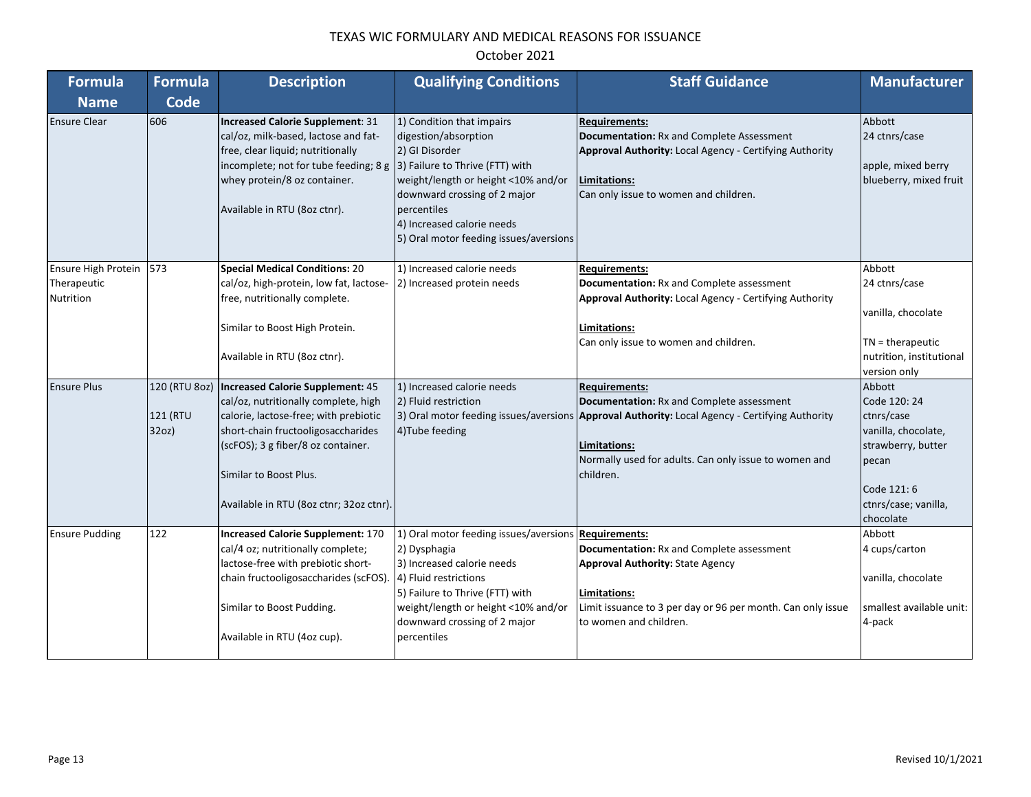| <b>Formula</b>           | <b>Formula</b> | <b>Description</b>                                                                                                                                                                                                     | <b>Qualifying Conditions</b>                                                                                                                                                                                                                                         | <b>Staff Guidance</b>                                                                                                                                                                 | <b>Manufacturer</b>                                                     |
|--------------------------|----------------|------------------------------------------------------------------------------------------------------------------------------------------------------------------------------------------------------------------------|----------------------------------------------------------------------------------------------------------------------------------------------------------------------------------------------------------------------------------------------------------------------|---------------------------------------------------------------------------------------------------------------------------------------------------------------------------------------|-------------------------------------------------------------------------|
| <b>Name</b>              | <b>Code</b>    |                                                                                                                                                                                                                        |                                                                                                                                                                                                                                                                      |                                                                                                                                                                                       |                                                                         |
| <b>Ensure Clear</b>      | 606            | Increased Calorie Supplement: 31<br>cal/oz, milk-based, lactose and fat-<br>free, clear liquid; nutritionally<br>incomplete; not for tube feeding; 8 g<br>whey protein/8 oz container.<br>Available in RTU (8oz ctnr). | 1) Condition that impairs<br>digestion/absorption<br>2) GI Disorder<br>3) Failure to Thrive (FTT) with<br>weight/length or height <10% and/or<br>downward crossing of 2 major<br>percentiles<br>4) Increased calorie needs<br>5) Oral motor feeding issues/aversions | <b>Requirements:</b><br>Documentation: Rx and Complete Assessment<br>Approval Authority: Local Agency - Certifying Authority<br>Limitations:<br>Can only issue to women and children. | Abbott<br>24 ctnrs/case<br>apple, mixed berry<br>blueberry, mixed fruit |
| Ensure High Protein      | 573            | <b>Special Medical Conditions: 20</b>                                                                                                                                                                                  | 1) Increased calorie needs                                                                                                                                                                                                                                           | <b>Requirements:</b>                                                                                                                                                                  | Abbott                                                                  |
| Therapeutic<br>Nutrition |                | cal/oz, high-protein, low fat, lactose-<br>free, nutritionally complete.                                                                                                                                               | 2) Increased protein needs                                                                                                                                                                                                                                           | Documentation: Rx and Complete assessment<br>Approval Authority: Local Agency - Certifying Authority                                                                                  | 24 ctnrs/case                                                           |
|                          |                |                                                                                                                                                                                                                        |                                                                                                                                                                                                                                                                      |                                                                                                                                                                                       | vanilla, chocolate                                                      |
|                          |                | Similar to Boost High Protein.                                                                                                                                                                                         |                                                                                                                                                                                                                                                                      | Limitations:<br>Can only issue to women and children.                                                                                                                                 | $TN =$ therapeutic                                                      |
|                          |                | Available in RTU (8oz ctnr).                                                                                                                                                                                           |                                                                                                                                                                                                                                                                      |                                                                                                                                                                                       | nutrition, institutional<br>version only                                |
| <b>Ensure Plus</b>       |                | 120 (RTU 8oz)   Increased Calorie Supplement: 45                                                                                                                                                                       | 1) Increased calorie needs                                                                                                                                                                                                                                           | <b>Requirements:</b>                                                                                                                                                                  | Abbott                                                                  |
|                          |                | cal/oz, nutritionally complete, high                                                                                                                                                                                   | 2) Fluid restriction                                                                                                                                                                                                                                                 | Documentation: Rx and Complete assessment                                                                                                                                             | Code 120: 24                                                            |
|                          | 121 (RTU       | calorie, lactose-free; with prebiotic                                                                                                                                                                                  |                                                                                                                                                                                                                                                                      | 3) Oral motor feeding issues/aversions Approval Authority: Local Agency - Certifying Authority                                                                                        | ctnrs/case                                                              |
|                          | 32oz           | short-chain fructooligosaccharides                                                                                                                                                                                     | 4) Tube feeding                                                                                                                                                                                                                                                      |                                                                                                                                                                                       | vanilla, chocolate,                                                     |
|                          |                | (scFOS); 3 g fiber/8 oz container.                                                                                                                                                                                     |                                                                                                                                                                                                                                                                      | Limitations:                                                                                                                                                                          | strawberry, butter                                                      |
|                          |                | Similar to Boost Plus.                                                                                                                                                                                                 |                                                                                                                                                                                                                                                                      | Normally used for adults. Can only issue to women and<br>children.                                                                                                                    | pecan                                                                   |
|                          |                | Available in RTU (8oz ctnr; 32oz ctnr).                                                                                                                                                                                |                                                                                                                                                                                                                                                                      |                                                                                                                                                                                       | Code 121:6<br>ctnrs/case; vanilla,                                      |
|                          |                |                                                                                                                                                                                                                        |                                                                                                                                                                                                                                                                      |                                                                                                                                                                                       | chocolate                                                               |
| <b>Ensure Pudding</b>    | 122            | <b>Increased Calorie Supplement: 170</b>                                                                                                                                                                               | 1) Oral motor feeding issues/aversions Requirements:                                                                                                                                                                                                                 |                                                                                                                                                                                       | Abbott                                                                  |
|                          |                | cal/4 oz; nutritionally complete;                                                                                                                                                                                      | 2) Dysphagia                                                                                                                                                                                                                                                         | Documentation: Rx and Complete assessment                                                                                                                                             | 4 cups/carton                                                           |
|                          |                | lactose-free with prebiotic short-                                                                                                                                                                                     | 3) Increased calorie needs                                                                                                                                                                                                                                           | <b>Approval Authority: State Agency</b>                                                                                                                                               |                                                                         |
|                          |                | chain fructooligosaccharides (scFOS).                                                                                                                                                                                  | 4) Fluid restrictions                                                                                                                                                                                                                                                |                                                                                                                                                                                       | vanilla, chocolate                                                      |
|                          |                |                                                                                                                                                                                                                        | 5) Failure to Thrive (FTT) with                                                                                                                                                                                                                                      | Limitations:                                                                                                                                                                          |                                                                         |
|                          |                | Similar to Boost Pudding.                                                                                                                                                                                              | weight/length or height <10% and/or<br>downward crossing of 2 major                                                                                                                                                                                                  | Limit issuance to 3 per day or 96 per month. Can only issue<br>to women and children.                                                                                                 | smallest available unit:<br>4-pack                                      |
|                          |                | Available in RTU (4oz cup).                                                                                                                                                                                            | percentiles                                                                                                                                                                                                                                                          |                                                                                                                                                                                       |                                                                         |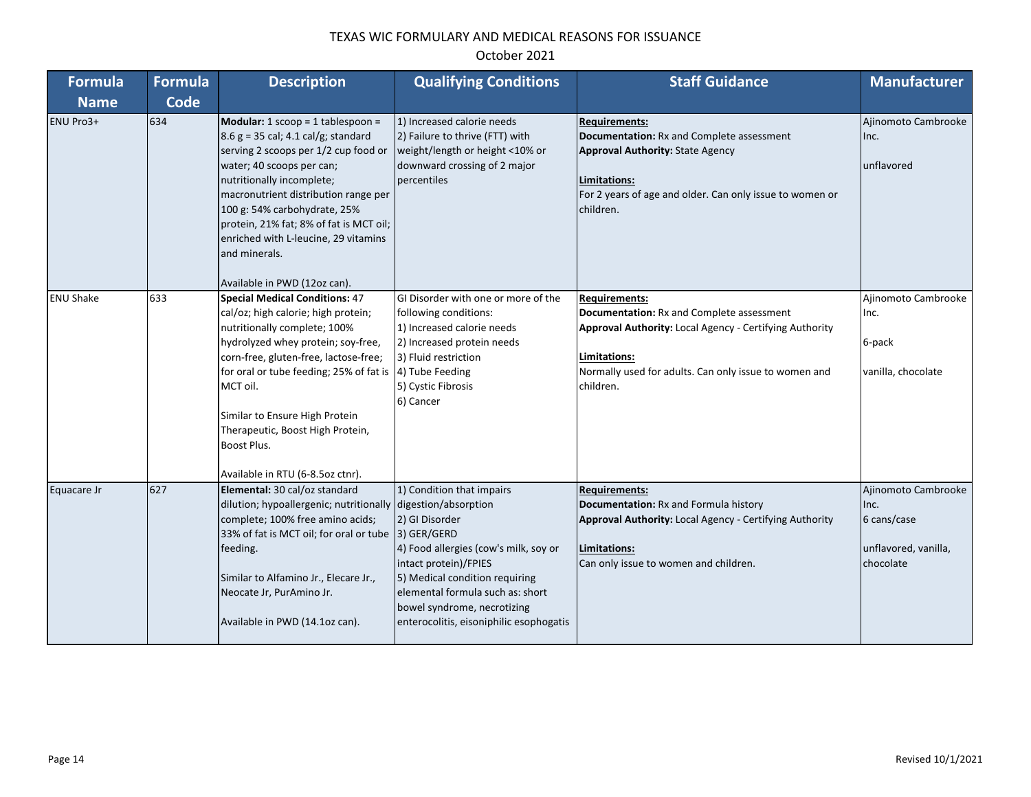| <b>Formula</b>   | <b>Formula</b> | <b>Description</b>                                                                                                                                                                                                                                                                                                                                                                           | <b>Qualifying Conditions</b>                                                                                                                                                                                                                                  | <b>Staff Guidance</b>                                                                                                                                                                                                     | <b>Manufacturer</b>                                                             |
|------------------|----------------|----------------------------------------------------------------------------------------------------------------------------------------------------------------------------------------------------------------------------------------------------------------------------------------------------------------------------------------------------------------------------------------------|---------------------------------------------------------------------------------------------------------------------------------------------------------------------------------------------------------------------------------------------------------------|---------------------------------------------------------------------------------------------------------------------------------------------------------------------------------------------------------------------------|---------------------------------------------------------------------------------|
| <b>Name</b>      | Code           |                                                                                                                                                                                                                                                                                                                                                                                              |                                                                                                                                                                                                                                                               |                                                                                                                                                                                                                           |                                                                                 |
| ENU Pro3+        | 634            | Modular: $1$ scoop = $1$ tablespoon =<br>$8.6$ g = 35 cal; 4.1 cal/g; standard<br>serving 2 scoops per 1/2 cup food or<br>water; 40 scoops per can;<br>nutritionally incomplete;<br>macronutrient distribution range per<br>100 g: 54% carbohydrate, 25%<br>protein, 21% fat; 8% of fat is MCT oil;<br>enriched with L-leucine, 29 vitamins<br>and minerals.<br>Available in PWD (12oz can). | 1) Increased calorie needs<br>2) Failure to thrive (FTT) with<br>weight/length or height <10% or<br>downward crossing of 2 major<br>percentiles                                                                                                               | <b>Requirements:</b><br>Documentation: Rx and Complete assessment<br><b>Approval Authority: State Agency</b><br>Limitations:<br>For 2 years of age and older. Can only issue to women or<br>children.                     | Ajinomoto Cambrooke<br>Inc.<br>unflavored                                       |
| <b>ENU Shake</b> | 633            | <b>Special Medical Conditions: 47</b><br>cal/oz; high calorie; high protein;<br>nutritionally complete; 100%<br>hydrolyzed whey protein; soy-free,<br>corn-free, gluten-free, lactose-free;<br>for oral or tube feeding; 25% of fat is<br>MCT oil.<br>Similar to Ensure High Protein<br>Therapeutic, Boost High Protein,<br>Boost Plus.<br>Available in RTU (6-8.5oz ctnr).                  | GI Disorder with one or more of the<br>following conditions:<br>1) Increased calorie needs<br>2) Increased protein needs<br>3) Fluid restriction<br>4) Tube Feeding<br>5) Cystic Fibrosis<br>6) Cancer                                                        | <b>Requirements:</b><br>Documentation: Rx and Complete assessment<br><b>Approval Authority: Local Agency - Certifying Authority</b><br>Limitations:<br>Normally used for adults. Can only issue to women and<br>children. | Ajinomoto Cambrooke<br>Inc.<br>6-pack<br>vanilla, chocolate                     |
| Equacare Jr      | 627            | Elemental: 30 cal/oz standard<br>dilution; hypoallergenic; nutritionally digestion/absorption<br>complete; 100% free amino acids;<br>33% of fat is MCT oil; for oral or tube  3) GER/GERD<br>feeding.<br>Similar to Alfamino Jr., Elecare Jr.,<br>Neocate Jr, PurAmino Jr.<br>Available in PWD (14.1oz can).                                                                                 | 1) Condition that impairs<br>2) GI Disorder<br>4) Food allergies (cow's milk, soy or<br>intact protein)/FPIES<br>5) Medical condition requiring<br>elemental formula such as: short<br>bowel syndrome, necrotizing<br>enterocolitis, eisoniphilic esophogatis | <b>Requirements:</b><br>Documentation: Rx and Formula history<br>Approval Authority: Local Agency - Certifying Authority<br>Limitations:<br>Can only issue to women and children.                                         | Ajinomoto Cambrooke<br>Inc.<br>6 cans/case<br>unflavored, vanilla,<br>chocolate |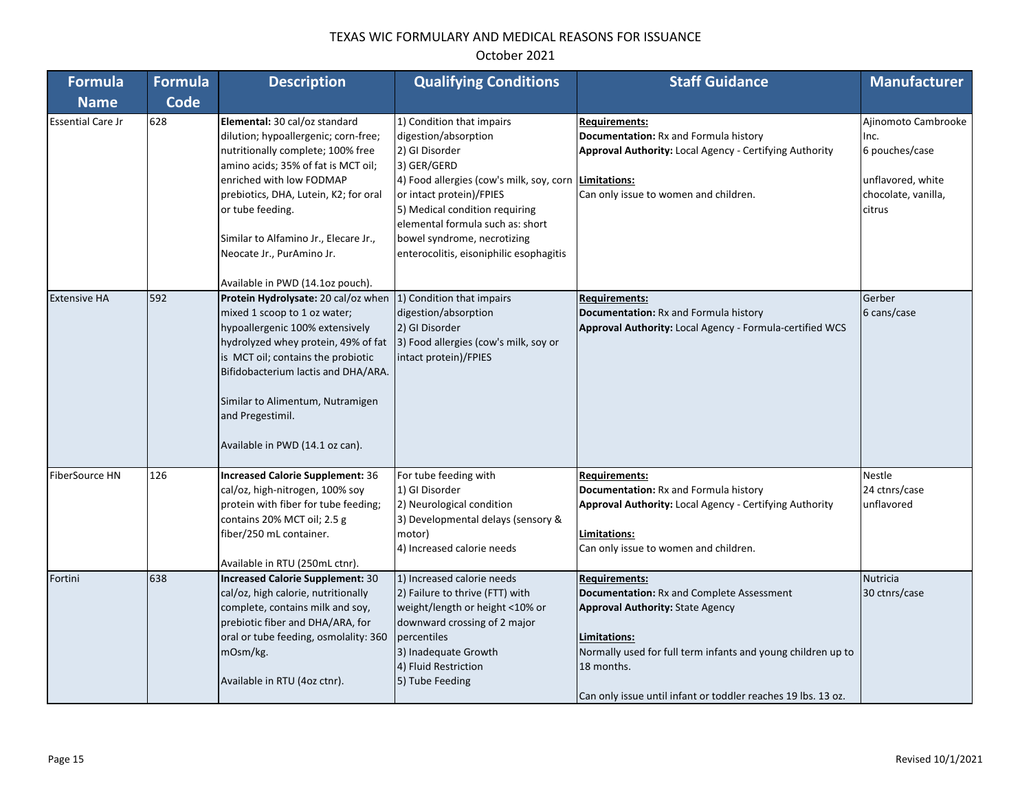| <b>Formula</b>           | <b>Formula</b> | <b>Description</b>                                                                                                                                                                                                                                                                                                                                        | <b>Qualifying Conditions</b>                                                                                                                                                                                                                                                                                              | <b>Staff Guidance</b>                                                                                                                                                                                                                                                       | <b>Manufacturer</b>                                                                                 |
|--------------------------|----------------|-----------------------------------------------------------------------------------------------------------------------------------------------------------------------------------------------------------------------------------------------------------------------------------------------------------------------------------------------------------|---------------------------------------------------------------------------------------------------------------------------------------------------------------------------------------------------------------------------------------------------------------------------------------------------------------------------|-----------------------------------------------------------------------------------------------------------------------------------------------------------------------------------------------------------------------------------------------------------------------------|-----------------------------------------------------------------------------------------------------|
| <b>Name</b>              | Code           |                                                                                                                                                                                                                                                                                                                                                           |                                                                                                                                                                                                                                                                                                                           |                                                                                                                                                                                                                                                                             |                                                                                                     |
| <b>Essential Care Jr</b> | 628            | Elemental: 30 cal/oz standard<br>dilution; hypoallergenic; corn-free;<br>nutritionally complete; 100% free<br>amino acids; 35% of fat is MCT oil;<br>enriched with low FODMAP<br>prebiotics, DHA, Lutein, K2; for oral<br>or tube feeding.<br>Similar to Alfamino Jr., Elecare Jr.,<br>Neocate Jr., PurAmino Jr.                                          | 1) Condition that impairs<br>digestion/absorption<br>2) GI Disorder<br>3) GER/GERD<br>4) Food allergies (cow's milk, soy, corn   Limitations:<br>or intact protein)/FPIES<br>5) Medical condition requiring<br>elemental formula such as: short<br>bowel syndrome, necrotizing<br>enterocolitis, eisoniphilic esophagitis | Requirements:<br>Documentation: Rx and Formula history<br>Approval Authority: Local Agency - Certifying Authority<br>Can only issue to women and children.                                                                                                                  | Ajinomoto Cambrooke<br>Inc.<br>6 pouches/case<br>unflavored, white<br>chocolate, vanilla,<br>citrus |
| <b>Extensive HA</b>      | 592            | Available in PWD (14.1oz pouch).<br>Protein Hydrolysate: 20 cal/oz when<br>mixed 1 scoop to 1 oz water;<br>hypoallergenic 100% extensively<br>hydrolyzed whey protein, 49% of fat<br>is MCT oil; contains the probiotic<br>Bifidobacterium lactis and DHA/ARA.<br>Similar to Alimentum, Nutramigen<br>and Pregestimil.<br>Available in PWD (14.1 oz can). | 1) Condition that impairs<br>digestion/absorption<br>2) GI Disorder<br>3) Food allergies (cow's milk, soy or<br>intact protein)/FPIES                                                                                                                                                                                     | <b>Requirements:</b><br>Documentation: Rx and Formula history<br><b>Approval Authority: Local Agency - Formula-certified WCS</b>                                                                                                                                            | Gerber<br>6 cans/case                                                                               |
| FiberSource HN           | 126            | <b>Increased Calorie Supplement: 36</b><br>cal/oz, high-nitrogen, 100% soy<br>protein with fiber for tube feeding;<br>contains 20% MCT oil; 2.5 g<br>fiber/250 mL container.<br>Available in RTU (250mL ctnr).                                                                                                                                            | For tube feeding with<br>1) GI Disorder<br>2) Neurological condition<br>3) Developmental delays (sensory &<br>motor)<br>4) Increased calorie needs                                                                                                                                                                        | <b>Requirements:</b><br>Documentation: Rx and Formula history<br><b>Approval Authority: Local Agency - Certifying Authority</b><br>Limitations:<br>Can only issue to women and children.                                                                                    | <b>Nestle</b><br>24 ctnrs/case<br>unflavored                                                        |
| Fortini                  | 638            | <b>Increased Calorie Supplement: 30</b><br>cal/oz, high calorie, nutritionally<br>complete, contains milk and soy,<br>prebiotic fiber and DHA/ARA, for<br>oral or tube feeding, osmolality: 360<br>mOsm/kg.<br>Available in RTU (4oz ctnr).                                                                                                               | 1) Increased calorie needs<br>2) Failure to thrive (FTT) with<br>weight/length or height <10% or<br>downward crossing of 2 major<br>percentiles<br>3) Inadequate Growth<br>4) Fluid Restriction<br>5) Tube Feeding                                                                                                        | <b>Requirements:</b><br>Documentation: Rx and Complete Assessment<br><b>Approval Authority: State Agency</b><br>Limitations:<br>Normally used for full term infants and young children up to<br>18 months.<br>Can only issue until infant or toddler reaches 19 lbs. 13 oz. | <b>Nutricia</b><br>30 ctnrs/case                                                                    |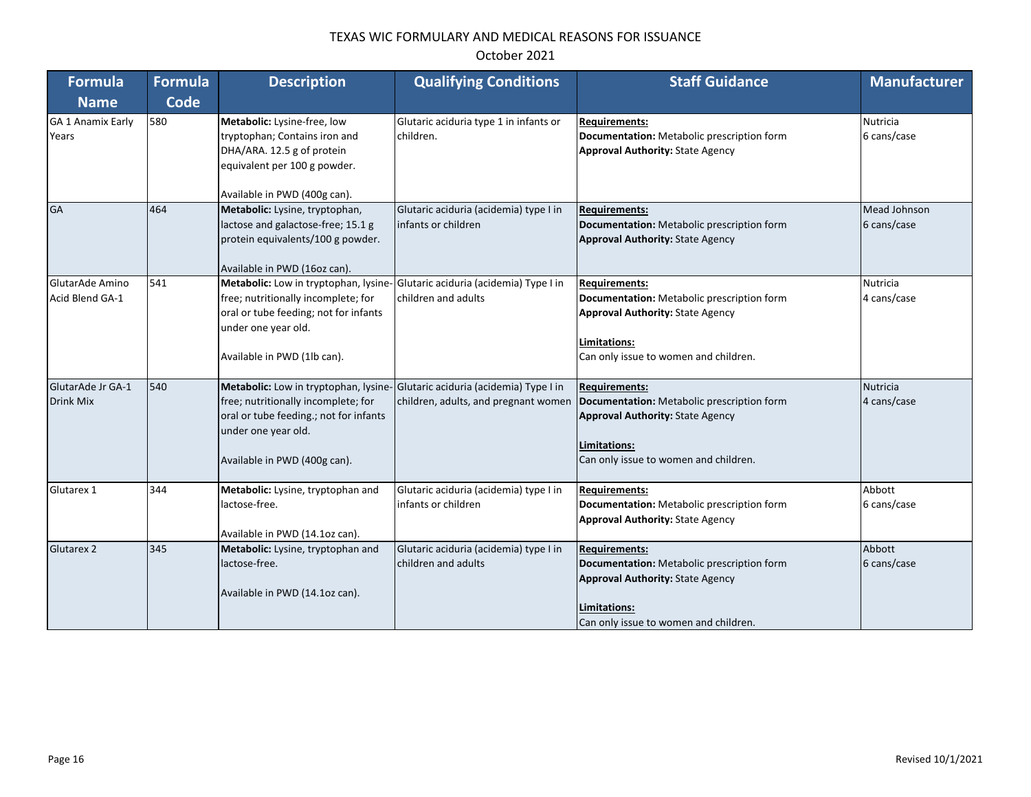| <b>Formula</b>                        | <b>Formula</b> | <b>Description</b>                                                                                                                                                                                                   | <b>Qualifying Conditions</b>                                  | <b>Staff Guidance</b>                                                                                                                                                  | <b>Manufacturer</b>         |
|---------------------------------------|----------------|----------------------------------------------------------------------------------------------------------------------------------------------------------------------------------------------------------------------|---------------------------------------------------------------|------------------------------------------------------------------------------------------------------------------------------------------------------------------------|-----------------------------|
| <b>Name</b>                           | <b>Code</b>    |                                                                                                                                                                                                                      |                                                               |                                                                                                                                                                        |                             |
| <b>GA 1 Anamix Early</b><br>Years     | 580            | Metabolic: Lysine-free, low<br>tryptophan; Contains iron and<br>DHA/ARA. 12.5 g of protein<br>equivalent per 100 g powder.<br>Available in PWD (400g can).                                                           | Glutaric aciduria type 1 in infants or<br>children.           | <b>Requirements:</b><br>Documentation: Metabolic prescription form<br><b>Approval Authority: State Agency</b>                                                          | Nutricia<br>6 cans/case     |
| <b>GA</b>                             | 464            | Metabolic: Lysine, tryptophan,<br>lactose and galactose-free; 15.1 g<br>protein equivalents/100 g powder.<br>Available in PWD (16oz can).                                                                            | Glutaric aciduria (acidemia) type I in<br>infants or children | <b>Requirements:</b><br>Documentation: Metabolic prescription form<br><b>Approval Authority: State Agency</b>                                                          | Mead Johnson<br>6 cans/case |
| GlutarAde Amino<br>Acid Blend GA-1    | 541            | Metabolic: Low in tryptophan, lysine- Glutaric aciduria (acidemia) Type I in<br>free; nutritionally incomplete; for<br>oral or tube feeding; not for infants<br>under one year old.<br>Available in PWD (1lb can).   | children and adults                                           | <b>Requirements:</b><br>Documentation: Metabolic prescription form<br><b>Approval Authority: State Agency</b><br>Limitations:<br>Can only issue to women and children. | Nutricia<br>4 cans/case     |
| GlutarAde Jr GA-1<br><b>Drink Mix</b> | 540            | Metabolic: Low in tryptophan, lysine- Glutaric aciduria (acidemia) Type I in<br>free; nutritionally incomplete; for<br>oral or tube feeding.; not for infants<br>under one year old.<br>Available in PWD (400g can). | children, adults, and pregnant women                          | <b>Requirements:</b><br>Documentation: Metabolic prescription form<br><b>Approval Authority: State Agency</b><br>Limitations:<br>Can only issue to women and children. | Nutricia<br>4 cans/case     |
| Glutarex 1                            | 344            | Metabolic: Lysine, tryptophan and<br>lactose-free.<br>Available in PWD (14.1oz can).                                                                                                                                 | Glutaric aciduria (acidemia) type I in<br>infants or children | <b>Requirements:</b><br>Documentation: Metabolic prescription form<br><b>Approval Authority: State Agency</b>                                                          | Abbott<br>6 cans/case       |
| <b>Glutarex 2</b>                     | 345            | Metabolic: Lysine, tryptophan and<br>lactose-free.<br>Available in PWD (14.1oz can).                                                                                                                                 | Glutaric aciduria (acidemia) type I in<br>children and adults | <b>Requirements:</b><br>Documentation: Metabolic prescription form<br><b>Approval Authority: State Agency</b><br>Limitations:<br>Can only issue to women and children. | Abbott<br>6 cans/case       |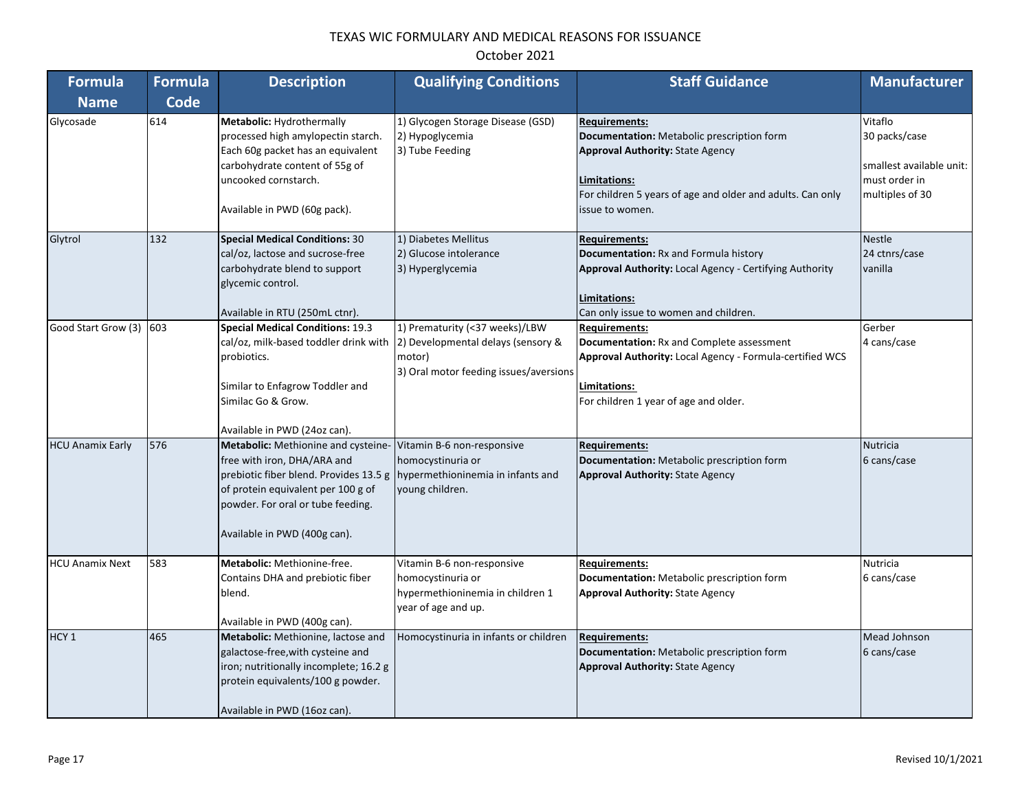| <b>Formula</b>          | <b>Formula</b> | <b>Description</b>                                                                                                                                                                                                      | <b>Qualifying Conditions</b>                                                                                             | <b>Staff Guidance</b>                                                                                                                                                                                          | <b>Manufacturer</b>                                                                      |
|-------------------------|----------------|-------------------------------------------------------------------------------------------------------------------------------------------------------------------------------------------------------------------------|--------------------------------------------------------------------------------------------------------------------------|----------------------------------------------------------------------------------------------------------------------------------------------------------------------------------------------------------------|------------------------------------------------------------------------------------------|
| <b>Name</b>             | <b>Code</b>    |                                                                                                                                                                                                                         |                                                                                                                          |                                                                                                                                                                                                                |                                                                                          |
| Glycosade               | 614            | Metabolic: Hydrothermally<br>processed high amylopectin starch.<br>Each 60g packet has an equivalent<br>carbohydrate content of 55g of<br>uncooked cornstarch.<br>Available in PWD (60g pack).                          | 1) Glycogen Storage Disease (GSD)<br>2) Hypoglycemia<br>3) Tube Feeding                                                  | <b>Requirements:</b><br>Documentation: Metabolic prescription form<br><b>Approval Authority: State Agency</b><br>Limitations:<br>For children 5 years of age and older and adults. Can only<br>issue to women. | Vitaflo<br>30 packs/case<br>smallest available unit:<br>must order in<br>multiples of 30 |
| Glytrol                 | 132            | <b>Special Medical Conditions: 30</b><br>cal/oz, lactose and sucrose-free<br>carbohydrate blend to support<br>glycemic control.<br>Available in RTU (250mL ctnr).                                                       | 1) Diabetes Mellitus<br>2) Glucose intolerance<br>3) Hyperglycemia                                                       | <b>Requirements:</b><br>Documentation: Rx and Formula history<br>Approval Authority: Local Agency - Certifying Authority<br>Limitations:<br>Can only issue to women and children.                              | <b>Nestle</b><br>24 ctnrs/case<br>vanilla                                                |
| Good Start Grow (3)     | 603            | <b>Special Medical Conditions: 19.3</b><br>cal/oz, milk-based toddler drink with<br>probiotics.<br>Similar to Enfagrow Toddler and<br>Similac Go & Grow.<br>Available in PWD (24oz can).                                | 1) Prematurity (<37 weeks)/LBW<br>2) Developmental delays (sensory &<br>motor)<br>3) Oral motor feeding issues/aversions | Requirements:<br><b>Documentation: Rx and Complete assessment</b><br>Approval Authority: Local Agency - Formula-certified WCS<br>Limitations:<br>For children 1 year of age and older.                         | Gerber<br>4 cans/case                                                                    |
| <b>HCU Anamix Early</b> | 576            | Metabolic: Methionine and cysteine-<br>free with iron, DHA/ARA and<br>prebiotic fiber blend. Provides 13.5 g<br>of protein equivalent per 100 g of<br>powder. For oral or tube feeding.<br>Available in PWD (400g can). | Vitamin B-6 non-responsive<br>homocystinuria or<br>hypermethioninemia in infants and<br>young children.                  | <b>Requirements:</b><br>Documentation: Metabolic prescription form<br><b>Approval Authority: State Agency</b>                                                                                                  | Nutricia<br>6 cans/case                                                                  |
| <b>HCU Anamix Next</b>  | 583            | Metabolic: Methionine-free.<br>Contains DHA and prebiotic fiber<br>blend.<br>Available in PWD (400g can).                                                                                                               | Vitamin B-6 non-responsive<br>homocystinuria or<br>hypermethioninemia in children 1<br>year of age and up.               | <b>Requirements:</b><br>Documentation: Metabolic prescription form<br><b>Approval Authority: State Agency</b>                                                                                                  | Nutricia<br>6 cans/case                                                                  |
| HCY <sub>1</sub>        | 465            | Metabolic: Methionine, lactose and<br>galactose-free, with cysteine and<br>iron; nutritionally incomplete; 16.2 g<br>protein equivalents/100 g powder.<br>Available in PWD (16oz can).                                  | Homocystinuria in infants or children                                                                                    | <b>Requirements:</b><br>Documentation: Metabolic prescription form<br><b>Approval Authority: State Agency</b>                                                                                                  | Mead Johnson<br>6 cans/case                                                              |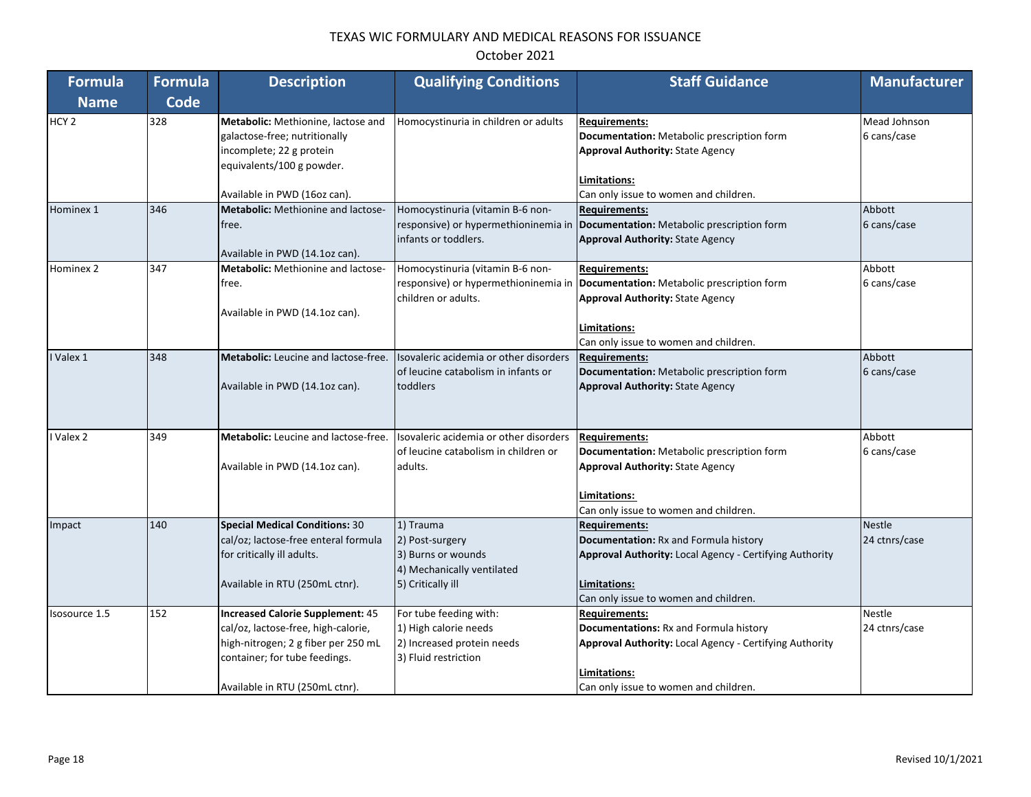# October 2021

| <b>Formula</b>   | <b>Formula</b> | <b>Description</b>                                                                                                                                                                       | <b>Qualifying Conditions</b>                                                                          | <b>Staff Guidance</b>                                                                                                                                                                                        | <b>Manufacturer</b>            |
|------------------|----------------|------------------------------------------------------------------------------------------------------------------------------------------------------------------------------------------|-------------------------------------------------------------------------------------------------------|--------------------------------------------------------------------------------------------------------------------------------------------------------------------------------------------------------------|--------------------------------|
| <b>Name</b>      | <b>Code</b>    |                                                                                                                                                                                          |                                                                                                       |                                                                                                                                                                                                              |                                |
| HCY <sub>2</sub> | 328            | Metabolic: Methionine, lactose and<br>galactose-free; nutritionally<br>incomplete; 22 g protein                                                                                          | Homocystinuria in children or adults                                                                  | <b>Requirements:</b><br>Documentation: Metabolic prescription form<br><b>Approval Authority: State Agency</b>                                                                                                | Mead Johnson<br>6 cans/case    |
|                  |                | equivalents/100 g powder.<br>Available in PWD (16oz can).                                                                                                                                |                                                                                                       | Limitations:<br>Can only issue to women and children.                                                                                                                                                        |                                |
| Hominex 1        | 346            | Metabolic: Methionine and lactose-<br>free.<br>Available in PWD (14.1oz can).                                                                                                            | Homocystinuria (vitamin B-6 non-<br>infants or toddlers.                                              | <b>Requirements:</b><br>responsive) or hypermethioninemia in <b>Documentation:</b> Metabolic prescription form<br><b>Approval Authority: State Agency</b>                                                    | Abbott<br>6 cans/case          |
| Hominex 2        | 347            | <b>Metabolic:</b> Methionine and lactose-<br>free.<br>Available in PWD (14.1oz can).                                                                                                     | Homocystinuria (vitamin B-6 non-<br>children or adults.                                               | <b>Requirements:</b><br>responsive) or hypermethioninemia in  Documentation: Metabolic prescription form<br><b>Approval Authority: State Agency</b><br>Limitations:<br>Can only issue to women and children. | Abbott<br>6 cans/case          |
| Valex 1          | 348            | <b>Metabolic:</b> Leucine and lactose-free.<br>Available in PWD (14.1oz can).                                                                                                            | Isovaleric acidemia or other disorders<br>of leucine catabolism in infants or<br>toddlers             | <b>Requirements:</b><br>Documentation: Metabolic prescription form<br><b>Approval Authority: State Agency</b>                                                                                                | Abbott<br>6 cans/case          |
| Valex 2          | 349            | <b>Metabolic:</b> Leucine and lactose-free.<br>Available in PWD (14.1oz can).                                                                                                            | Isovaleric acidemia or other disorders<br>of leucine catabolism in children or<br>adults.             | <b>Requirements:</b><br>Documentation: Metabolic prescription form<br><b>Approval Authority: State Agency</b><br>Limitations:<br>Can only issue to women and children.                                       | Abbott<br>6 cans/case          |
| Impact           | 140            | <b>Special Medical Conditions: 30</b><br>cal/oz; lactose-free enteral formula<br>for critically ill adults.<br>Available in RTU (250mL ctnr).                                            | 1) Trauma<br>2) Post-surgery<br>3) Burns or wounds<br>4) Mechanically ventilated<br>5) Critically ill | <b>Requirements:</b><br>Documentation: Rx and Formula history<br>Approval Authority: Local Agency - Certifying Authority<br>Limitations:<br>Can only issue to women and children.                            | <b>Nestle</b><br>24 ctnrs/case |
| Isosource 1.5    | 152            | <b>Increased Calorie Supplement: 45</b><br>cal/oz, lactose-free, high-calorie,<br>high-nitrogen; 2 g fiber per 250 mL<br>container; for tube feedings.<br>Available in RTU (250mL ctnr). | For tube feeding with:<br>1) High calorie needs<br>2) Increased protein needs<br>3) Fluid restriction | <b>Requirements:</b><br>Documentations: Rx and Formula history<br>Approval Authority: Local Agency - Certifying Authority<br>Limitations:<br>Can only issue to women and children.                           | <b>Nestle</b><br>24 ctnrs/case |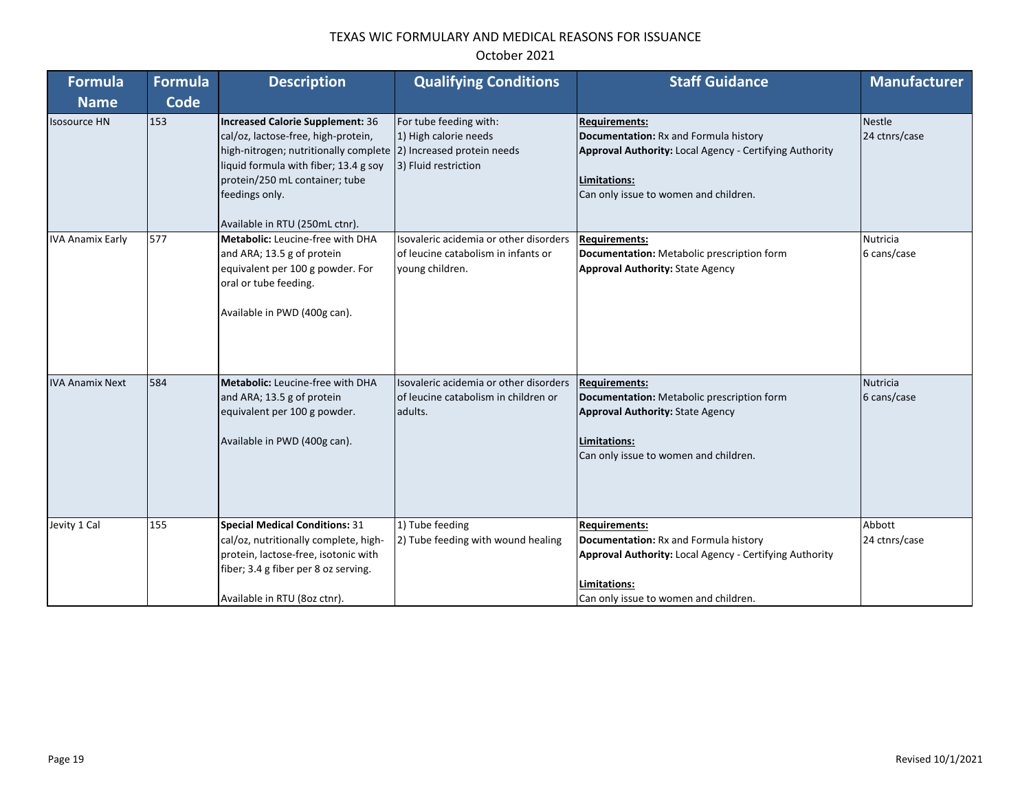| Formula                 | <b>Formula</b> | <b>Description</b>                                                                                                                                                                                                                                                          | <b>Qualifying Conditions</b>                                                                     | <b>Staff Guidance</b>                                                                                                                                                                    | <b>Manufacturer</b>            |
|-------------------------|----------------|-----------------------------------------------------------------------------------------------------------------------------------------------------------------------------------------------------------------------------------------------------------------------------|--------------------------------------------------------------------------------------------------|------------------------------------------------------------------------------------------------------------------------------------------------------------------------------------------|--------------------------------|
| <b>Name</b>             | <b>Code</b>    |                                                                                                                                                                                                                                                                             |                                                                                                  |                                                                                                                                                                                          |                                |
| <b>Isosource HN</b>     | 153            | Increased Calorie Supplement: 36<br>cal/oz, lactose-free, high-protein,<br>high-nitrogen; nutritionally complete (2) Increased protein needs<br>liquid formula with fiber; 13.4 g soy<br>protein/250 mL container; tube<br>feedings only.<br>Available in RTU (250mL ctnr). | For tube feeding with:<br>1) High calorie needs<br>3) Fluid restriction                          | <b>Requirements:</b><br>Documentation: Rx and Formula history<br>Approval Authority: Local Agency - Certifying Authority<br>Limitations:<br>Can only issue to women and children.        | <b>Nestle</b><br>24 ctnrs/case |
| <b>IVA Anamix Early</b> | 577            | Metabolic: Leucine-free with DHA<br>and ARA; 13.5 g of protein<br>equivalent per 100 g powder. For<br>oral or tube feeding.<br>Available in PWD (400g can).                                                                                                                 | Isovaleric acidemia or other disorders<br>of leucine catabolism in infants or<br>young children. | <b>Requirements:</b><br>Documentation: Metabolic prescription form<br><b>Approval Authority: State Agency</b>                                                                            | <b>Nutricia</b><br>6 cans/case |
| <b>IVA Anamix Next</b>  | 584            | <b>Metabolic:</b> Leucine-free with DHA<br>and ARA; 13.5 g of protein<br>equivalent per 100 g powder.<br>Available in PWD (400g can).                                                                                                                                       | Isovaleric acidemia or other disorders<br>of leucine catabolism in children or<br>adults.        | <b>Requirements:</b><br>Documentation: Metabolic prescription form<br><b>Approval Authority: State Agency</b><br>Limitations:<br>Can only issue to women and children.                   | <b>Nutricia</b><br>6 cans/case |
| Jevity 1 Cal            | 155            | <b>Special Medical Conditions: 31</b><br>cal/oz, nutritionally complete, high-<br>protein, lactose-free, isotonic with<br>fiber; 3.4 g fiber per 8 oz serving.<br>Available in RTU (8oz ctnr).                                                                              | 1) Tube feeding<br>2) Tube feeding with wound healing                                            | <b>Requirements:</b><br>Documentation: Rx and Formula history<br><b>Approval Authority: Local Agency - Certifying Authority</b><br>Limitations:<br>Can only issue to women and children. | Abbott<br>24 ctnrs/case        |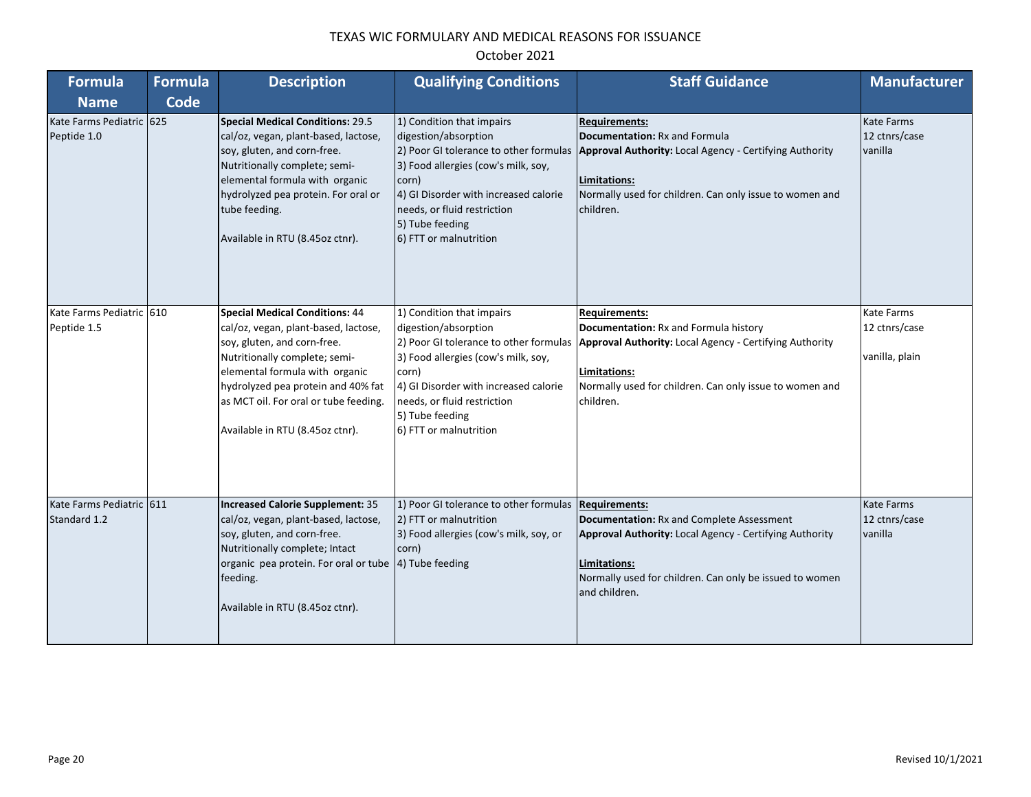| <b>Formula</b><br><b>Name</b>            | <b>Formula</b><br>Code | <b>Description</b>                                                                                                                                                                                                                                                                                | <b>Qualifying Conditions</b>                                                                                                                                                                                           | <b>Staff Guidance</b>                                                                                                                                                                                                                                     | <b>Manufacturer</b>                           |
|------------------------------------------|------------------------|---------------------------------------------------------------------------------------------------------------------------------------------------------------------------------------------------------------------------------------------------------------------------------------------------|------------------------------------------------------------------------------------------------------------------------------------------------------------------------------------------------------------------------|-----------------------------------------------------------------------------------------------------------------------------------------------------------------------------------------------------------------------------------------------------------|-----------------------------------------------|
| Kate Farms Pediatric 625<br>Peptide 1.0  |                        | <b>Special Medical Conditions: 29.5</b><br>cal/oz, vegan, plant-based, lactose,<br>soy, gluten, and corn-free.<br>Nutritionally complete; semi-<br>elemental formula with organic<br>hydrolyzed pea protein. For oral or<br>tube feeding.<br>Available in RTU (8.45oz ctnr).                      | 1) Condition that impairs<br>digestion/absorption<br>3) Food allergies (cow's milk, soy,<br>corn)<br>4) GI Disorder with increased calorie<br>needs, or fluid restriction<br>5) Tube feeding<br>6) FTT or malnutrition | <b>Requirements:</b><br>Documentation: Rx and Formula<br>2) Poor GI tolerance to other formulas   Approval Authority: Local Agency - Certifying Authority<br>Limitations:<br>Normally used for children. Can only issue to women and<br>children.         | Kate Farms<br>12 ctnrs/case<br>vanilla        |
| Kate Farms Pediatric 610<br>Peptide 1.5  |                        | <b>Special Medical Conditions: 44</b><br>cal/oz, vegan, plant-based, lactose,<br>soy, gluten, and corn-free.<br>Nutritionally complete; semi-<br>elemental formula with organic<br>hydrolyzed pea protein and 40% fat<br>as MCT oil. For oral or tube feeding.<br>Available in RTU (8.45oz ctnr). | 1) Condition that impairs<br>digestion/absorption<br>3) Food allergies (cow's milk, soy,<br>corn)<br>4) GI Disorder with increased calorie<br>needs, or fluid restriction<br>5) Tube feeding<br>6) FTT or malnutrition | <b>Requirements:</b><br>Documentation: Rx and Formula history<br>2) Poor GI tolerance to other formulas   Approval Authority: Local Agency - Certifying Authority<br>Limitations:<br>Normally used for children. Can only issue to women and<br>children. | Kate Farms<br>12 ctnrs/case<br>vanilla, plain |
| Kate Farms Pediatric 611<br>Standard 1.2 |                        | <b>Increased Calorie Supplement: 35</b><br>cal/oz, vegan, plant-based, lactose,<br>soy, gluten, and corn-free.<br>Nutritionally complete; Intact<br>organic pea protein. For oral or tube<br>feeding.<br>Available in RTU (8.45oz ctnr).                                                          | 1) Poor GI tolerance to other formulas Requirements:<br>2) FTT or malnutrition<br>3) Food allergies (cow's milk, soy, or<br>corn)<br>4) Tube feeding                                                                   | Documentation: Rx and Complete Assessment<br><b>Approval Authority: Local Agency - Certifying Authority</b><br>Limitations:<br>Normally used for children. Can only be issued to women<br>and children.                                                   | Kate Farms<br>12 ctnrs/case<br>vanilla        |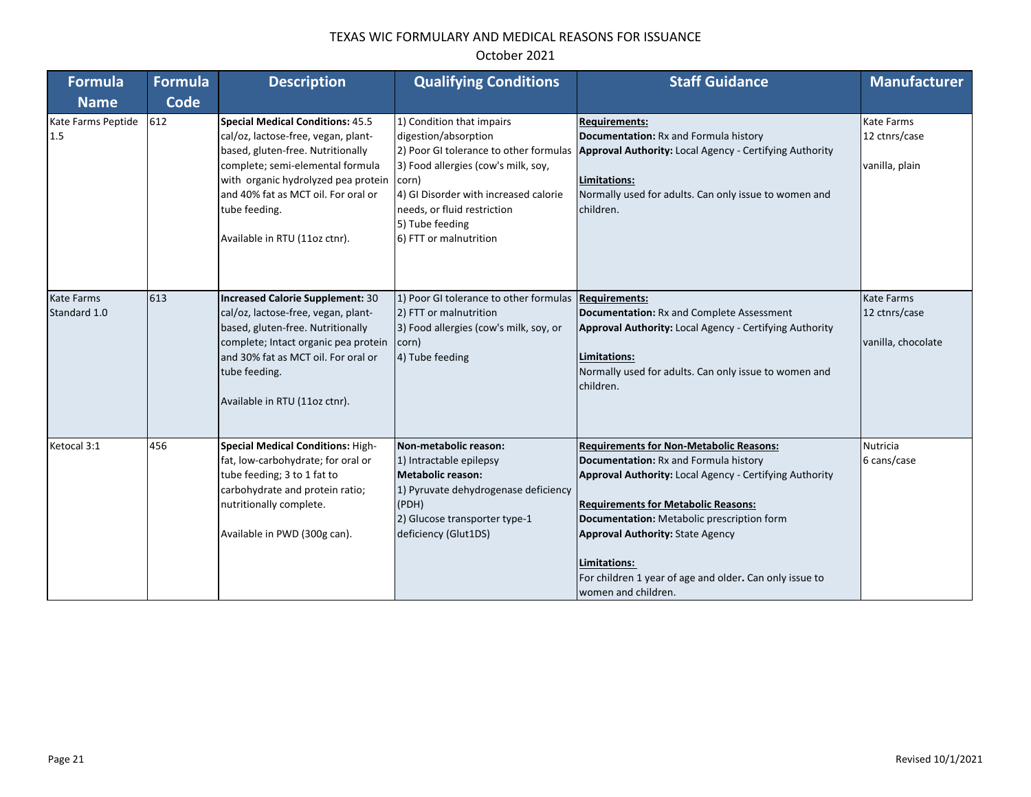| Formula            | <b>Formula</b> | <b>Description</b>                       | <b>Qualifying Conditions</b>           | <b>Staff Guidance</b>                                                   | <b>Manufacturer</b> |
|--------------------|----------------|------------------------------------------|----------------------------------------|-------------------------------------------------------------------------|---------------------|
| <b>Name</b>        | Code           |                                          |                                        |                                                                         |                     |
| Kate Farms Peptide | 612            | <b>Special Medical Conditions: 45.5</b>  | 1) Condition that impairs              | <b>Requirements:</b>                                                    | <b>Kate Farms</b>   |
| 1.5                |                | cal/oz, lactose-free, vegan, plant-      | digestion/absorption                   | Documentation: Rx and Formula history                                   | 12 ctnrs/case       |
|                    |                | based, gluten-free. Nutritionally        | 2) Poor GI tolerance to other formulas | Approval Authority: Local Agency - Certifying Authority                 |                     |
|                    |                | complete; semi-elemental formula         | 3) Food allergies (cow's milk, soy,    |                                                                         | vanilla, plain      |
|                    |                | with organic hydrolyzed pea protein      | corn)                                  | Limitations:                                                            |                     |
|                    |                | and 40% fat as MCT oil. For oral or      | 4) GI Disorder with increased calorie  | Normally used for adults. Can only issue to women and                   |                     |
|                    |                | tube feeding.                            | needs, or fluid restriction            | children.                                                               |                     |
|                    |                |                                          | 5) Tube feeding                        |                                                                         |                     |
|                    |                | Available in RTU (11oz ctnr).            | 6) FTT or malnutrition                 |                                                                         |                     |
|                    |                |                                          |                                        |                                                                         |                     |
|                    |                |                                          |                                        |                                                                         |                     |
| <b>Kate Farms</b>  | 613            | <b>Increased Calorie Supplement: 30</b>  | 1) Poor GI tolerance to other formulas | <b>Requirements:</b>                                                    | <b>Kate Farms</b>   |
| Standard 1.0       |                | cal/oz, lactose-free, vegan, plant-      | 2) FTT or malnutrition                 | Documentation: Rx and Complete Assessment                               | 12 ctnrs/case       |
|                    |                | based, gluten-free. Nutritionally        | 3) Food allergies (cow's milk, soy, or | Approval Authority: Local Agency - Certifying Authority                 |                     |
|                    |                | complete; Intact organic pea protein     | corn)                                  |                                                                         | vanilla, chocolate  |
|                    |                | and 30% fat as MCT oil. For oral or      | 4) Tube feeding                        | Limitations:                                                            |                     |
|                    |                | tube feeding.                            |                                        | Normally used for adults. Can only issue to women and                   |                     |
|                    |                |                                          |                                        | children.                                                               |                     |
|                    |                | Available in RTU (11oz ctnr).            |                                        |                                                                         |                     |
|                    |                |                                          |                                        |                                                                         |                     |
|                    |                |                                          |                                        |                                                                         |                     |
| Ketocal 3:1        | 456            | <b>Special Medical Conditions: High-</b> | Non-metabolic reason:                  | <b>Requirements for Non-Metabolic Reasons:</b>                          | Nutricia            |
|                    |                | fat, low-carbohydrate; for oral or       | 1) Intractable epilepsy                | Documentation: Rx and Formula history                                   | 6 cans/case         |
|                    |                | tube feeding; 3 to 1 fat to              | <b>Metabolic reason:</b>               | Approval Authority: Local Agency - Certifying Authority                 |                     |
|                    |                | carbohydrate and protein ratio;          | 1) Pyruvate dehydrogenase deficiency   |                                                                         |                     |
|                    |                | nutritionally complete.                  | (PDH)                                  | <b>Requirements for Metabolic Reasons:</b>                              |                     |
|                    |                |                                          | 2) Glucose transporter type-1          | Documentation: Metabolic prescription form                              |                     |
|                    |                | Available in PWD (300g can).             | deficiency (Glut1DS)                   | <b>Approval Authority: State Agency</b>                                 |                     |
|                    |                |                                          |                                        |                                                                         |                     |
|                    |                |                                          |                                        | Limitations:<br>For children 1 year of age and older. Can only issue to |                     |
|                    |                |                                          |                                        | women and children.                                                     |                     |
|                    |                |                                          |                                        |                                                                         |                     |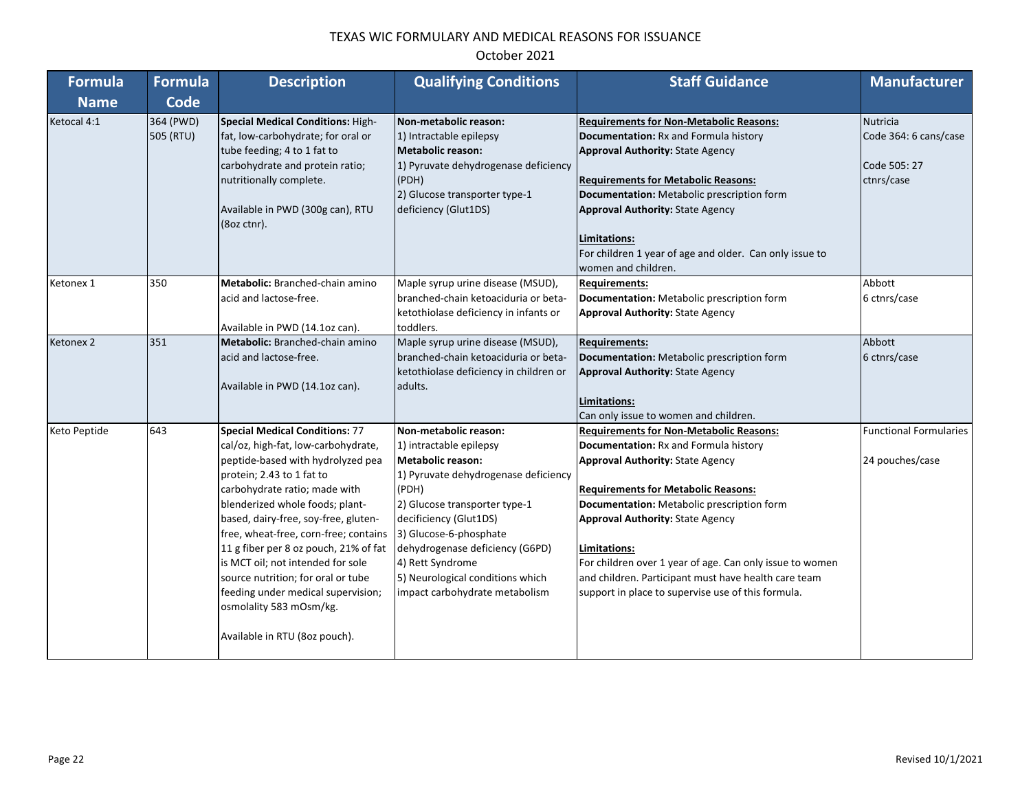| <b>Formula</b> | <b>Formula</b>         | <b>Description</b>                                                                                                                                                                                                                                                                                                                                                                                                                                                                                                        | <b>Qualifying Conditions</b>                                                                                                                                                                                                                                                                                                                    | <b>Staff Guidance</b>                                                                                                                                                                                                                                                                                                                                                                                                                                               | <b>Manufacturer</b>                                                    |
|----------------|------------------------|---------------------------------------------------------------------------------------------------------------------------------------------------------------------------------------------------------------------------------------------------------------------------------------------------------------------------------------------------------------------------------------------------------------------------------------------------------------------------------------------------------------------------|-------------------------------------------------------------------------------------------------------------------------------------------------------------------------------------------------------------------------------------------------------------------------------------------------------------------------------------------------|---------------------------------------------------------------------------------------------------------------------------------------------------------------------------------------------------------------------------------------------------------------------------------------------------------------------------------------------------------------------------------------------------------------------------------------------------------------------|------------------------------------------------------------------------|
| <b>Name</b>    | <b>Code</b>            |                                                                                                                                                                                                                                                                                                                                                                                                                                                                                                                           |                                                                                                                                                                                                                                                                                                                                                 |                                                                                                                                                                                                                                                                                                                                                                                                                                                                     |                                                                        |
| Ketocal 4:1    | 364 (PWD)<br>505 (RTU) | Special Medical Conditions: High-<br>fat, low-carbohydrate; for oral or<br>tube feeding; 4 to 1 fat to<br>carbohydrate and protein ratio;<br>nutritionally complete.<br>Available in PWD (300g can), RTU<br>(8oz ctnr).                                                                                                                                                                                                                                                                                                   | Non-metabolic reason:<br>1) Intractable epilepsy<br><b>Metabolic reason:</b><br>1) Pyruvate dehydrogenase deficiency<br>(PDH)<br>2) Glucose transporter type-1<br>deficiency (Glut1DS)                                                                                                                                                          | <b>Requirements for Non-Metabolic Reasons:</b><br>Documentation: Rx and Formula history<br><b>Approval Authority: State Agency</b><br><b>Requirements for Metabolic Reasons:</b><br>Documentation: Metabolic prescription form<br><b>Approval Authority: State Agency</b><br>Limitations:<br>For children 1 year of age and older. Can only issue to<br>women and children.                                                                                         | <b>Nutricia</b><br>Code 364: 6 cans/case<br>Code 505: 27<br>ctnrs/case |
| Ketonex 1      | 350                    | Metabolic: Branched-chain amino<br>acid and lactose-free.<br>Available in PWD (14.1oz can).                                                                                                                                                                                                                                                                                                                                                                                                                               | Maple syrup urine disease (MSUD),<br>branched-chain ketoaciduria or beta-<br>ketothiolase deficiency in infants or<br>toddlers.                                                                                                                                                                                                                 | <b>Requirements:</b><br>Documentation: Metabolic prescription form<br><b>Approval Authority: State Agency</b>                                                                                                                                                                                                                                                                                                                                                       | Abbott<br>6 ctnrs/case                                                 |
| Ketonex 2      | 351                    | Metabolic: Branched-chain amino<br>acid and lactose-free.<br>Available in PWD (14.1oz can).                                                                                                                                                                                                                                                                                                                                                                                                                               | Maple syrup urine disease (MSUD),<br>branched-chain ketoaciduria or beta-<br>ketothiolase deficiency in children or<br>adults.                                                                                                                                                                                                                  | <b>Requirements:</b><br>Documentation: Metabolic prescription form<br><b>Approval Authority: State Agency</b><br>Limitations:<br>Can only issue to women and children.                                                                                                                                                                                                                                                                                              | Abbott<br>6 ctnrs/case                                                 |
| Keto Peptide   | 643                    | <b>Special Medical Conditions: 77</b><br>cal/oz, high-fat, low-carbohydrate,<br>peptide-based with hydrolyzed pea<br>protein; 2.43 to 1 fat to<br>carbohydrate ratio; made with<br>blenderized whole foods; plant-<br>based, dairy-free, soy-free, gluten-<br>free, wheat-free, corn-free; contains<br>11 g fiber per 8 oz pouch, 21% of fat<br>is MCT oil; not intended for sole<br>source nutrition; for oral or tube<br>feeding under medical supervision;<br>osmolality 583 mOsm/kg.<br>Available in RTU (8oz pouch). | Non-metabolic reason:<br>1) intractable epilepsy<br><b>Metabolic reason:</b><br>1) Pyruvate dehydrogenase deficiency<br>(PDH)<br>2) Glucose transporter type-1<br>decificiency (Glut1DS)<br>3) Glucose-6-phosphate<br>dehydrogenase deficiency (G6PD)<br>4) Rett Syndrome<br>5) Neurological conditions which<br>impact carbohydrate metabolism | <b>Requirements for Non-Metabolic Reasons:</b><br>Documentation: Rx and Formula history<br><b>Approval Authority: State Agency</b><br><b>Requirements for Metabolic Reasons:</b><br>Documentation: Metabolic prescription form<br><b>Approval Authority: State Agency</b><br>Limitations:<br>For children over 1 year of age. Can only issue to women<br>and children. Participant must have health care team<br>support in place to supervise use of this formula. | <b>Functional Formularies</b><br>24 pouches/case                       |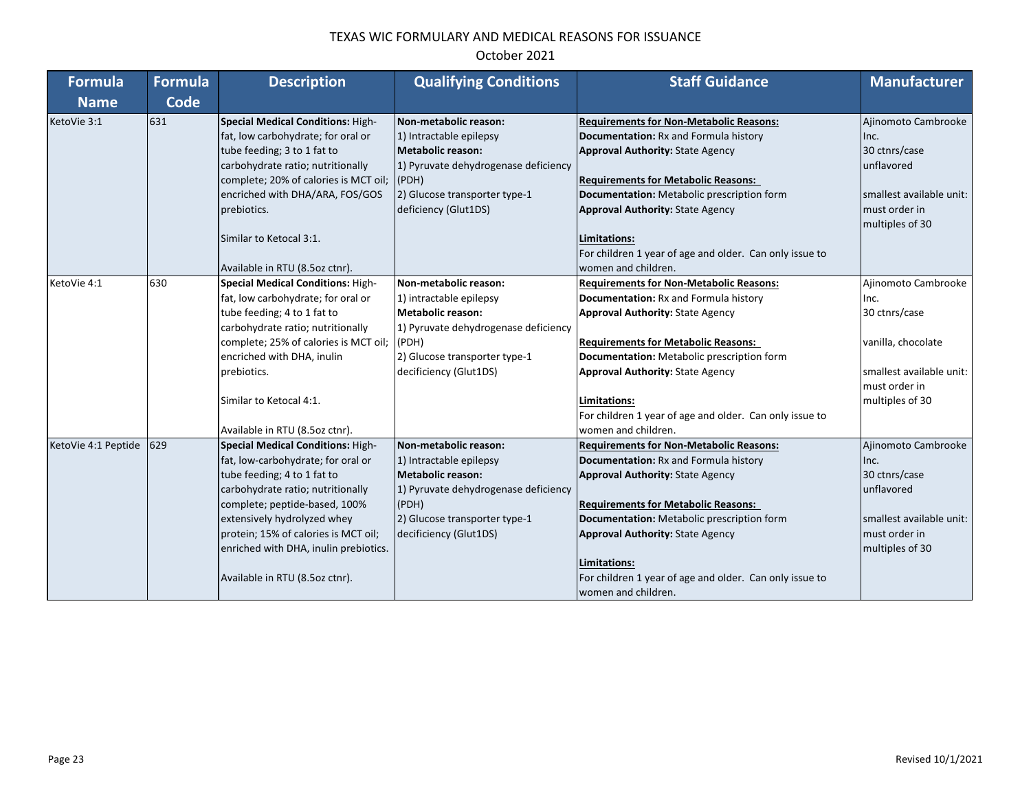| <b>Formula</b>      | <b>Formula</b> | <b>Description</b>                       | <b>Qualifying Conditions</b>         | <b>Staff Guidance</b>                                   | <b>Manufacturer</b>      |
|---------------------|----------------|------------------------------------------|--------------------------------------|---------------------------------------------------------|--------------------------|
| <b>Name</b>         | Code           |                                          |                                      |                                                         |                          |
| KetoVie 3:1         | 631            | <b>Special Medical Conditions: High-</b> | Non-metabolic reason:                | <b>Requirements for Non-Metabolic Reasons:</b>          | Ajinomoto Cambrooke      |
|                     |                | fat, low carbohydrate; for oral or       | 1) Intractable epilepsy              | Documentation: Rx and Formula history                   | Inc.                     |
|                     |                | tube feeding; 3 to 1 fat to              | Metabolic reason:                    | <b>Approval Authority: State Agency</b>                 | 30 ctnrs/case            |
|                     |                | carbohydrate ratio; nutritionally        | 1) Pyruvate dehydrogenase deficiency |                                                         | unflavored               |
|                     |                | complete; 20% of calories is MCT oil;    | (PDH)                                | <b>Requirements for Metabolic Reasons:</b>              |                          |
|                     |                | encriched with DHA/ARA, FOS/GOS          | 2) Glucose transporter type-1        | Documentation: Metabolic prescription form              | smallest available unit: |
|                     |                | prebiotics.                              | deficiency (Glut1DS)                 | <b>Approval Authority: State Agency</b>                 | must order in            |
|                     |                |                                          |                                      |                                                         | multiples of 30          |
|                     |                | Similar to Ketocal 3:1.                  |                                      | Limitations:                                            |                          |
|                     |                |                                          |                                      | For children 1 year of age and older. Can only issue to |                          |
|                     |                | Available in RTU (8.5oz ctnr).           |                                      | women and children.                                     |                          |
| KetoVie 4:1         | 630            | Special Medical Conditions: High-        | Non-metabolic reason:                | <b>Requirements for Non-Metabolic Reasons:</b>          | Ajinomoto Cambrooke      |
|                     |                | fat, low carbohydrate; for oral or       | 1) intractable epilepsy              | Documentation: Rx and Formula history                   | Inc.                     |
|                     |                | tube feeding; 4 to 1 fat to              | <b>Metabolic reason:</b>             | <b>Approval Authority: State Agency</b>                 | 30 ctnrs/case            |
|                     |                | carbohydrate ratio; nutritionally        | 1) Pyruvate dehydrogenase deficiency |                                                         |                          |
|                     |                | complete; 25% of calories is MCT oil;    | (PDH)                                | <b>Requirements for Metabolic Reasons:</b>              | vanilla, chocolate       |
|                     |                | encriched with DHA, inulin               | 2) Glucose transporter type-1        | Documentation: Metabolic prescription form              |                          |
|                     |                | prebiotics.                              | decificiency (Glut1DS)               | <b>Approval Authority: State Agency</b>                 | smallest available unit: |
|                     |                |                                          |                                      |                                                         | must order in            |
|                     |                | Similar to Ketocal 4:1.                  |                                      | Limitations:                                            | multiples of 30          |
|                     |                |                                          |                                      | For children 1 year of age and older. Can only issue to |                          |
|                     |                | Available in RTU (8.5oz ctnr).           |                                      | women and children.                                     |                          |
| KetoVie 4:1 Peptide | 629            | <b>Special Medical Conditions: High-</b> | Non-metabolic reason:                | <b>Requirements for Non-Metabolic Reasons:</b>          | Ajinomoto Cambrooke      |
|                     |                | fat, low-carbohydrate; for oral or       | 1) Intractable epilepsy              | Documentation: Rx and Formula history                   | Inc.                     |
|                     |                | tube feeding; 4 to 1 fat to              | Metabolic reason:                    | <b>Approval Authority: State Agency</b>                 | 30 ctnrs/case            |
|                     |                | carbohydrate ratio; nutritionally        | 1) Pyruvate dehydrogenase deficiency |                                                         | unflavored               |
|                     |                | complete; peptide-based, 100%            | (PDH)                                | <b>Requirements for Metabolic Reasons:</b>              |                          |
|                     |                | extensively hydrolyzed whey              | 2) Glucose transporter type-1        | Documentation: Metabolic prescription form              | smallest available unit: |
|                     |                | protein; 15% of calories is MCT oil;     | decificiency (Glut1DS)               | <b>Approval Authority: State Agency</b>                 | must order in            |
|                     |                | enriched with DHA, inulin prebiotics.    |                                      |                                                         | multiples of 30          |
|                     |                |                                          |                                      | Limitations:                                            |                          |
|                     |                | Available in RTU (8.5oz ctnr).           |                                      | For children 1 year of age and older. Can only issue to |                          |
|                     |                |                                          |                                      | women and children.                                     |                          |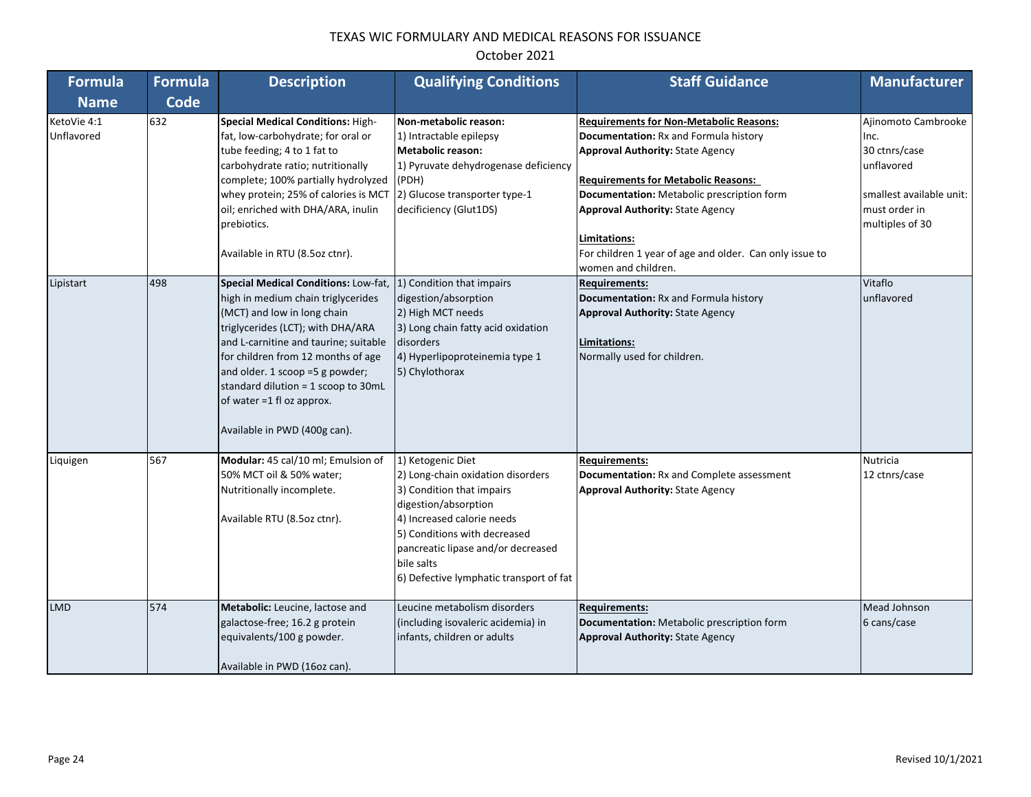| <b>Formula</b>            | <b>Formula</b> | <b>Description</b>                                                                                                                                                                                                                                                                                                                                                   | <b>Qualifying Conditions</b>                                                                                                                                                                                                                                             | <b>Staff Guidance</b>                                                                                                                                                                                                                                                                                                                                                       | <b>Manufacturer</b>                                                                                                        |
|---------------------------|----------------|----------------------------------------------------------------------------------------------------------------------------------------------------------------------------------------------------------------------------------------------------------------------------------------------------------------------------------------------------------------------|--------------------------------------------------------------------------------------------------------------------------------------------------------------------------------------------------------------------------------------------------------------------------|-----------------------------------------------------------------------------------------------------------------------------------------------------------------------------------------------------------------------------------------------------------------------------------------------------------------------------------------------------------------------------|----------------------------------------------------------------------------------------------------------------------------|
| <b>Name</b>               | <b>Code</b>    |                                                                                                                                                                                                                                                                                                                                                                      |                                                                                                                                                                                                                                                                          |                                                                                                                                                                                                                                                                                                                                                                             |                                                                                                                            |
| KetoVie 4:1<br>Unflavored | 632            | <b>Special Medical Conditions: High-</b><br>fat, low-carbohydrate; for oral or<br>tube feeding; 4 to 1 fat to<br>carbohydrate ratio; nutritionally<br>complete; 100% partially hydrolyzed<br>whey protein; 25% of calories is MCT<br>oil; enriched with DHA/ARA, inulin<br>prebiotics.<br>Available in RTU (8.5oz ctnr).                                             | Non-metabolic reason:<br>1) Intractable epilepsy<br><b>Metabolic reason:</b><br>1) Pyruvate dehydrogenase deficiency<br>(PDH)<br>2) Glucose transporter type-1<br>decificiency (Glut1DS)                                                                                 | <b>Requirements for Non-Metabolic Reasons:</b><br>Documentation: Rx and Formula history<br><b>Approval Authority: State Agency</b><br><b>Requirements for Metabolic Reasons:</b><br>Documentation: Metabolic prescription form<br><b>Approval Authority: State Agency</b><br>Limitations:<br>For children 1 year of age and older. Can only issue to<br>women and children. | Ajinomoto Cambrooke<br>Inc.<br>30 ctnrs/case<br>unflavored<br>smallest available unit:<br>must order in<br>multiples of 30 |
| Lipistart                 | 498            | Special Medical Conditions: Low-fat,<br>high in medium chain triglycerides<br>(MCT) and low in long chain<br>triglycerides (LCT); with DHA/ARA<br>and L-carnitine and taurine; suitable<br>for children from 12 months of age<br>and older. 1 scoop =5 g powder;<br>standard dilution = 1 scoop to 30mL<br>of water =1 fl oz approx.<br>Available in PWD (400g can). | 1) Condition that impairs<br>digestion/absorption<br>2) High MCT needs<br>3) Long chain fatty acid oxidation<br>disorders<br>4) Hyperlipoproteinemia type 1<br>5) Chylothorax                                                                                            | <b>Requirements:</b><br>Documentation: Rx and Formula history<br><b>Approval Authority: State Agency</b><br>Limitations:<br>Normally used for children.                                                                                                                                                                                                                     | Vitaflo<br>unflavored                                                                                                      |
| Liquigen                  | 567            | Modular: 45 cal/10 ml; Emulsion of<br>50% MCT oil & 50% water;<br>Nutritionally incomplete.<br>Available RTU (8.5oz ctnr).                                                                                                                                                                                                                                           | 1) Ketogenic Diet<br>2) Long-chain oxidation disorders<br>3) Condition that impairs<br>digestion/absorption<br>4) Increased calorie needs<br>5) Conditions with decreased<br>pancreatic lipase and/or decreased<br>bile salts<br>6) Defective lymphatic transport of fat | <b>Requirements:</b><br>Documentation: Rx and Complete assessment<br><b>Approval Authority: State Agency</b>                                                                                                                                                                                                                                                                | <b>Nutricia</b><br>12 ctnrs/case                                                                                           |
| <b>LMD</b>                | 574            | Metabolic: Leucine, lactose and<br>galactose-free; 16.2 g protein<br>equivalents/100 g powder.<br>Available in PWD (16oz can).                                                                                                                                                                                                                                       | Leucine metabolism disorders<br>(including isovaleric acidemia) in<br>infants, children or adults                                                                                                                                                                        | <b>Requirements:</b><br>Documentation: Metabolic prescription form<br><b>Approval Authority: State Agency</b>                                                                                                                                                                                                                                                               | Mead Johnson<br>6 cans/case                                                                                                |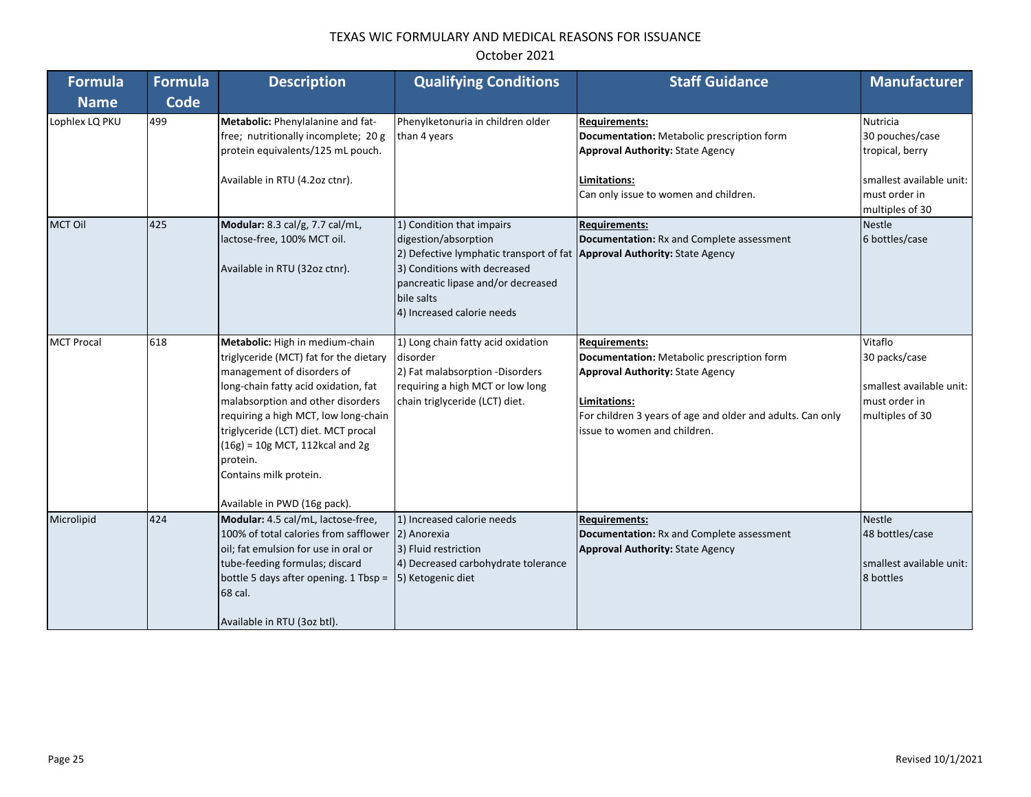| <b>Formula</b>    | <b>Formula</b> | <b>Description</b>                                                                                                                                                                                                                                                                                                                                                             | <b>Qualifying Conditions</b>                                                                                                                                                                                                                    | <b>Staff Guidance</b>                                                                                                                                                                                                       | <b>Manufacturer</b>                                                                                            |
|-------------------|----------------|--------------------------------------------------------------------------------------------------------------------------------------------------------------------------------------------------------------------------------------------------------------------------------------------------------------------------------------------------------------------------------|-------------------------------------------------------------------------------------------------------------------------------------------------------------------------------------------------------------------------------------------------|-----------------------------------------------------------------------------------------------------------------------------------------------------------------------------------------------------------------------------|----------------------------------------------------------------------------------------------------------------|
| <b>Name</b>       | <b>Code</b>    |                                                                                                                                                                                                                                                                                                                                                                                |                                                                                                                                                                                                                                                 |                                                                                                                                                                                                                             |                                                                                                                |
| Lophlex LQ PKU    | 499            | Metabolic: Phenylalanine and fat-<br>free; nutritionally incomplete; 20 g<br>protein equivalents/125 mL pouch.<br>Available in RTU (4.2oz ctnr).                                                                                                                                                                                                                               | Phenylketonuria in children older<br>than 4 years                                                                                                                                                                                               | <b>Requirements:</b><br>Documentation: Metabolic prescription form<br><b>Approval Authority: State Agency</b><br>Limitations:<br>Can only issue to women and children.                                                      | Nutricia<br>30 pouches/case<br>tropical, berry<br>smallest available unit:<br>must order in<br>multiples of 30 |
| <b>MCT Oil</b>    | 425            | Modular: 8.3 cal/g, 7.7 cal/mL,<br>lactose-free, 100% MCT oil.<br>Available in RTU (32oz ctnr).                                                                                                                                                                                                                                                                                | 1) Condition that impairs<br>digestion/absorption<br>2) Defective lymphatic transport of fat Approval Authority: State Agency<br>3) Conditions with decreased<br>pancreatic lipase and/or decreased<br>bile salts<br>4) Increased calorie needs | <b>Requirements:</b><br>Documentation: Rx and Complete assessment                                                                                                                                                           | <b>Nestle</b><br>6 bottles/case                                                                                |
| <b>MCT Procal</b> | 618            | Metabolic: High in medium-chain<br>triglyceride (MCT) fat for the dietary<br>management of disorders of<br>long-chain fatty acid oxidation, fat<br>malabsorption and other disorders<br>requiring a high MCT, low long-chain<br>triglyceride (LCT) diet. MCT procal<br>$(16g) = 10g$ MCT, 112kcal and 2g<br>protein.<br>Contains milk protein.<br>Available in PWD (16g pack). | 1) Long chain fatty acid oxidation<br>disorder<br>2) Fat malabsorption -Disorders<br>requiring a high MCT or low long<br>chain triglyceride (LCT) diet.                                                                                         | <b>Requirements:</b><br>Documentation: Metabolic prescription form<br><b>Approval Authority: State Agency</b><br>Limitations:<br>For children 3 years of age and older and adults. Can only<br>issue to women and children. | Vitaflo<br>30 packs/case<br>smallest available unit:<br>must order in<br>multiples of 30                       |
| Microlipid        | 424            | Modular: 4.5 cal/mL, lactose-free,<br>100% of total calories from safflower<br>oil; fat emulsion for use in oral or<br>tube-feeding formulas; discard<br>bottle 5 days after opening. 1 Tbsp =<br>68 cal.<br>Available in RTU (3oz btl).                                                                                                                                       | 1) Increased calorie needs<br>2) Anorexia<br>3) Fluid restriction<br>4) Decreased carbohydrate tolerance<br>5) Ketogenic diet                                                                                                                   | <b>Requirements:</b><br>Documentation: Rx and Complete assessment<br><b>Approval Authority: State Agency</b>                                                                                                                | <b>Nestle</b><br>48 bottles/case<br>smallest available unit:<br>8 bottles                                      |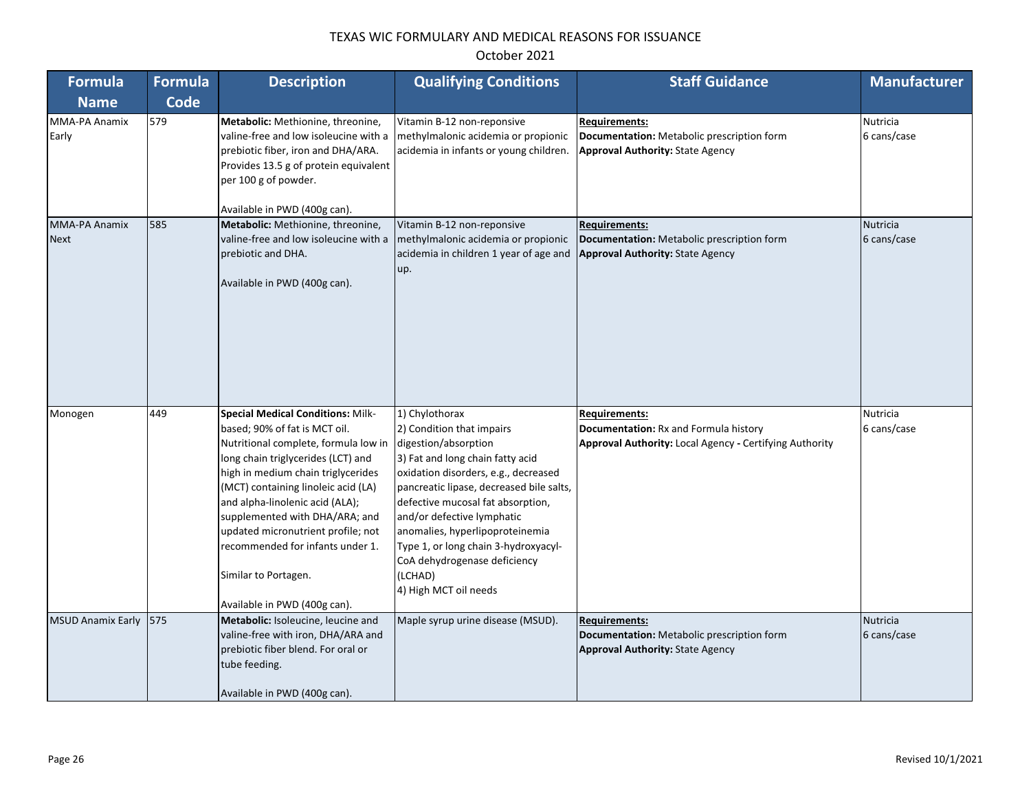| <b>Formula</b>           | <b>Formula</b> | <b>Description</b>                                                                                                                                                                                                                                                                                                                                                                              | <b>Qualifying Conditions</b>                                                                                                                                                                                                                                                                                                                                                                | <b>Staff Guidance</b>                                                                                         | <b>Manufacturer</b>     |
|--------------------------|----------------|-------------------------------------------------------------------------------------------------------------------------------------------------------------------------------------------------------------------------------------------------------------------------------------------------------------------------------------------------------------------------------------------------|---------------------------------------------------------------------------------------------------------------------------------------------------------------------------------------------------------------------------------------------------------------------------------------------------------------------------------------------------------------------------------------------|---------------------------------------------------------------------------------------------------------------|-------------------------|
| <b>Name</b>              | <b>Code</b>    |                                                                                                                                                                                                                                                                                                                                                                                                 |                                                                                                                                                                                                                                                                                                                                                                                             |                                                                                                               |                         |
| MMA-PA Anamix<br>Early   | 579            | Metabolic: Methionine, threonine,<br>valine-free and low isoleucine with a<br>prebiotic fiber, iron and DHA/ARA.<br>Provides 13.5 g of protein equivalent<br>per 100 g of powder.<br>Available in PWD (400g can).                                                                                                                                                                               | Vitamin B-12 non-reponsive<br>methylmalonic acidemia or propionic<br>acidemia in infants or young children.                                                                                                                                                                                                                                                                                 | <b>Requirements:</b><br>Documentation: Metabolic prescription form<br><b>Approval Authority: State Agency</b> | Nutricia<br>6 cans/case |
| <b>MMA-PA Anamix</b>     | 585            | Metabolic: Methionine, threonine,                                                                                                                                                                                                                                                                                                                                                               | Vitamin B-12 non-reponsive                                                                                                                                                                                                                                                                                                                                                                  | <b>Requirements:</b>                                                                                          | Nutricia                |
| <b>Next</b>              |                | valine-free and low isoleucine with a<br>prebiotic and DHA.<br>Available in PWD (400g can).                                                                                                                                                                                                                                                                                                     | methylmalonic acidemia or propionic<br>acidemia in children 1 year of age and<br>up.                                                                                                                                                                                                                                                                                                        | Documentation: Metabolic prescription form<br><b>Approval Authority: State Agency</b>                         | 6 cans/case             |
| Monogen                  | 449            | <b>Special Medical Conditions: Milk-</b>                                                                                                                                                                                                                                                                                                                                                        | 1) Chylothorax                                                                                                                                                                                                                                                                                                                                                                              | <b>Requirements:</b>                                                                                          | <b>Nutricia</b>         |
|                          |                | based; 90% of fat is MCT oil.<br>Nutritional complete, formula low in<br>long chain triglycerides (LCT) and<br>high in medium chain triglycerides<br>(MCT) containing linoleic acid (LA)<br>and alpha-linolenic acid (ALA);<br>supplemented with DHA/ARA; and<br>updated micronutrient profile; not<br>recommended for infants under 1.<br>Similar to Portagen.<br>Available in PWD (400g can). | 2) Condition that impairs<br>digestion/absorption<br>3) Fat and long chain fatty acid<br>oxidation disorders, e.g., decreased<br>pancreatic lipase, decreased bile salts,<br>defective mucosal fat absorption,<br>and/or defective lymphatic<br>anomalies, hyperlipoproteinemia<br>Type 1, or long chain 3-hydroxyacyl-<br>CoA dehydrogenase deficiency<br>(LCHAD)<br>4) High MCT oil needs | Documentation: Rx and Formula history<br>Approval Authority: Local Agency - Certifying Authority              | 6 cans/case             |
| <b>MSUD Anamix Early</b> | 575            | Metabolic: Isoleucine, leucine and                                                                                                                                                                                                                                                                                                                                                              | Maple syrup urine disease (MSUD).                                                                                                                                                                                                                                                                                                                                                           | <b>Requirements:</b>                                                                                          | Nutricia                |
|                          |                | valine-free with iron, DHA/ARA and<br>prebiotic fiber blend. For oral or<br>tube feeding.<br>Available in PWD (400g can).                                                                                                                                                                                                                                                                       |                                                                                                                                                                                                                                                                                                                                                                                             | Documentation: Metabolic prescription form<br><b>Approval Authority: State Agency</b>                         | 6 cans/case             |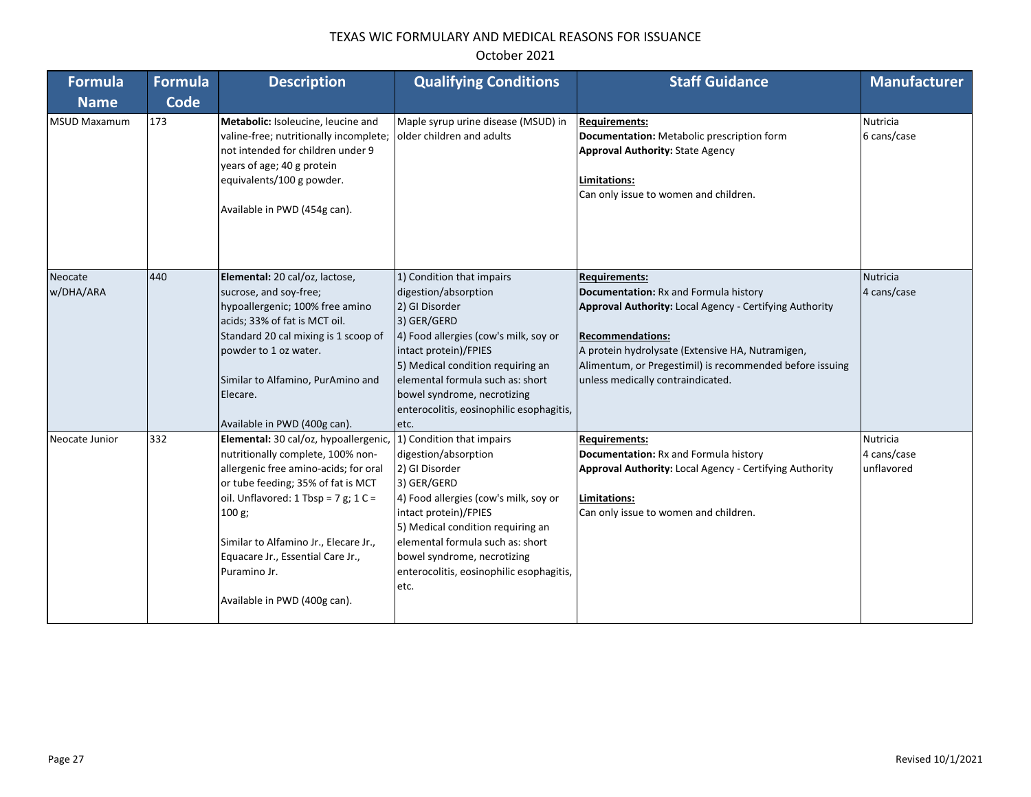# October 2021

| <b>Formula</b>       | <b>Formula</b> | <b>Description</b>                                                                                                                                                                                                                                                                                                                        | <b>Qualifying Conditions</b>                                                                                                                                                                                                                                                                                      | <b>Staff Guidance</b>                                                                                                                                                                                                                                                                                    | <b>Manufacturer</b>                   |
|----------------------|----------------|-------------------------------------------------------------------------------------------------------------------------------------------------------------------------------------------------------------------------------------------------------------------------------------------------------------------------------------------|-------------------------------------------------------------------------------------------------------------------------------------------------------------------------------------------------------------------------------------------------------------------------------------------------------------------|----------------------------------------------------------------------------------------------------------------------------------------------------------------------------------------------------------------------------------------------------------------------------------------------------------|---------------------------------------|
| <b>Name</b>          | Code           |                                                                                                                                                                                                                                                                                                                                           |                                                                                                                                                                                                                                                                                                                   |                                                                                                                                                                                                                                                                                                          |                                       |
| <b>MSUD Maxamum</b>  | 173            | Metabolic: Isoleucine, leucine and<br>valine-free; nutritionally incomplete;<br>not intended for children under 9<br>years of age; 40 g protein<br>equivalents/100 g powder.<br>Available in PWD (454g can).                                                                                                                              | Maple syrup urine disease (MSUD) in<br>older children and adults                                                                                                                                                                                                                                                  | <b>Requirements:</b><br>Documentation: Metabolic prescription form<br><b>Approval Authority: State Agency</b><br>Limitations:<br>Can only issue to women and children.                                                                                                                                   | <b>Nutricia</b><br>6 cans/case        |
| Neocate<br>w/DHA/ARA | 440            | Elemental: 20 cal/oz, lactose,<br>sucrose, and soy-free;<br>hypoallergenic; 100% free amino<br>acids; 33% of fat is MCT oil.<br>Standard 20 cal mixing is 1 scoop of<br>powder to 1 oz water.<br>Similar to Alfamino, PurAmino and<br>Elecare.<br>Available in PWD (400g can).                                                            | 1) Condition that impairs<br>digestion/absorption<br>2) GI Disorder<br>3) GER/GERD<br>4) Food allergies (cow's milk, soy or<br>intact protein)/FPIES<br>5) Medical condition requiring an<br>elemental formula such as: short<br>bowel syndrome, necrotizing<br>enterocolitis, eosinophilic esophagitis,<br>etc.  | <b>Requirements:</b><br>Documentation: Rx and Formula history<br><b>Approval Authority: Local Agency - Certifying Authority</b><br>Recommendations:<br>A protein hydrolysate (Extensive HA, Nutramigen,<br>Alimentum, or Pregestimil) is recommended before issuing<br>unless medically contraindicated. | <b>Nutricia</b><br>4 cans/case        |
| Neocate Junior       | 332            | Elemental: 30 cal/oz, hypoallergenic,<br>nutritionally complete, 100% non-<br>allergenic free amino-acids; for oral<br>or tube feeding; 35% of fat is MCT<br>oil. Unflavored: 1 Tbsp = 7 g; 1 C =<br>100 g;<br>Similar to Alfamino Jr., Elecare Jr.,<br>Equacare Jr., Essential Care Jr.,<br>Puramino Jr.<br>Available in PWD (400g can). | 1) Condition that impairs<br>digestion/absorption<br>2) GI Disorder<br>3) GER/GERD<br>4) Food allergies (cow's milk, soy or<br>intact protein)/FPIES<br>5) Medical condition requiring an<br>lelemental formula such as: short<br>bowel syndrome, necrotizing<br>enterocolitis, eosinophilic esophagitis,<br>etc. | <b>Requirements:</b><br>Documentation: Rx and Formula history<br>Approval Authority: Local Agency - Certifying Authority<br>Limitations:<br>Can only issue to women and children.                                                                                                                        | Nutricia<br>4 cans/case<br>unflavored |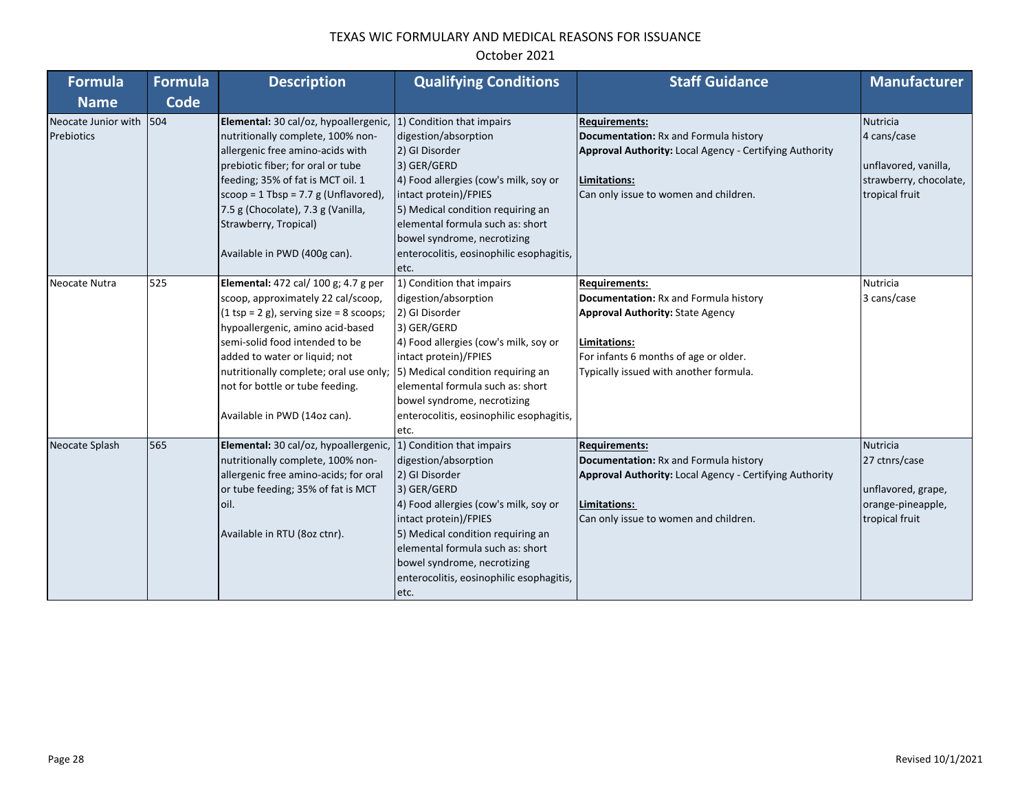| <b>Formula</b>      | <b>Formula</b> | <b>Description</b>                           | <b>Qualifying Conditions</b>             | <b>Staff Guidance</b>                                          | <b>Manufacturer</b>    |
|---------------------|----------------|----------------------------------------------|------------------------------------------|----------------------------------------------------------------|------------------------|
| <b>Name</b>         | <b>Code</b>    |                                              |                                          |                                                                |                        |
| Neocate Junior with | $\sqrt{504}$   | Elemental: 30 cal/oz, hypoallergenic,        | 1) Condition that impairs                | <b>Requirements:</b>                                           | <b>Nutricia</b>        |
| Prebiotics          |                | nutritionally complete, 100% non-            | digestion/absorption                     | Documentation: Rx and Formula history                          | 4 cans/case            |
|                     |                | allergenic free amino-acids with             | 2) GI Disorder                           | Approval Authority: Local Agency - Certifying Authority        |                        |
|                     |                | prebiotic fiber; for oral or tube            | 3) GER/GERD                              |                                                                | unflavored, vanilla,   |
|                     |                | feeding; 35% of fat is MCT oil. 1            | 4) Food allergies (cow's milk, soy or    | Limitations:                                                   | strawberry, chocolate, |
|                     |                | $\vert$ scoop = 1 Tbsp = 7.7 g (Unflavored), | intact protein)/FPIES                    | Can only issue to women and children.                          | tropical fruit         |
|                     |                | 7.5 g (Chocolate), 7.3 g (Vanilla,           | 5) Medical condition requiring an        |                                                                |                        |
|                     |                | Strawberry, Tropical)                        | elemental formula such as: short         |                                                                |                        |
|                     |                |                                              | bowel syndrome, necrotizing              |                                                                |                        |
|                     |                | Available in PWD (400g can).                 | enterocolitis, eosinophilic esophagitis, |                                                                |                        |
|                     |                |                                              | etc.                                     |                                                                |                        |
| Neocate Nutra       | 525            | Elemental: 472 cal/ 100 g; 4.7 g per         | 1) Condition that impairs                | <b>Requirements:</b>                                           | Nutricia               |
|                     |                | scoop, approximately 22 cal/scoop,           | digestion/absorption                     | Documentation: Rx and Formula history                          | 3 cans/case            |
|                     |                | $(1$ tsp = 2 g), serving size = 8 scoops;    | 2) GI Disorder                           | <b>Approval Authority: State Agency</b>                        |                        |
|                     |                | hypoallergenic, amino acid-based             | 3) GER/GERD                              |                                                                |                        |
|                     |                | semi-solid food intended to be               | 4) Food allergies (cow's milk, soy or    | Limitations:                                                   |                        |
|                     |                | added to water or liquid; not                | intact protein)/FPIES                    | For infants 6 months of age or older.                          |                        |
|                     |                | nutritionally complete; oral use only;       | 5) Medical condition requiring an        | Typically issued with another formula.                         |                        |
|                     |                | not for bottle or tube feeding.              | elemental formula such as: short         |                                                                |                        |
|                     |                |                                              | bowel syndrome, necrotizing              |                                                                |                        |
|                     |                | Available in PWD (14oz can).                 | enterocolitis, eosinophilic esophagitis, |                                                                |                        |
|                     |                |                                              | etc.                                     |                                                                |                        |
| Neocate Splash      | 565            | Elemental: 30 cal/oz, hypoallergenic,        | 1) Condition that impairs                | <b>Requirements:</b>                                           | <b>Nutricia</b>        |
|                     |                | nutritionally complete, 100% non-            | digestion/absorption                     | Documentation: Rx and Formula history                          | 27 ctnrs/case          |
|                     |                | allergenic free amino-acids; for oral        | 2) GI Disorder                           | <b>Approval Authority: Local Agency - Certifying Authority</b> |                        |
|                     |                | or tube feeding; 35% of fat is MCT           | 3) GER/GERD                              |                                                                | unflavored, grape,     |
|                     |                | loil.                                        | 4) Food allergies (cow's milk, soy or    | Limitations:                                                   | orange-pineapple,      |
|                     |                |                                              | intact protein)/FPIES                    | Can only issue to women and children.                          | tropical fruit         |
|                     |                | Available in RTU (8oz ctnr).                 | 5) Medical condition requiring an        |                                                                |                        |
|                     |                |                                              | elemental formula such as: short         |                                                                |                        |
|                     |                |                                              | bowel syndrome, necrotizing              |                                                                |                        |
|                     |                |                                              | enterocolitis, eosinophilic esophagitis, |                                                                |                        |
|                     |                |                                              | etc.                                     |                                                                |                        |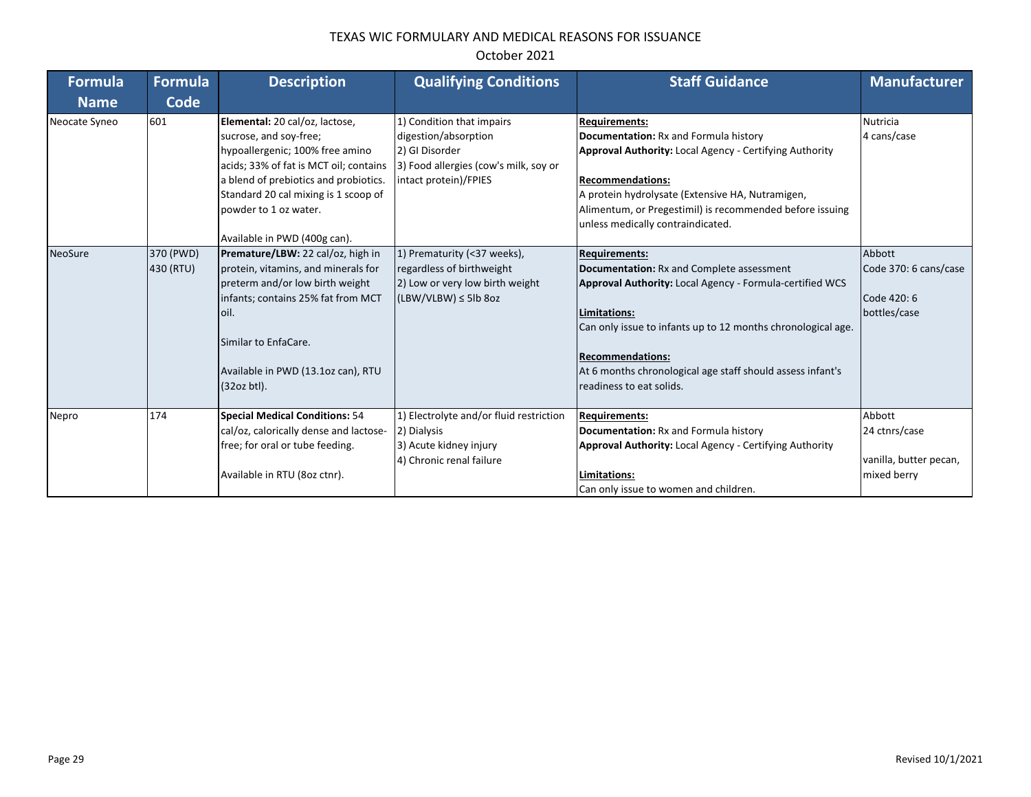| <b>Formula</b><br><b>Name</b> | Formula<br>Code        | <b>Description</b>                                                                                                                                                                                                                                                              | <b>Qualifying Conditions</b>                                                                                                          | <b>Staff Guidance</b>                                                                                                                                                                                                                                                                                                       | <b>Manufacturer</b>                                              |
|-------------------------------|------------------------|---------------------------------------------------------------------------------------------------------------------------------------------------------------------------------------------------------------------------------------------------------------------------------|---------------------------------------------------------------------------------------------------------------------------------------|-----------------------------------------------------------------------------------------------------------------------------------------------------------------------------------------------------------------------------------------------------------------------------------------------------------------------------|------------------------------------------------------------------|
| Neocate Syneo                 | 601                    | Elemental: 20 cal/oz, lactose,<br>sucrose, and soy-free;<br>hypoallergenic; 100% free amino<br>acids; 33% of fat is MCT oil; contains<br>a blend of prebiotics and probiotics.<br>Standard 20 cal mixing is 1 scoop of<br>powder to 1 oz water.<br>Available in PWD (400g can). | 1) Condition that impairs<br>digestion/absorption<br>2) GI Disorder<br>3) Food allergies (cow's milk, soy or<br>intact protein)/FPIES | <b>Requirements:</b><br>Documentation: Rx and Formula history<br><b>Approval Authority: Local Agency - Certifying Authority</b><br><b>Recommendations:</b><br>A protein hydrolysate (Extensive HA, Nutramigen,<br>Alimentum, or Pregestimil) is recommended before issuing<br>unless medically contraindicated.             | Nutricia<br>4 cans/case                                          |
| <b>NeoSure</b>                | 370 (PWD)<br>430 (RTU) | Premature/LBW: 22 cal/oz, high in<br>protein, vitamins, and minerals for<br>preterm and/or low birth weight<br>infants; contains 25% fat from MCT<br>loil.<br>Similar to EnfaCare.<br>Available in PWD (13.1oz can), RTU<br>(32oz btl).                                         | 1) Prematurity (<37 weeks),<br>regardless of birthweight<br>2) Low or very low birth weight<br>$(LBW/VLBW) \le 5lb 8oz$               | <b>Requirements:</b><br>Documentation: Rx and Complete assessment<br>Approval Authority: Local Agency - Formula-certified WCS<br>Limitations:<br>Can only issue to infants up to 12 months chronological age.<br>Recommendations:<br>At 6 months chronological age staff should assess infant's<br>readiness to eat solids. | Abbott<br>Code 370: 6 cans/case<br>Code 420: 6<br>bottles/case   |
| Nepro                         | 174                    | <b>Special Medical Conditions: 54</b><br>cal/oz, calorically dense and lactose-<br>free; for oral or tube feeding.<br>Available in RTU (8oz ctnr).                                                                                                                              | 1) Electrolyte and/or fluid restriction<br>2) Dialysis<br>3) Acute kidney injury<br>4) Chronic renal failure                          | <b>Requirements:</b><br>Documentation: Rx and Formula history<br><b>Approval Authority: Local Agency - Certifying Authority</b><br>Limitations:<br>Can only issue to women and children.                                                                                                                                    | Abbott<br>24 ctnrs/case<br>vanilla, butter pecan,<br>mixed berry |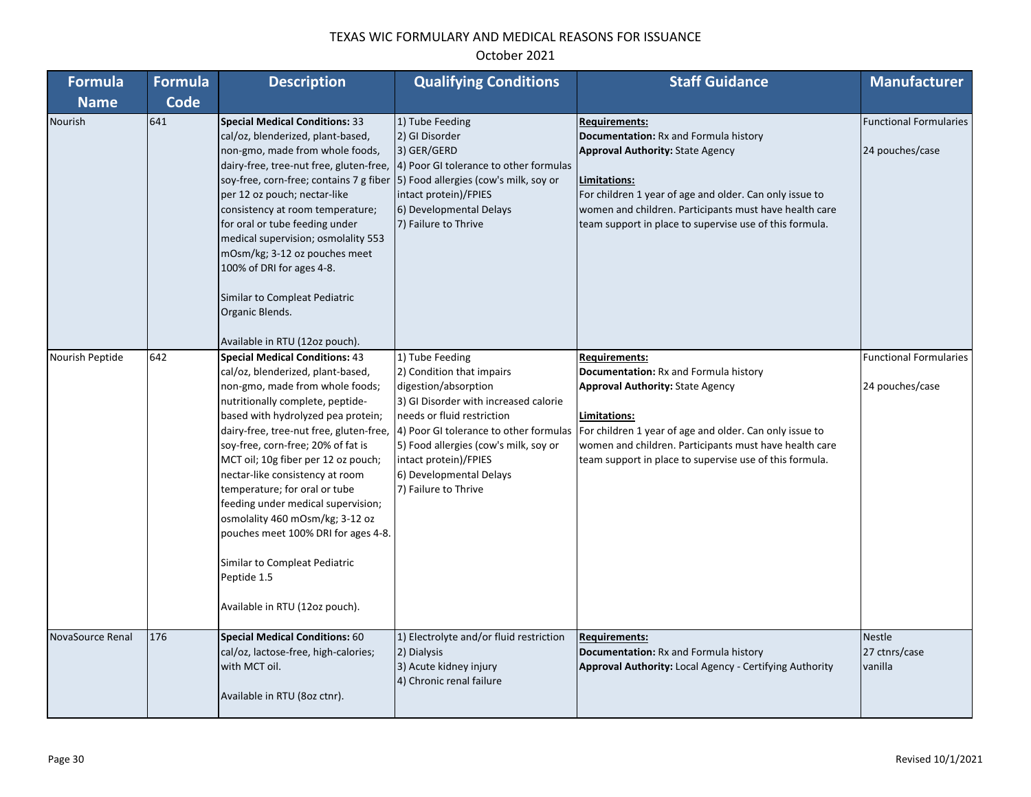| <b>Formula</b>   | <b>Formula</b> | <b>Description</b>                                                                                                                                                                                                                                                                                                                                                                                                                                                                                                                                                                    | <b>Qualifying Conditions</b>                                                                                                                                                                                                                                     | <b>Staff Guidance</b>                                                                                                                                                                                                                                                                                                                             | <b>Manufacturer</b>                              |
|------------------|----------------|---------------------------------------------------------------------------------------------------------------------------------------------------------------------------------------------------------------------------------------------------------------------------------------------------------------------------------------------------------------------------------------------------------------------------------------------------------------------------------------------------------------------------------------------------------------------------------------|------------------------------------------------------------------------------------------------------------------------------------------------------------------------------------------------------------------------------------------------------------------|---------------------------------------------------------------------------------------------------------------------------------------------------------------------------------------------------------------------------------------------------------------------------------------------------------------------------------------------------|--------------------------------------------------|
| <b>Name</b>      | <b>Code</b>    |                                                                                                                                                                                                                                                                                                                                                                                                                                                                                                                                                                                       |                                                                                                                                                                                                                                                                  |                                                                                                                                                                                                                                                                                                                                                   |                                                  |
| Nourish          | 641            | <b>Special Medical Conditions: 33</b><br>cal/oz, blenderized, plant-based,<br>non-gmo, made from whole foods,<br>dairy-free, tree-nut free, gluten-free,<br>soy-free, corn-free; contains 7 g fiber (5) Food allergies (cow's milk, soy or<br>per 12 oz pouch; nectar-like<br>consistency at room temperature;<br>for oral or tube feeding under<br>medical supervision; osmolality 553<br>mOsm/kg; 3-12 oz pouches meet<br>100% of DRI for ages 4-8.<br>Similar to Compleat Pediatric<br>Organic Blends.<br>Available in RTU (12oz pouch).                                           | 1) Tube Feeding<br>2) GI Disorder<br>3) GER/GERD<br>4) Poor GI tolerance to other formulas<br>intact protein)/FPIES<br>6) Developmental Delays<br>7) Failure to Thrive                                                                                           | <b>Requirements:</b><br>Documentation: Rx and Formula history<br><b>Approval Authority: State Agency</b><br>Limitations:<br>For children 1 year of age and older. Can only issue to<br>women and children. Participants must have health care<br>team support in place to supervise use of this formula.                                          | <b>Functional Formularies</b><br>24 pouches/case |
| Nourish Peptide  | 642            | <b>Special Medical Conditions: 43</b><br>cal/oz, blenderized, plant-based,<br>non-gmo, made from whole foods;<br>nutritionally complete, peptide-<br>based with hydrolyzed pea protein;<br>dairy-free, tree-nut free, gluten-free,<br>soy-free, corn-free; 20% of fat is<br>MCT oil; 10g fiber per 12 oz pouch;<br>nectar-like consistency at room<br>temperature; for oral or tube<br>feeding under medical supervision;<br>osmolality 460 mOsm/kg; 3-12 oz<br>pouches meet 100% DRI for ages 4-8.<br>Similar to Compleat Pediatric<br>Peptide 1.5<br>Available in RTU (12oz pouch). | 1) Tube Feeding<br>2) Condition that impairs<br>digestion/absorption<br>3) GI Disorder with increased calorie<br>needs or fluid restriction<br>5) Food allergies (cow's milk, soy or<br>intact protein)/FPIES<br>6) Developmental Delays<br>7) Failure to Thrive | <b>Requirements:</b><br>Documentation: Rx and Formula history<br><b>Approval Authority: State Agency</b><br>Limitations:<br>4) Poor GI tolerance to other formulas   For children 1 year of age and older. Can only issue to<br>women and children. Participants must have health care<br>team support in place to supervise use of this formula. | <b>Functional Formularies</b><br>24 pouches/case |
| NovaSource Renal | 176            | <b>Special Medical Conditions: 60</b><br>cal/oz, lactose-free, high-calories;<br>with MCT oil.<br>Available in RTU (8oz ctnr).                                                                                                                                                                                                                                                                                                                                                                                                                                                        | 1) Electrolyte and/or fluid restriction<br>2) Dialysis<br>3) Acute kidney injury<br>4) Chronic renal failure                                                                                                                                                     | <b>Requirements:</b><br>Documentation: Rx and Formula history<br><b>Approval Authority: Local Agency - Certifying Authority</b>                                                                                                                                                                                                                   | <b>Nestle</b><br>27 ctnrs/case<br>vanilla        |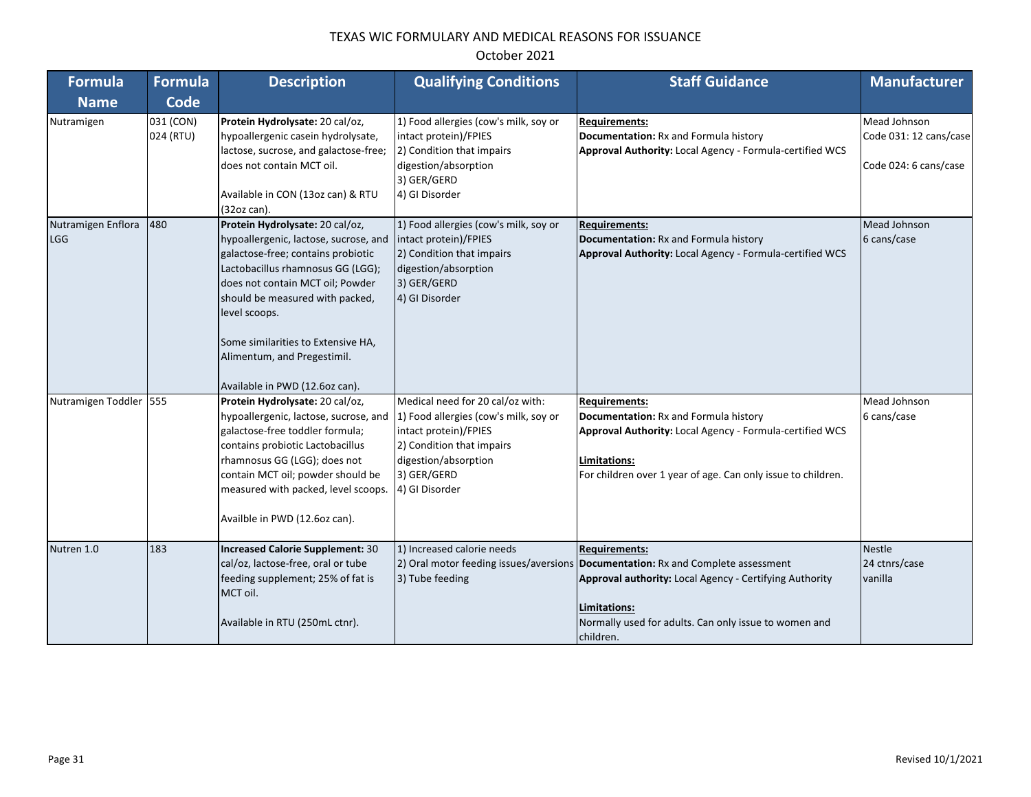| <b>Formula</b>                   | <b>Formula</b>         | <b>Description</b>                                                                                                                                                                                                                                                                                                                                 | <b>Qualifying Conditions</b>                                                                                                                                                             | <b>Staff Guidance</b>                                                                                                                                                                                                                                     | <b>Manufacturer</b>                                             |
|----------------------------------|------------------------|----------------------------------------------------------------------------------------------------------------------------------------------------------------------------------------------------------------------------------------------------------------------------------------------------------------------------------------------------|------------------------------------------------------------------------------------------------------------------------------------------------------------------------------------------|-----------------------------------------------------------------------------------------------------------------------------------------------------------------------------------------------------------------------------------------------------------|-----------------------------------------------------------------|
| <b>Name</b>                      | Code                   |                                                                                                                                                                                                                                                                                                                                                    |                                                                                                                                                                                          |                                                                                                                                                                                                                                                           |                                                                 |
| Nutramigen                       | 031 (CON)<br>024 (RTU) | Protein Hydrolysate: 20 cal/oz,<br>hypoallergenic casein hydrolysate,<br>lactose, sucrose, and galactose-free;<br>does not contain MCT oil.<br>Available in CON (13oz can) & RTU<br>(32oz can).                                                                                                                                                    | 1) Food allergies (cow's milk, soy or<br>intact protein)/FPIES<br>2) Condition that impairs<br>digestion/absorption<br>3) GER/GERD<br>4) GI Disorder                                     | <b>Requirements:</b><br>Documentation: Rx and Formula history<br>Approval Authority: Local Agency - Formula-certified WCS                                                                                                                                 | Mead Johnson<br>Code 031: 12 cans/case<br>Code 024: 6 cans/case |
| Nutramigen Enflora<br><b>LGG</b> | 480                    | Protein Hydrolysate: 20 cal/oz,<br>hypoallergenic, lactose, sucrose, and<br>galactose-free; contains probiotic<br>Lactobacillus rhamnosus GG (LGG);<br>does not contain MCT oil; Powder<br>should be measured with packed,<br>level scoops.<br>Some similarities to Extensive HA,<br>Alimentum, and Pregestimil.<br>Available in PWD (12.6oz can). | 1) Food allergies (cow's milk, soy or<br>intact protein)/FPIES<br>2) Condition that impairs<br>digestion/absorption<br>3) GER/GERD<br>4) GI Disorder                                     | <b>Requirements:</b><br>Documentation: Rx and Formula history<br>Approval Authority: Local Agency - Formula-certified WCS                                                                                                                                 | Mead Johnson<br>6 cans/case                                     |
| Nutramigen Toddler               | 555                    | Protein Hydrolysate: 20 cal/oz,<br>hypoallergenic, lactose, sucrose, and<br>galactose-free toddler formula;<br>contains probiotic Lactobacillus<br>rhamnosus GG (LGG); does not<br>contain MCT oil; powder should be<br>measured with packed, level scoops.<br>Availble in PWD (12.6oz can).                                                       | Medical need for 20 cal/oz with:<br>1) Food allergies (cow's milk, soy or<br>intact protein)/FPIES<br>2) Condition that impairs<br>digestion/absorption<br>3) GER/GERD<br>4) GI Disorder | <b>Requirements:</b><br>Documentation: Rx and Formula history<br>Approval Authority: Local Agency - Formula-certified WCS<br>Limitations:<br>For children over 1 year of age. Can only issue to children.                                                 | Mead Johnson<br>6 cans/case                                     |
| Nutren 1.0                       | 183                    | <b>Increased Calorie Supplement: 30</b><br>cal/oz, lactose-free, oral or tube<br>feeding supplement; 25% of fat is<br>MCT oil.<br>Available in RTU (250mL ctnr).                                                                                                                                                                                   | 1) Increased calorie needs<br>3) Tube feeding                                                                                                                                            | <b>Requirements:</b><br>2) Oral motor feeding issues/aversions Documentation: Rx and Complete assessment<br>Approval authority: Local Agency - Certifying Authority<br>Limitations:<br>Normally used for adults. Can only issue to women and<br>children. | <b>Nestle</b><br>24 ctnrs/case<br>vanilla                       |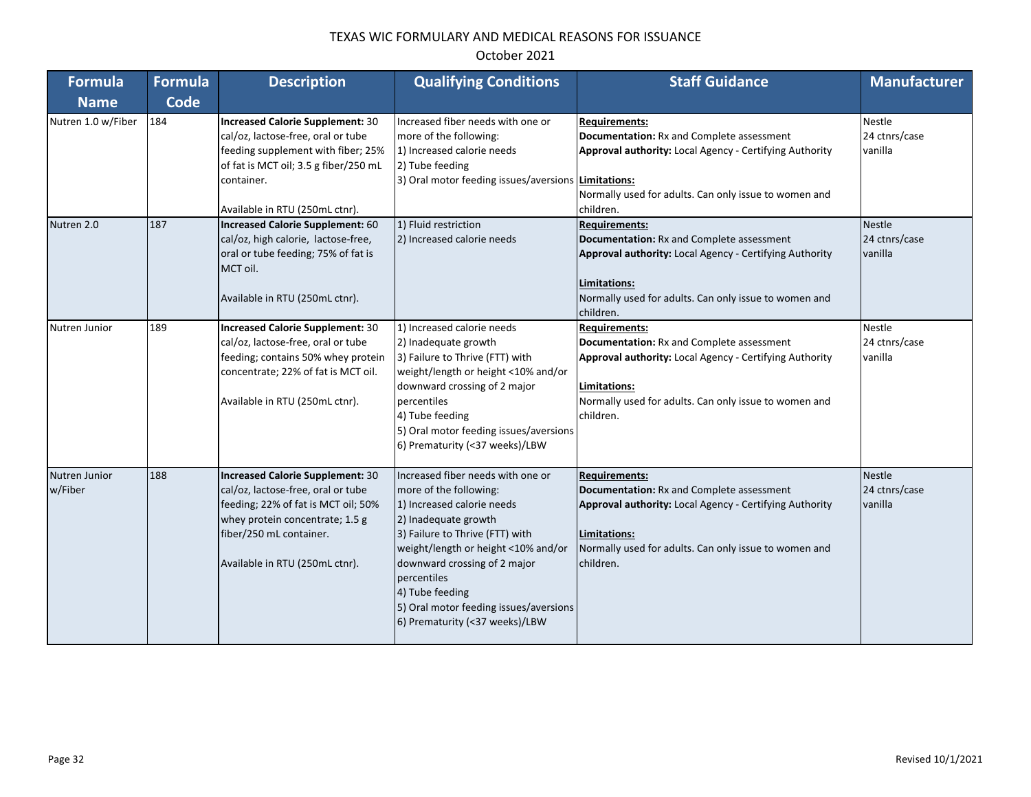| <b>Formula</b>           | <b>Formula</b> | <b>Description</b>                                                                                                                                                                                                   | <b>Qualifying Conditions</b>                                                                                                                                                                                                                                                                                                              | <b>Staff Guidance</b>                                                                                                                                                                                                     | <b>Manufacturer</b>                       |
|--------------------------|----------------|----------------------------------------------------------------------------------------------------------------------------------------------------------------------------------------------------------------------|-------------------------------------------------------------------------------------------------------------------------------------------------------------------------------------------------------------------------------------------------------------------------------------------------------------------------------------------|---------------------------------------------------------------------------------------------------------------------------------------------------------------------------------------------------------------------------|-------------------------------------------|
| <b>Name</b>              | Code           |                                                                                                                                                                                                                      |                                                                                                                                                                                                                                                                                                                                           |                                                                                                                                                                                                                           |                                           |
| Nutren 1.0 w/Fiber       | 184            | Increased Calorie Supplement: 30<br>cal/oz, lactose-free, oral or tube<br>feeding supplement with fiber; 25%<br>of fat is MCT oil; 3.5 g fiber/250 mL<br>container.<br>Available in RTU (250mL ctnr).                | Increased fiber needs with one or<br>more of the following:<br>1) Increased calorie needs<br>2) Tube feeding<br>3) Oral motor feeding issues/aversions Limitations:                                                                                                                                                                       | <b>Requirements:</b><br><b>Documentation: Rx and Complete assessment</b><br>Approval authority: Local Agency - Certifying Authority<br>Normally used for adults. Can only issue to women and<br>children.                 | <b>Nestle</b><br>24 ctnrs/case<br>vanilla |
| Nutren 2.0               | 187            | Increased Calorie Supplement: 60<br>cal/oz, high calorie, lactose-free,<br>oral or tube feeding; 75% of fat is<br>MCT oil.<br>Available in RTU (250mL ctnr).                                                         | 1) Fluid restriction<br>2) Increased calorie needs                                                                                                                                                                                                                                                                                        | <b>Requirements:</b><br><b>Documentation: Rx and Complete assessment</b><br>Approval authority: Local Agency - Certifying Authority<br>Limitations:<br>Normally used for adults. Can only issue to women and<br>children. | <b>Nestle</b><br>24 ctnrs/case<br>vanilla |
| Nutren Junior            | 189            | Increased Calorie Supplement: 30<br>cal/oz, lactose-free, oral or tube<br>feeding; contains 50% whey protein<br>concentrate; 22% of fat is MCT oil.<br>Available in RTU (250mL ctnr).                                | 1) Increased calorie needs<br>2) Inadequate growth<br>3) Failure to Thrive (FTT) with<br>weight/length or height <10% and/or<br>downward crossing of 2 major<br>percentiles<br>4) Tube feeding<br>5) Oral motor feeding issues/aversions<br>6) Prematurity (<37 weeks)/LBW                                                                | <b>Requirements:</b><br>Documentation: Rx and Complete assessment<br>Approval authority: Local Agency - Certifying Authority<br>Limitations:<br>Normally used for adults. Can only issue to women and<br>children.        | Nestle<br>24 ctnrs/case<br>vanilla        |
| Nutren Junior<br>w/Fiber | 188            | <b>Increased Calorie Supplement: 30</b><br>cal/oz, lactose-free, oral or tube<br>feeding; 22% of fat is MCT oil; 50%<br>whey protein concentrate; 1.5 g<br>fiber/250 mL container.<br>Available in RTU (250mL ctnr). | Increased fiber needs with one or<br>more of the following:<br>1) Increased calorie needs<br>2) Inadequate growth<br>3) Failure to Thrive (FTT) with<br>weight/length or height <10% and/or<br>downward crossing of 2 major<br>percentiles<br>4) Tube feeding<br>5) Oral motor feeding issues/aversions<br>6) Prematurity (<37 weeks)/LBW | <b>Requirements:</b><br><b>Documentation: Rx and Complete assessment</b><br>Approval authority: Local Agency - Certifying Authority<br>Limitations:<br>Normally used for adults. Can only issue to women and<br>children. | <b>Nestle</b><br>24 ctnrs/case<br>vanilla |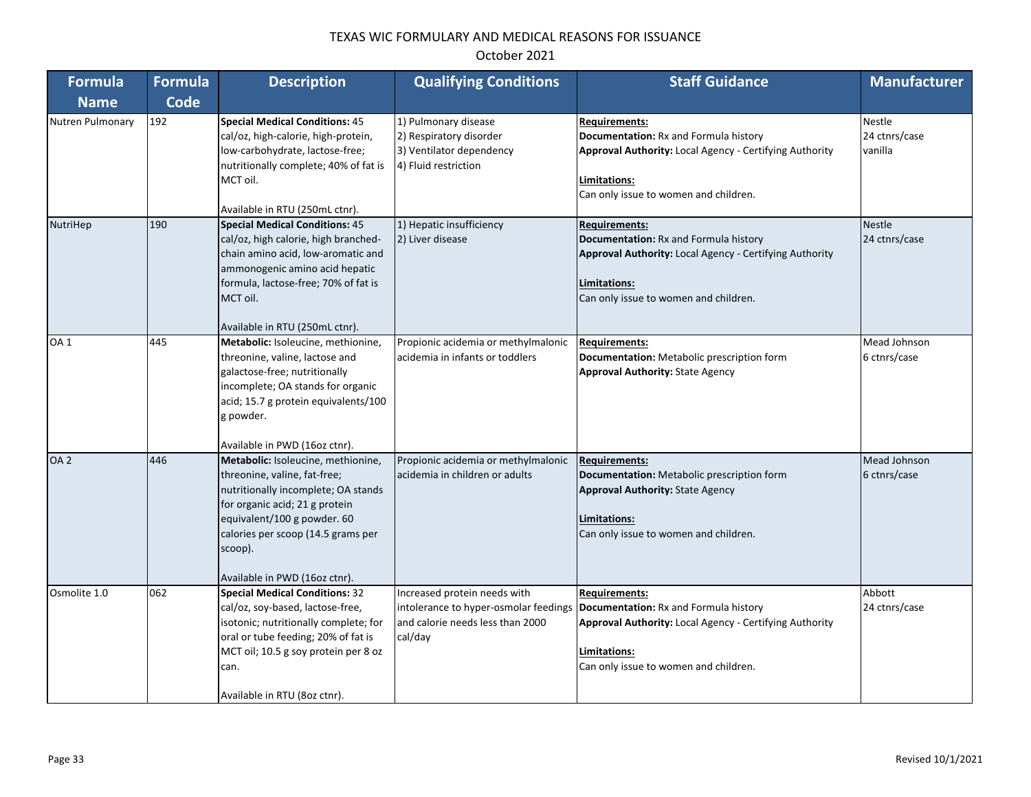| <b>Formula</b>   | <b>Formula</b> | <b>Description</b>                                                                                                                                                                                                                                           | <b>Qualifying Conditions</b>                                                                                         | <b>Staff Guidance</b>                                                                                                                                                                    | <b>Manufacturer</b>                |
|------------------|----------------|--------------------------------------------------------------------------------------------------------------------------------------------------------------------------------------------------------------------------------------------------------------|----------------------------------------------------------------------------------------------------------------------|------------------------------------------------------------------------------------------------------------------------------------------------------------------------------------------|------------------------------------|
| <b>Name</b>      | <b>Code</b>    |                                                                                                                                                                                                                                                              |                                                                                                                      |                                                                                                                                                                                          |                                    |
| Nutren Pulmonary | 192            | <b>Special Medical Conditions: 45</b><br>cal/oz, high-calorie, high-protein,<br>low-carbohydrate, lactose-free;<br>nutritionally complete; 40% of fat is<br>MCT oil.<br>Available in RTU (250mL ctnr).                                                       | 1) Pulmonary disease<br>2) Respiratory disorder<br>3) Ventilator dependency<br>4) Fluid restriction                  | <b>Requirements:</b><br>Documentation: Rx and Formula history<br>Approval Authority: Local Agency - Certifying Authority<br>Limitations:<br>Can only issue to women and children.        | Nestle<br>24 ctnrs/case<br>vanilla |
| NutriHep         | 190            | <b>Special Medical Conditions: 45</b><br>cal/oz, high calorie, high branched-<br>chain amino acid, low-aromatic and<br>ammonogenic amino acid hepatic<br>formula, lactose-free; 70% of fat is<br>MCT oil.<br>Available in RTU (250mL ctnr).                  | 1) Hepatic insufficiency<br>2) Liver disease                                                                         | <b>Requirements:</b><br>Documentation: Rx and Formula history<br><b>Approval Authority:</b> Local Agency - Certifying Authority<br>Limitations:<br>Can only issue to women and children. | <b>Nestle</b><br>24 ctnrs/case     |
| OA <sub>1</sub>  | 445            | Metabolic: Isoleucine, methionine,<br>threonine, valine, lactose and<br>galactose-free; nutritionally<br>incomplete; OA stands for organic<br>acid; 15.7 g protein equivalents/100<br>g powder.<br>Available in PWD (16oz ctnr).                             | Propionic acidemia or methylmalonic<br>acidemia in infants or toddlers                                               | <b>Requirements:</b><br>Documentation: Metabolic prescription form<br><b>Approval Authority: State Agency</b>                                                                            | Mead Johnson<br>6 ctnrs/case       |
| OA <sub>2</sub>  | 446            | Metabolic: Isoleucine, methionine,<br>threonine, valine, fat-free;<br>nutritionally incomplete; OA stands<br>for organic acid; 21 g protein<br>equivalent/100 g powder. 60<br>calories per scoop (14.5 grams per<br>scoop).<br>Available in PWD (16oz ctnr). | Propionic acidemia or methylmalonic<br>acidemia in children or adults                                                | <b>Requirements:</b><br>Documentation: Metabolic prescription form<br><b>Approval Authority: State Agency</b><br>Limitations:<br>Can only issue to women and children.                   | Mead Johnson<br>6 ctnrs/case       |
| Osmolite 1.0     | 062            | <b>Special Medical Conditions: 32</b><br>cal/oz, soy-based, lactose-free,<br>isotonic; nutritionally complete; for<br>oral or tube feeding; 20% of fat is<br>MCT oil; 10.5 g soy protein per 8 oz<br>can.<br>Available in RTU (8oz ctnr).                    | Increased protein needs with<br>intolerance to hyper-osmolar feedings<br>and calorie needs less than 2000<br>cal/day | <b>Requirements:</b><br>Documentation: Rx and Formula history<br><b>Approval Authority:</b> Local Agency - Certifying Authority<br>Limitations:<br>Can only issue to women and children. | Abbott<br>24 ctnrs/case            |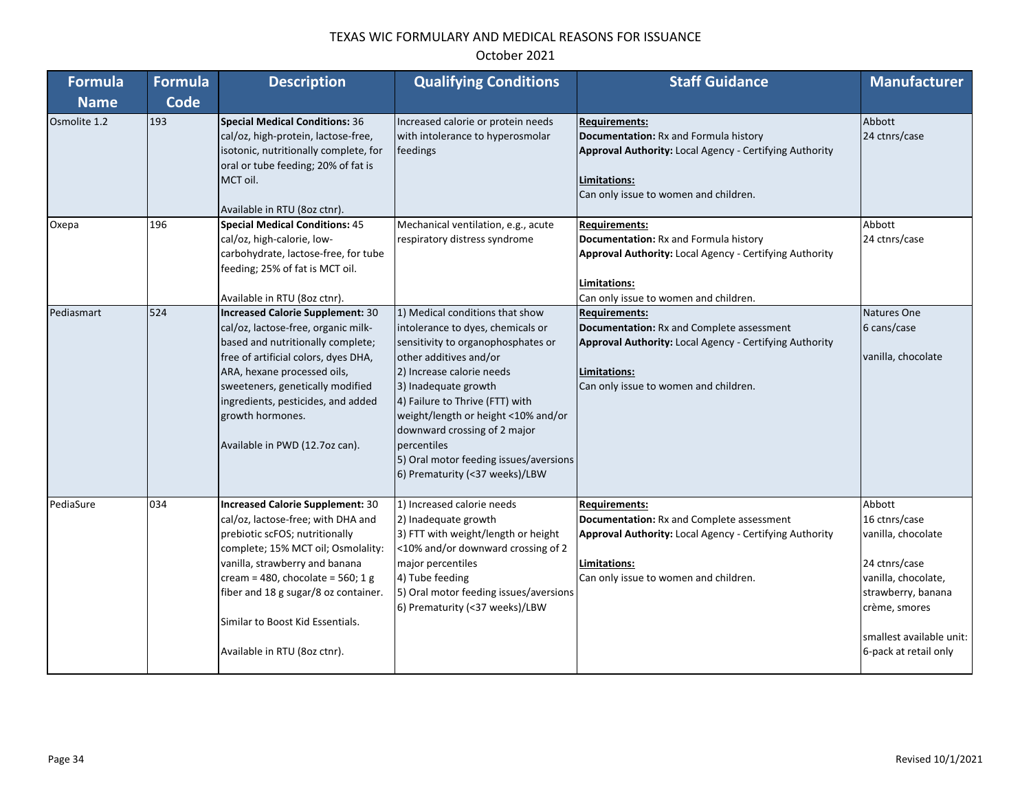| <b>Formula</b> | <b>Formula</b> | <b>Description</b>                                                                                                                                                                                                                                                                                                                       | <b>Qualifying Conditions</b>                                                                                                                                                                                                                                                                                                                                                                   | <b>Staff Guidance</b>                                                                                                                                                                    | <b>Manufacturer</b>                                                                                                                                                               |
|----------------|----------------|------------------------------------------------------------------------------------------------------------------------------------------------------------------------------------------------------------------------------------------------------------------------------------------------------------------------------------------|------------------------------------------------------------------------------------------------------------------------------------------------------------------------------------------------------------------------------------------------------------------------------------------------------------------------------------------------------------------------------------------------|------------------------------------------------------------------------------------------------------------------------------------------------------------------------------------------|-----------------------------------------------------------------------------------------------------------------------------------------------------------------------------------|
| <b>Name</b>    | Code           |                                                                                                                                                                                                                                                                                                                                          |                                                                                                                                                                                                                                                                                                                                                                                                |                                                                                                                                                                                          |                                                                                                                                                                                   |
| Osmolite 1.2   | 193            | <b>Special Medical Conditions: 36</b><br>cal/oz, high-protein, lactose-free,<br>isotonic, nutritionally complete, for<br>oral or tube feeding; 20% of fat is<br>MCT oil.<br>Available in RTU (8oz ctnr).                                                                                                                                 | Increased calorie or protein needs<br>with intolerance to hyperosmolar<br>feedings                                                                                                                                                                                                                                                                                                             | <b>Requirements:</b><br>Documentation: Rx and Formula history<br><b>Approval Authority: Local Agency - Certifying Authority</b><br>Limitations:<br>Can only issue to women and children. | Abbott<br>24 ctnrs/case                                                                                                                                                           |
| Охера          | 196            | <b>Special Medical Conditions: 45</b><br>cal/oz, high-calorie, low-<br>carbohydrate, lactose-free, for tube<br>feeding; 25% of fat is MCT oil.<br>Available in RTU (8oz ctnr).                                                                                                                                                           | Mechanical ventilation, e.g., acute<br>respiratory distress syndrome                                                                                                                                                                                                                                                                                                                           | <b>Requirements:</b><br>Documentation: Rx and Formula history<br>Approval Authority: Local Agency - Certifying Authority<br>Limitations:<br>Can only issue to women and children.        | Abbott<br>24 ctnrs/case                                                                                                                                                           |
| Pediasmart     | 524            | <b>Increased Calorie Supplement: 30</b><br>cal/oz, lactose-free, organic milk-<br>based and nutritionally complete;<br>free of artificial colors, dyes DHA,<br>ARA, hexane processed oils,<br>sweeteners, genetically modified<br>ingredients, pesticides, and added<br>growth hormones.<br>Available in PWD (12.7oz can).               | 1) Medical conditions that show<br>intolerance to dyes, chemicals or<br>sensitivity to organophosphates or<br>other additives and/or<br>2) Increase calorie needs<br>3) Inadequate growth<br>4) Failure to Thrive (FTT) with<br>weight/length or height <10% and/or<br>downward crossing of 2 major<br>percentiles<br>5) Oral motor feeding issues/aversions<br>6) Prematurity (<37 weeks)/LBW | <b>Requirements:</b><br>Documentation: Rx and Complete assessment<br>Approval Authority: Local Agency - Certifying Authority<br>Limitations:<br>Can only issue to women and children.    | Natures One<br>6 cans/case<br>vanilla, chocolate                                                                                                                                  |
| PediaSure      | 034            | <b>Increased Calorie Supplement: 30</b><br>cal/oz, lactose-free; with DHA and<br>prebiotic scFOS; nutritionally<br>complete; 15% MCT oil; Osmolality:<br>vanilla, strawberry and banana<br>cream = 480, chocolate = 560; 1 g<br>fiber and 18 g sugar/8 oz container.<br>Similar to Boost Kid Essentials.<br>Available in RTU (8oz ctnr). | 1) Increased calorie needs<br>2) Inadequate growth<br>3) FTT with weight/length or height<br><10% and/or downward crossing of 2<br>major percentiles<br>4) Tube feeding<br>5) Oral motor feeding issues/aversions<br>6) Prematurity (<37 weeks)/LBW                                                                                                                                            | <b>Requirements:</b><br>Documentation: Rx and Complete assessment<br>Approval Authority: Local Agency - Certifying Authority<br>Limitations:<br>Can only issue to women and children.    | Abbott<br>16 ctnrs/case<br>vanilla, chocolate<br>24 ctnrs/case<br>vanilla, chocolate,<br>strawberry, banana<br>crème, smores<br>smallest available unit:<br>6-pack at retail only |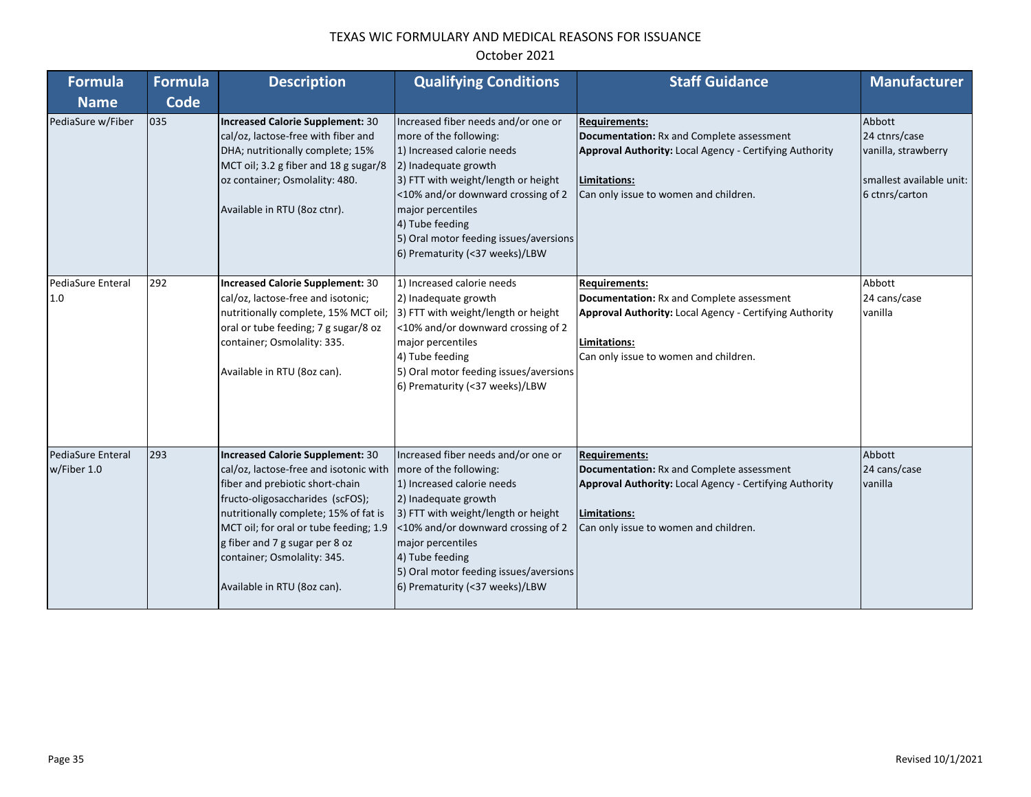| <b>Formula</b>                   | <b>Formula</b> | <b>Description</b>                                                                                                                                                                                                                                                                                                                          | <b>Qualifying Conditions</b>                                                                                                                                                                                                                                                                                         | <b>Staff Guidance</b>                                                                                                                                                                        | <b>Manufacturer</b>                                                                          |
|----------------------------------|----------------|---------------------------------------------------------------------------------------------------------------------------------------------------------------------------------------------------------------------------------------------------------------------------------------------------------------------------------------------|----------------------------------------------------------------------------------------------------------------------------------------------------------------------------------------------------------------------------------------------------------------------------------------------------------------------|----------------------------------------------------------------------------------------------------------------------------------------------------------------------------------------------|----------------------------------------------------------------------------------------------|
| <b>Name</b>                      | <b>Code</b>    |                                                                                                                                                                                                                                                                                                                                             |                                                                                                                                                                                                                                                                                                                      |                                                                                                                                                                                              |                                                                                              |
| PediaSure w/Fiber                | 035            | <b>Increased Calorie Supplement: 30</b><br>cal/oz, lactose-free with fiber and<br>DHA; nutritionally complete; 15%<br>MCT oil; 3.2 g fiber and 18 g sugar/8<br>oz container; Osmolality: 480.<br>Available in RTU (8oz ctnr).                                                                                                               | Increased fiber needs and/or one or<br>more of the following:<br>1) Increased calorie needs<br>2) Inadequate growth<br>3) FTT with weight/length or height<br><10% and/or downward crossing of 2<br>major percentiles<br>4) Tube feeding<br>5) Oral motor feeding issues/aversions<br>6) Prematurity (<37 weeks)/LBW | <b>Requirements:</b><br>Documentation: Rx and Complete assessment<br>Approval Authority: Local Agency - Certifying Authority<br>Limitations:<br>Can only issue to women and children.        | Abbott<br>24 ctnrs/case<br>vanilla, strawberry<br>smallest available unit:<br>6 ctnrs/carton |
| PediaSure Enteral<br>1.0         | 292            | <b>Increased Calorie Supplement: 30</b><br>cal/oz, lactose-free and isotonic;<br>nutritionally complete, 15% MCT oil;<br>oral or tube feeding; 7 g sugar/8 oz<br>container; Osmolality: 335.<br>Available in RTU (8oz can).                                                                                                                 | 1) Increased calorie needs<br>2) Inadequate growth<br>3) FTT with weight/length or height<br><10% and/or downward crossing of 2<br>major percentiles<br>4) Tube feeding<br>5) Oral motor feeding issues/aversions<br>6) Prematurity (<37 weeks)/LBW                                                                  | <b>Requirements:</b><br>Documentation: Rx and Complete assessment<br>Approval Authority: Local Agency - Certifying Authority<br>Limitations:<br>Can only issue to women and children.        | Abbott<br>24 cans/case<br>vanilla                                                            |
| PediaSure Enteral<br>w/Fiber 1.0 | 293            | <b>Increased Calorie Supplement: 30</b><br>cal/oz, lactose-free and isotonic with<br>fiber and prebiotic short-chain<br>fructo-oligosaccharides (scFOS);<br>nutritionally complete; 15% of fat is<br>MCT oil; for oral or tube feeding; 1.9<br>g fiber and 7 g sugar per 8 oz<br>container; Osmolality: 345.<br>Available in RTU (8oz can). | Increased fiber needs and/or one or<br>more of the following:<br>1) Increased calorie needs<br>2) Inadequate growth<br>3) FTT with weight/length or height<br><10% and/or downward crossing of 2<br>major percentiles<br>4) Tube feeding<br>5) Oral motor feeding issues/aversions<br>6) Prematurity (<37 weeks)/LBW | <b>Requirements:</b><br>Documentation: Rx and Complete assessment<br><b>Approval Authority: Local Agency - Certifying Authority</b><br>Limitations:<br>Can only issue to women and children. | Abbott<br>24 cans/case<br>vanilla                                                            |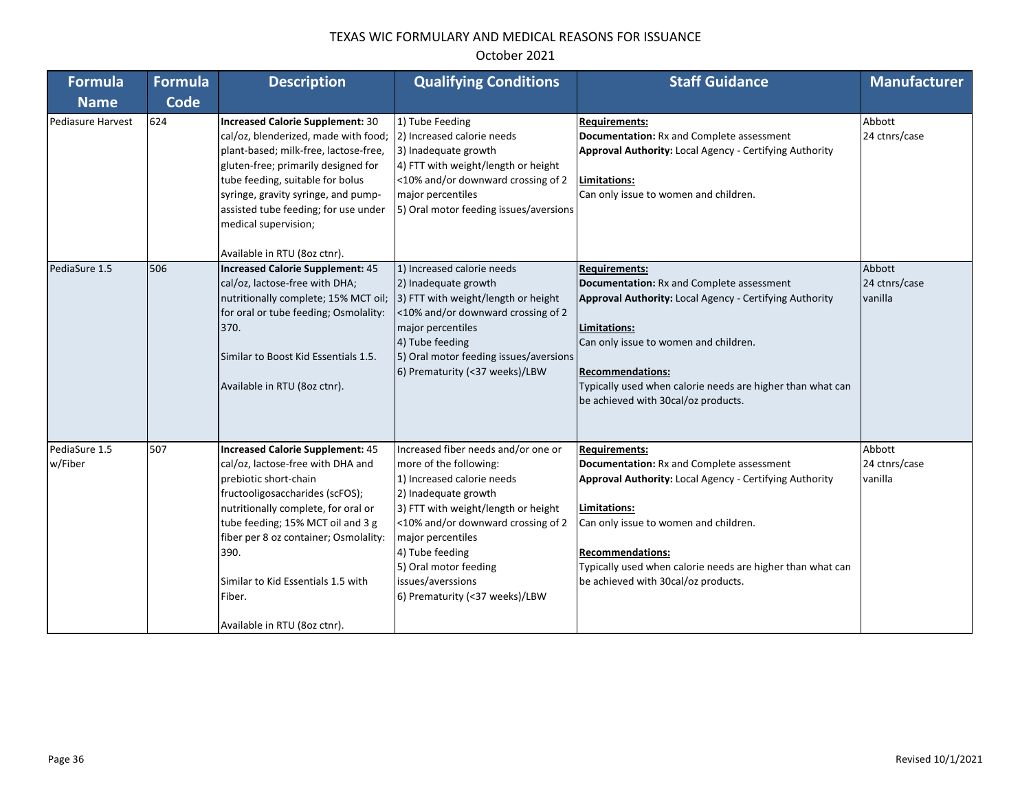| <b>Formula</b>           | <b>Formula</b> | <b>Description</b>                                                                                                                                                                                                                                                                                                                                    | <b>Qualifying Conditions</b>                                                                                                                                                                                                                                                                                             | <b>Staff Guidance</b>                                                                                                                                                                                                                                                                                                               | <b>Manufacturer</b>                |
|--------------------------|----------------|-------------------------------------------------------------------------------------------------------------------------------------------------------------------------------------------------------------------------------------------------------------------------------------------------------------------------------------------------------|--------------------------------------------------------------------------------------------------------------------------------------------------------------------------------------------------------------------------------------------------------------------------------------------------------------------------|-------------------------------------------------------------------------------------------------------------------------------------------------------------------------------------------------------------------------------------------------------------------------------------------------------------------------------------|------------------------------------|
| <b>Name</b>              | Code           |                                                                                                                                                                                                                                                                                                                                                       |                                                                                                                                                                                                                                                                                                                          |                                                                                                                                                                                                                                                                                                                                     |                                    |
| Pediasure Harvest        | 624            | <b>Increased Calorie Supplement: 30</b><br>cal/oz, blenderized, made with food;<br>plant-based; milk-free, lactose-free,<br>gluten-free; primarily designed for<br>tube feeding, suitable for bolus<br>syringe, gravity syringe, and pump-<br>assisted tube feeding; for use under<br>medical supervision;<br>Available in RTU (8oz ctnr).            | 1) Tube Feeding<br>2) Increased calorie needs<br>3) Inadequate growth<br>4) FTT with weight/length or height<br><10% and/or downward crossing of 2<br>major percentiles<br>5) Oral motor feeding issues/aversions                                                                                                        | <b>Requirements:</b><br>Documentation: Rx and Complete assessment<br>Approval Authority: Local Agency - Certifying Authority<br>Limitations:<br>Can only issue to women and children.                                                                                                                                               | Abbott<br>24 ctnrs/case            |
| PediaSure 1.5            | 506            | Increased Calorie Supplement: 45<br>cal/oz, lactose-free with DHA;<br>nutritionally complete; 15% MCT oil;<br>for oral or tube feeding; Osmolality:<br>370.<br>Similar to Boost Kid Essentials 1.5.<br>Available in RTU (8oz ctnr).                                                                                                                   | 1) Increased calorie needs<br>2) Inadequate growth<br>3) FTT with weight/length or height<br><10% and/or downward crossing of 2<br>major percentiles<br>4) Tube feeding<br>5) Oral motor feeding issues/aversions<br>6) Prematurity (<37 weeks)/LBW                                                                      | <b>Requirements:</b><br><b>Documentation:</b> Rx and Complete assessment<br><b>Approval Authority: Local Agency - Certifying Authority</b><br>Limitations:<br>Can only issue to women and children.<br><b>Recommendations:</b><br>Typically used when calorie needs are higher than what can<br>be achieved with 30cal/oz products. | Abbott<br>24 ctnrs/case<br>vanilla |
| PediaSure 1.5<br>w/Fiber | 507            | <b>Increased Calorie Supplement: 45</b><br>cal/oz, lactose-free with DHA and<br>prebiotic short-chain<br>fructooligosaccharides (scFOS);<br>nutritionally complete, for oral or<br>tube feeding; 15% MCT oil and 3 g<br>fiber per 8 oz container; Osmolality:<br>390.<br>Similar to Kid Essentials 1.5 with<br>Fiber.<br>Available in RTU (8oz ctnr). | Increased fiber needs and/or one or<br>more of the following:<br>1) Increased calorie needs<br>2) Inadequate growth<br>3) FTT with weight/length or height<br><10% and/or downward crossing of 2<br>major percentiles<br>4) Tube feeding<br>5) Oral motor feeding<br>issues/averssions<br>6) Prematurity (<37 weeks)/LBW | <b>Requirements:</b><br>Documentation: Rx and Complete assessment<br>Approval Authority: Local Agency - Certifying Authority<br>Limitations:<br>Can only issue to women and children.<br><b>Recommendations:</b><br>Typically used when calorie needs are higher than what can<br>be achieved with 30cal/oz products.               | Abbott<br>24 ctnrs/case<br>vanilla |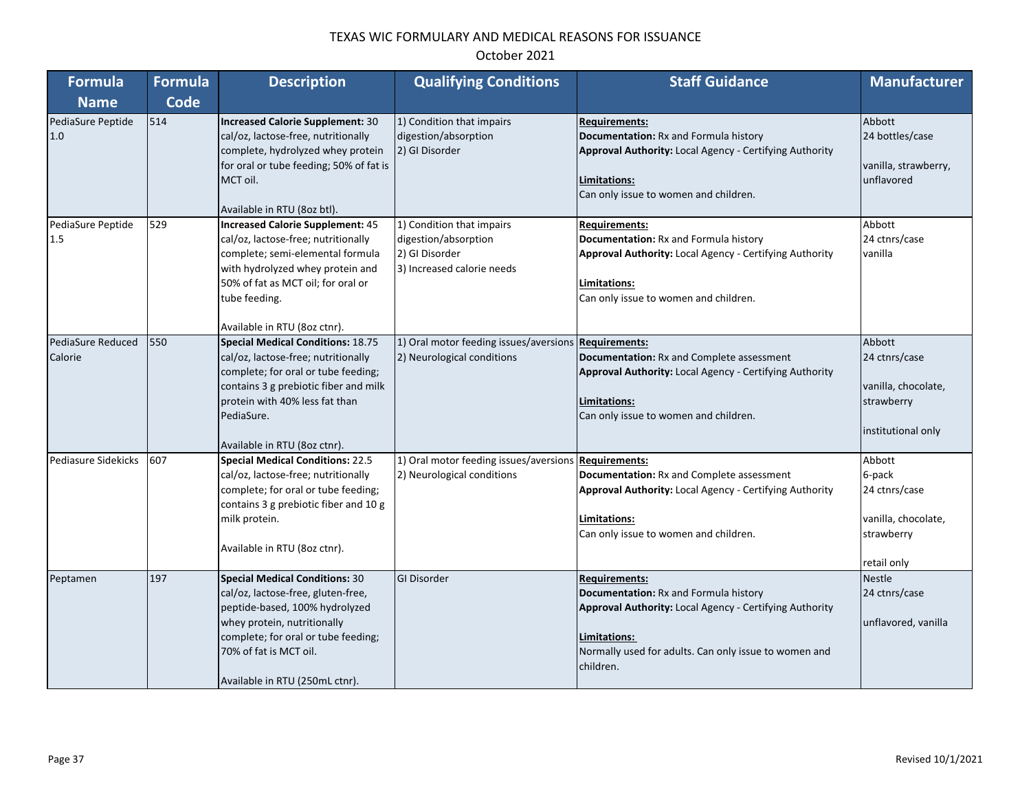| <b>Formula</b>               | <b>Formula</b> | <b>Description</b>                                                                                                                                                                                                                              | <b>Qualifying Conditions</b>                                                                      | <b>Staff Guidance</b>                                                                                                                                                                                          | <b>Manufacturer</b>                                                                   |
|------------------------------|----------------|-------------------------------------------------------------------------------------------------------------------------------------------------------------------------------------------------------------------------------------------------|---------------------------------------------------------------------------------------------------|----------------------------------------------------------------------------------------------------------------------------------------------------------------------------------------------------------------|---------------------------------------------------------------------------------------|
| <b>Name</b>                  | <b>Code</b>    |                                                                                                                                                                                                                                                 |                                                                                                   |                                                                                                                                                                                                                |                                                                                       |
| PediaSure Peptide<br>1.0     | 514            | <b>Increased Calorie Supplement: 30</b><br>cal/oz, lactose-free, nutritionally<br>complete, hydrolyzed whey protein<br>for oral or tube feeding; 50% of fat is<br>MCT oil.<br>Available in RTU (8oz btl).                                       | 1) Condition that impairs<br>digestion/absorption<br>2) GI Disorder                               | <b>Requirements:</b><br>Documentation: Rx and Formula history<br>Approval Authority: Local Agency - Certifying Authority<br>Limitations:<br>Can only issue to women and children.                              | Abbott<br>24 bottles/case<br>vanilla, strawberry,<br>unflavored                       |
| PediaSure Peptide<br>1.5     | 529            | <b>Increased Calorie Supplement: 45</b><br>cal/oz, lactose-free; nutritionally<br>complete; semi-elemental formula<br>with hydrolyzed whey protein and<br>50% of fat as MCT oil; for oral or<br>tube feeding.<br>Available in RTU (8oz ctnr).   | 1) Condition that impairs<br>digestion/absorption<br>2) GI Disorder<br>3) Increased calorie needs | <b>Requirements:</b><br>Documentation: Rx and Formula history<br>Approval Authority: Local Agency - Certifying Authority<br>Limitations:<br>Can only issue to women and children.                              | Abbott<br>24 ctnrs/case<br>vanilla                                                    |
| PediaSure Reduced<br>Calorie | 550            | <b>Special Medical Conditions: 18.75</b><br>cal/oz, lactose-free; nutritionally<br>complete; for oral or tube feeding;<br>contains 3 g prebiotic fiber and milk<br>protein with 40% less fat than<br>PediaSure.<br>Available in RTU (8oz ctnr). | 1) Oral motor feeding issues/aversions Requirements:<br>2) Neurological conditions                | Documentation: Rx and Complete assessment<br>Approval Authority: Local Agency - Certifying Authority<br>Limitations:<br>Can only issue to women and children.                                                  | Abbott<br>24 ctnrs/case<br>vanilla, chocolate,<br>strawberry<br>institutional only    |
| Pediasure Sidekicks          | 607            | <b>Special Medical Conditions: 22.5</b><br>cal/oz, lactose-free; nutritionally<br>complete; for oral or tube feeding;<br>contains 3 g prebiotic fiber and 10 g<br>milk protein.<br>Available in RTU (8oz ctnr).                                 | 1) Oral motor feeding issues/aversions Requirements:<br>2) Neurological conditions                | <b>Documentation: Rx and Complete assessment</b><br>Approval Authority: Local Agency - Certifying Authority<br>Limitations:<br>Can only issue to women and children.                                           | Abbott<br>6-pack<br>24 ctnrs/case<br>vanilla, chocolate,<br>strawberry<br>retail only |
| Peptamen                     | 197            | <b>Special Medical Conditions: 30</b><br>cal/oz, lactose-free, gluten-free,<br>peptide-based, 100% hydrolyzed<br>whey protein, nutritionally<br>complete; for oral or tube feeding;<br>70% of fat is MCT oil.<br>Available in RTU (250mL ctnr). | <b>GI Disorder</b>                                                                                | <b>Requirements:</b><br>Documentation: Rx and Formula history<br>Approval Authority: Local Agency - Certifying Authority<br>Limitations:<br>Normally used for adults. Can only issue to women and<br>children. | <b>Nestle</b><br>24 ctnrs/case<br>unflavored, vanilla                                 |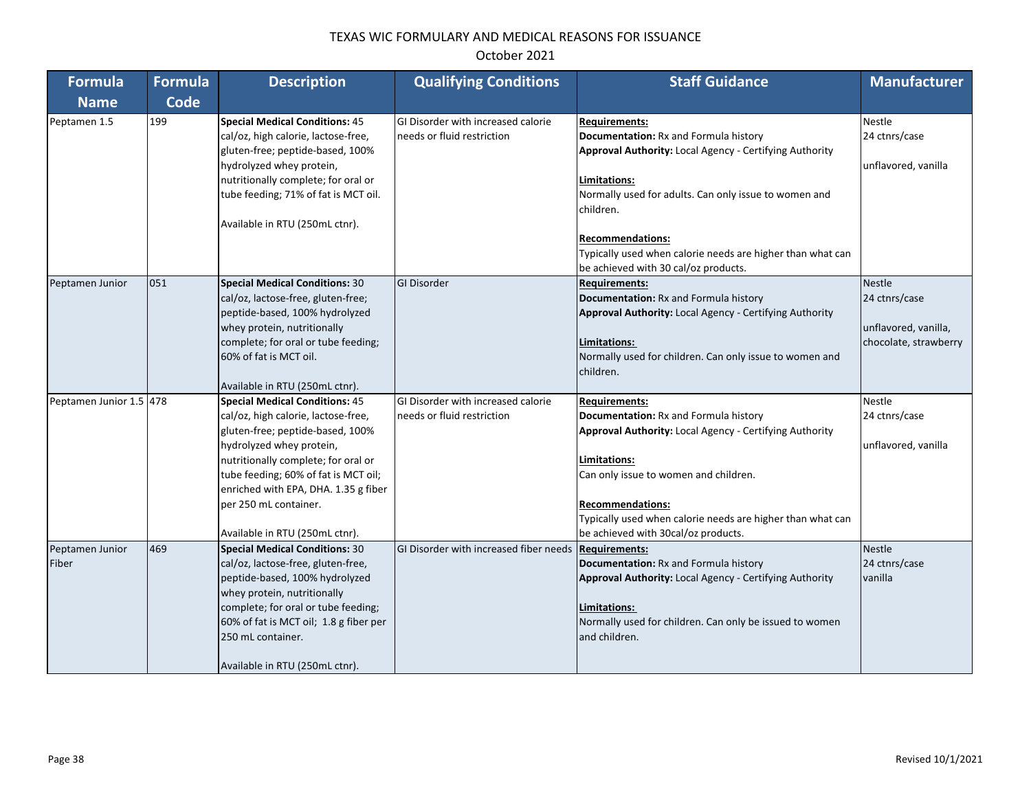| <b>Formula</b>           | <b>Formula</b> | <b>Description</b>                                                                                                                                                                                                                                                                                                             | <b>Qualifying Conditions</b>                                     | <b>Staff Guidance</b>                                                                                                                                                                                                                                                                                                                           | <b>Manufacturer</b>                                                             |
|--------------------------|----------------|--------------------------------------------------------------------------------------------------------------------------------------------------------------------------------------------------------------------------------------------------------------------------------------------------------------------------------|------------------------------------------------------------------|-------------------------------------------------------------------------------------------------------------------------------------------------------------------------------------------------------------------------------------------------------------------------------------------------------------------------------------------------|---------------------------------------------------------------------------------|
| <b>Name</b>              | Code           |                                                                                                                                                                                                                                                                                                                                |                                                                  |                                                                                                                                                                                                                                                                                                                                                 |                                                                                 |
| Peptamen 1.5             | 199            | <b>Special Medical Conditions: 45</b><br>cal/oz, high calorie, lactose-free,<br>gluten-free; peptide-based, 100%<br>hydrolyzed whey protein,<br>nutritionally complete; for oral or<br>tube feeding; 71% of fat is MCT oil.<br>Available in RTU (250mL ctnr).                                                                  | GI Disorder with increased calorie<br>needs or fluid restriction | <b>Requirements:</b><br>Documentation: Rx and Formula history<br>Approval Authority: Local Agency - Certifying Authority<br>Limitations:<br>Normally used for adults. Can only issue to women and<br>children.<br><b>Recommendations:</b><br>Typically used when calorie needs are higher than what can<br>be achieved with 30 cal/oz products. | <b>Nestle</b><br>24 ctnrs/case<br>unflavored, vanilla                           |
| Peptamen Junior          | 051            | <b>Special Medical Conditions: 30</b><br>cal/oz, lactose-free, gluten-free;<br>peptide-based, 100% hydrolyzed<br>whey protein, nutritionally<br>complete; for oral or tube feeding;<br>60% of fat is MCT oil.<br>Available in RTU (250mL ctnr).                                                                                | <b>GI Disorder</b>                                               | <b>Requirements:</b><br>Documentation: Rx and Formula history<br><b>Approval Authority: Local Agency - Certifying Authority</b><br>Limitations:<br>Normally used for children. Can only issue to women and<br>children.                                                                                                                         | <b>Nestle</b><br>24 ctnrs/case<br>unflavored, vanilla,<br>chocolate, strawberry |
| Peptamen Junior 1.5 478  |                | <b>Special Medical Conditions: 45</b><br>cal/oz, high calorie, lactose-free,<br>gluten-free; peptide-based, 100%<br>hydrolyzed whey protein,<br>nutritionally complete; for oral or<br>tube feeding; 60% of fat is MCT oil;<br>enriched with EPA, DHA. 1.35 g fiber<br>per 250 mL container.<br>Available in RTU (250mL ctnr). | GI Disorder with increased calorie<br>needs or fluid restriction | <b>Requirements:</b><br>Documentation: Rx and Formula history<br>Approval Authority: Local Agency - Certifying Authority<br>Limitations:<br>Can only issue to women and children.<br><b>Recommendations:</b><br>Typically used when calorie needs are higher than what can<br>be achieved with 30cal/oz products.                               | <b>Nestle</b><br>24 ctnrs/case<br>unflavored, vanilla                           |
| Peptamen Junior<br>Fiber | 469            | <b>Special Medical Conditions: 30</b><br>cal/oz, lactose-free, gluten-free,<br>peptide-based, 100% hydrolyzed<br>whey protein, nutritionally<br>complete; for oral or tube feeding;<br>60% of fat is MCT oil; 1.8 g fiber per<br>250 mL container.<br>Available in RTU (250mL ctnr).                                           | GI Disorder with increased fiber needs                           | <b>Requirements:</b><br>Documentation: Rx and Formula history<br>Approval Authority: Local Agency - Certifying Authority<br>Limitations:<br>Normally used for children. Can only be issued to women<br>and children.                                                                                                                            | <b>Nestle</b><br>24 ctnrs/case<br>vanilla                                       |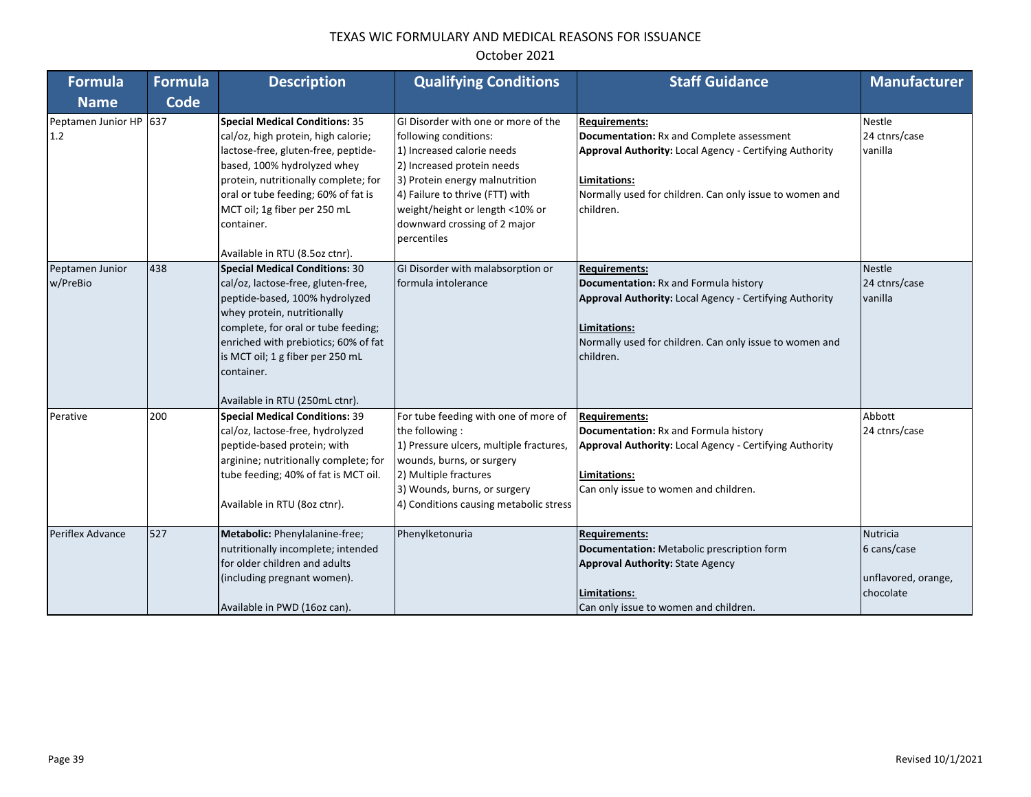| Formula                       | <b>Formula</b> | <b>Description</b>                                                                                                                                                                                                                                                                                                | <b>Qualifying Conditions</b>                                                                                                                                                                                                                                                    | <b>Staff Guidance</b>                                                                                                                                                                                                       | <b>Manufacturer</b>                                         |
|-------------------------------|----------------|-------------------------------------------------------------------------------------------------------------------------------------------------------------------------------------------------------------------------------------------------------------------------------------------------------------------|---------------------------------------------------------------------------------------------------------------------------------------------------------------------------------------------------------------------------------------------------------------------------------|-----------------------------------------------------------------------------------------------------------------------------------------------------------------------------------------------------------------------------|-------------------------------------------------------------|
| <b>Name</b>                   | <b>Code</b>    |                                                                                                                                                                                                                                                                                                                   |                                                                                                                                                                                                                                                                                 |                                                                                                                                                                                                                             |                                                             |
| Peptamen Junior HP 637<br>1.2 |                | <b>Special Medical Conditions: 35</b><br>cal/oz, high protein, high calorie;<br>lactose-free, gluten-free, peptide-<br>based, 100% hydrolyzed whey<br>protein, nutritionally complete; for<br>oral or tube feeding; 60% of fat is<br>MCT oil; 1g fiber per 250 mL<br>container.<br>Available in RTU (8.5oz ctnr). | GI Disorder with one or more of the<br>following conditions:<br>1) Increased calorie needs<br>2) Increased protein needs<br>3) Protein energy malnutrition<br>4) Failure to thrive (FTT) with<br>weight/height or length <10% or<br>downward crossing of 2 major<br>percentiles | <b>Requirements:</b><br><b>Documentation: Rx and Complete assessment</b><br>Approval Authority: Local Agency - Certifying Authority<br>Limitations:<br>Normally used for children. Can only issue to women and<br>children. | Nestle<br>24 ctnrs/case<br>vanilla                          |
| Peptamen Junior<br>w/PreBio   | 438            | <b>Special Medical Conditions: 30</b><br>cal/oz, lactose-free, gluten-free,<br>peptide-based, 100% hydrolyzed<br>whey protein, nutritionally<br>complete, for oral or tube feeding;<br>enriched with prebiotics; 60% of fat<br>is MCT oil; 1 g fiber per 250 mL<br>container.<br>Available in RTU (250mL ctnr).   | GI Disorder with malabsorption or<br>formula intolerance                                                                                                                                                                                                                        | <b>Requirements:</b><br>Documentation: Rx and Formula history<br><b>Approval Authority: Local Agency - Certifying Authority</b><br>Limitations:<br>Normally used for children. Can only issue to women and<br>children.     | Nestle<br>24 ctnrs/case<br>vanilla                          |
| Perative                      | 200            | <b>Special Medical Conditions: 39</b><br>cal/oz, lactose-free, hydrolyzed<br>peptide-based protein; with<br>arginine; nutritionally complete; for<br>tube feeding; 40% of fat is MCT oil.<br>Available in RTU (8oz ctnr).                                                                                         | For tube feeding with one of more of<br>the following:<br>1) Pressure ulcers, multiple fractures,<br>wounds, burns, or surgery<br>2) Multiple fractures<br>3) Wounds, burns, or surgery<br>4) Conditions causing metabolic stress                                               | <b>Requirements:</b><br>Documentation: Rx and Formula history<br>Approval Authority: Local Agency - Certifying Authority<br>Limitations:<br>Can only issue to women and children.                                           | Abbott<br>24 ctnrs/case                                     |
| Periflex Advance              | 527            | Metabolic: Phenylalanine-free;<br>nutritionally incomplete; intended<br>for older children and adults<br>(including pregnant women).<br>Available in PWD (16oz can).                                                                                                                                              | Phenylketonuria                                                                                                                                                                                                                                                                 | <b>Requirements:</b><br>Documentation: Metabolic prescription form<br><b>Approval Authority: State Agency</b><br>Limitations:<br>Can only issue to women and children.                                                      | Nutricia<br>6 cans/case<br>unflavored, orange,<br>chocolate |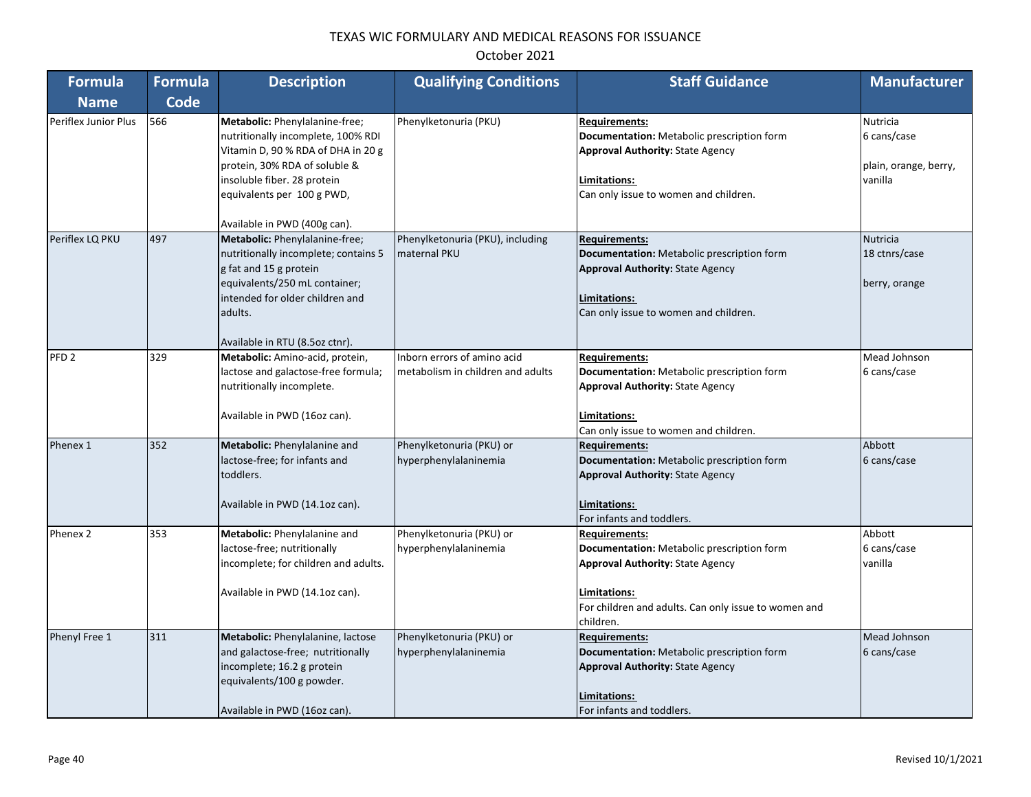| <b>Formula</b>       | <b>Formula</b> | <b>Description</b>                                                                                                                                                                                                                       | <b>Qualifying Conditions</b>                                     | <b>Staff Guidance</b>                                                                                                                                                                              | <b>Manufacturer</b>                                         |
|----------------------|----------------|------------------------------------------------------------------------------------------------------------------------------------------------------------------------------------------------------------------------------------------|------------------------------------------------------------------|----------------------------------------------------------------------------------------------------------------------------------------------------------------------------------------------------|-------------------------------------------------------------|
| <b>Name</b>          | <b>Code</b>    |                                                                                                                                                                                                                                          |                                                                  |                                                                                                                                                                                                    |                                                             |
| Periflex Junior Plus | 566            | Metabolic: Phenylalanine-free;<br>nutritionally incomplete, 100% RDI<br>Vitamin D, 90 % RDA of DHA in 20 g<br>protein, 30% RDA of soluble &<br>insoluble fiber. 28 protein<br>equivalents per 100 g PWD,<br>Available in PWD (400g can). | Phenylketonuria (PKU)                                            | <b>Requirements:</b><br>Documentation: Metabolic prescription form<br><b>Approval Authority: State Agency</b><br>Limitations:<br>Can only issue to women and children.                             | Nutricia<br>6 cans/case<br>plain, orange, berry,<br>vanilla |
| Periflex LQ PKU      | 497            | Metabolic: Phenylalanine-free;<br>nutritionally incomplete; contains 5<br>g fat and 15 g protein<br>equivalents/250 mL container;<br>intended for older children and<br>adults.<br>Available in RTU (8.5oz ctnr).                        | Phenylketonuria (PKU), including<br>maternal PKU                 | <b>Requirements:</b><br>Documentation: Metabolic prescription form<br><b>Approval Authority: State Agency</b><br>Limitations:<br>Can only issue to women and children.                             | Nutricia<br>18 ctnrs/case<br>berry, orange                  |
| PFD <sub>2</sub>     | 329            | Metabolic: Amino-acid, protein,<br>lactose and galactose-free formula;<br>nutritionally incomplete.<br>Available in PWD (16oz can).                                                                                                      | Inborn errors of amino acid<br>metabolism in children and adults | <b>Requirements:</b><br>Documentation: Metabolic prescription form<br><b>Approval Authority: State Agency</b><br>Limitations:<br>Can only issue to women and children.                             | Mead Johnson<br>6 cans/case                                 |
| Phenex 1             | 352            | Metabolic: Phenylalanine and<br>lactose-free; for infants and<br>toddlers.<br>Available in PWD (14.1oz can).                                                                                                                             | Phenylketonuria (PKU) or<br>hyperphenylalaninemia                | <b>Requirements:</b><br>Documentation: Metabolic prescription form<br><b>Approval Authority: State Agency</b><br>Limitations:<br>For infants and toddlers.                                         | Abbott<br>6 cans/case                                       |
| Phenex 2             | 353            | Metabolic: Phenylalanine and<br>lactose-free; nutritionally<br>incomplete; for children and adults.<br>Available in PWD (14.1oz can).                                                                                                    | Phenylketonuria (PKU) or<br>hyperphenylalaninemia                | <b>Requirements:</b><br>Documentation: Metabolic prescription form<br><b>Approval Authority: State Agency</b><br>Limitations:<br>For children and adults. Can only issue to women and<br>children. | Abbott<br>6 cans/case<br>vanilla                            |
| Phenyl Free 1        | 311            | Metabolic: Phenylalanine, lactose<br>and galactose-free; nutritionally<br>incomplete; 16.2 g protein<br>equivalents/100 g powder.<br>Available in PWD (16oz can).                                                                        | Phenylketonuria (PKU) or<br>hyperphenylalaninemia                | <b>Requirements:</b><br>Documentation: Metabolic prescription form<br><b>Approval Authority: State Agency</b><br>Limitations:<br>For infants and toddlers.                                         | Mead Johnson<br>6 cans/case                                 |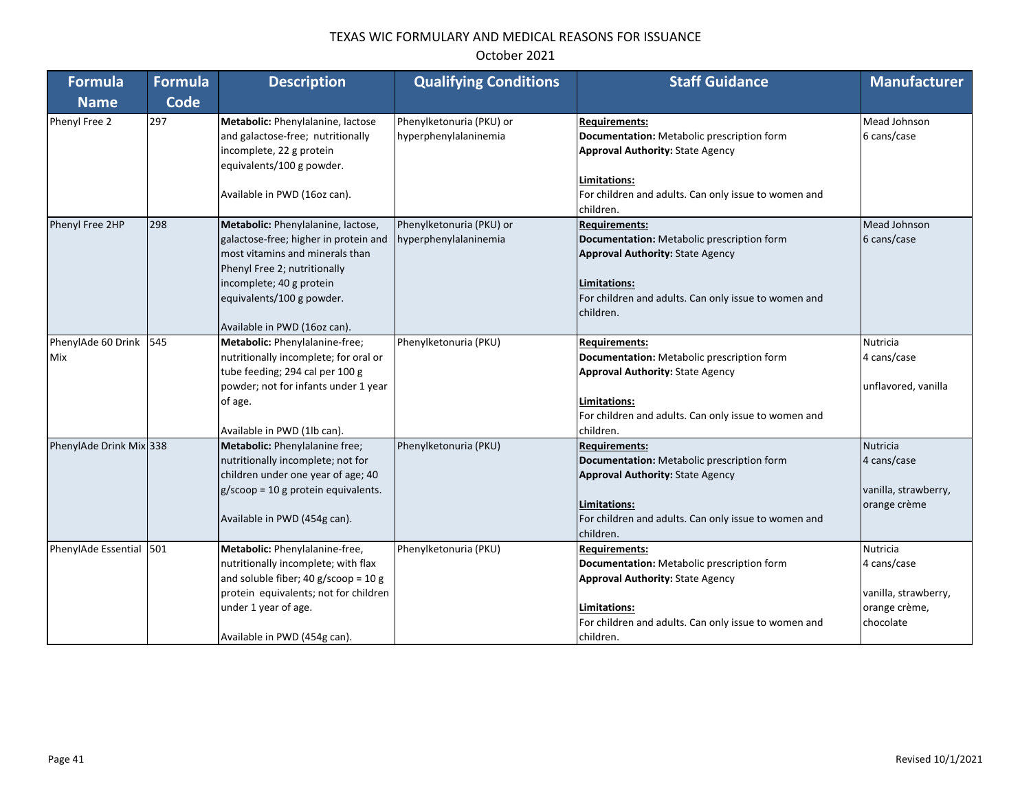| <b>Formula</b>                   | <b>Formula</b> | <b>Description</b>                                                                                                                                                                                                                      | <b>Qualifying Conditions</b>                      | <b>Staff Guidance</b>                                                                                                                                                                                           | <b>Manufacturer</b>                                                           |
|----------------------------------|----------------|-----------------------------------------------------------------------------------------------------------------------------------------------------------------------------------------------------------------------------------------|---------------------------------------------------|-----------------------------------------------------------------------------------------------------------------------------------------------------------------------------------------------------------------|-------------------------------------------------------------------------------|
| <b>Name</b>                      | Code           |                                                                                                                                                                                                                                         |                                                   |                                                                                                                                                                                                                 |                                                                               |
| Phenyl Free 2                    | 297            | Metabolic: Phenylalanine, lactose<br>and galactose-free; nutritionally<br>incomplete, 22 g protein<br>equivalents/100 g powder.<br>Available in PWD (16oz can).                                                                         | Phenylketonuria (PKU) or<br>hyperphenylalaninemia | <b>Requirements:</b><br>Documentation: Metabolic prescription form<br><b>Approval Authority: State Agency</b><br>Limitations:<br>For children and adults. Can only issue to women and                           | Mead Johnson<br>6 cans/case                                                   |
| Phenyl Free 2HP                  | 298            | Metabolic: Phenylalanine, lactose,<br>galactose-free; higher in protein and<br>most vitamins and minerals than<br>Phenyl Free 2; nutritionally<br>incomplete; 40 g protein<br>equivalents/100 g powder.<br>Available in PWD (16oz can). | Phenylketonuria (PKU) or<br>hyperphenylalaninemia | children.<br><b>Requirements:</b><br>Documentation: Metabolic prescription form<br><b>Approval Authority: State Agency</b><br>Limitations:<br>For children and adults. Can only issue to women and<br>children. | Mead Johnson<br>6 cans/case                                                   |
| PhenylAde 60 Drink<br><b>Mix</b> | 545            | Metabolic: Phenylalanine-free;<br>nutritionally incomplete; for oral or<br>tube feeding; 294 cal per 100 g<br>powder; not for infants under 1 year<br>of age.<br>Available in PWD (1lb can).                                            | Phenylketonuria (PKU)                             | <b>Requirements:</b><br>Documentation: Metabolic prescription form<br><b>Approval Authority: State Agency</b><br>Limitations:<br>For children and adults. Can only issue to women and<br>children.              | Nutricia<br>4 cans/case<br>unflavored, vanilla                                |
| PhenylAde Drink Mix 338          |                | Metabolic: Phenylalanine free;<br>nutritionally incomplete; not for<br>children under one year of age; 40<br>$g/\text{scope} = 10 g$ protein equivalents.<br>Available in PWD (454g can).                                               | Phenylketonuria (PKU)                             | <b>Requirements:</b><br>Documentation: Metabolic prescription form<br><b>Approval Authority: State Agency</b><br>Limitations:<br>For children and adults. Can only issue to women and<br>children.              | <b>Nutricia</b><br>4 cans/case<br>vanilla, strawberry,<br>orange crème        |
| PhenylAde Essential              | 501            | Metabolic: Phenylalanine-free,<br>nutritionally incomplete; with flax<br>and soluble fiber; 40 $g$ /scoop = 10 $g$<br>protein equivalents; not for children<br>under 1 year of age.<br>Available in PWD (454g can).                     | Phenylketonuria (PKU)                             | <b>Requirements:</b><br>Documentation: Metabolic prescription form<br><b>Approval Authority: State Agency</b><br>Limitations:<br>For children and adults. Can only issue to women and<br>children.              | Nutricia<br>4 cans/case<br>vanilla, strawberry,<br>orange crème,<br>chocolate |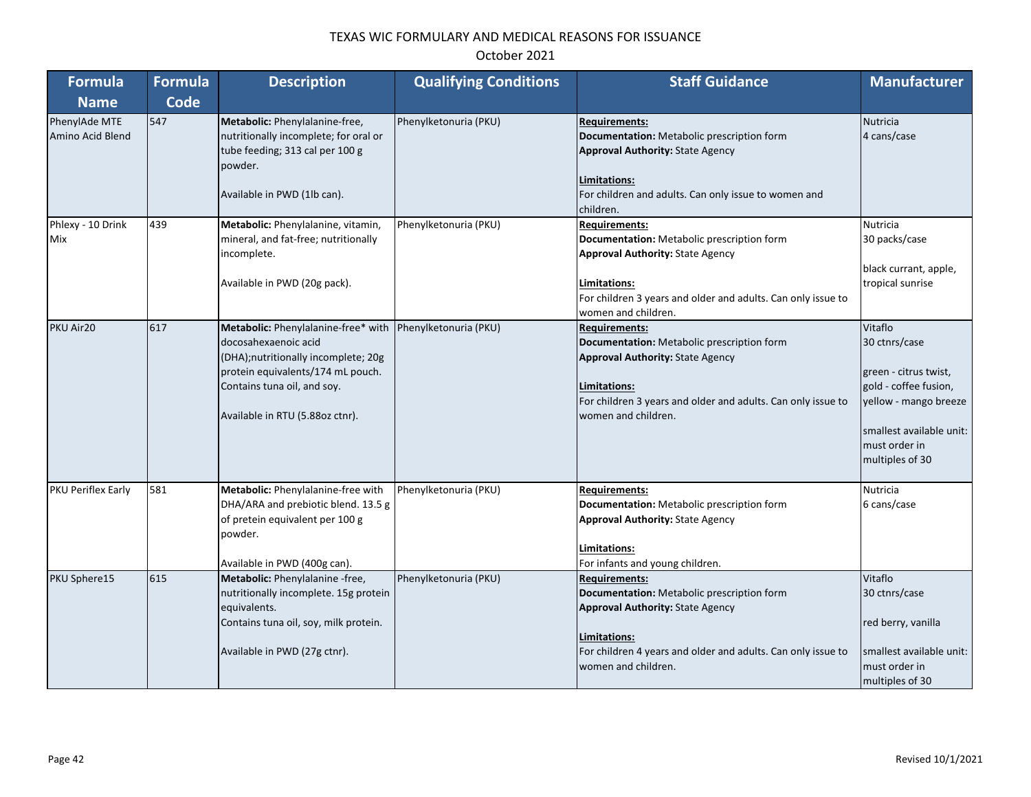| <b>Formula</b>                    | <b>Formula</b> | <b>Description</b>                                                                                                                                                                                        | <b>Qualifying Conditions</b> | <b>Staff Guidance</b>                                                                                                                                                                                                | <b>Manufacturer</b>                                                                                                                                                 |
|-----------------------------------|----------------|-----------------------------------------------------------------------------------------------------------------------------------------------------------------------------------------------------------|------------------------------|----------------------------------------------------------------------------------------------------------------------------------------------------------------------------------------------------------------------|---------------------------------------------------------------------------------------------------------------------------------------------------------------------|
| <b>Name</b>                       | <b>Code</b>    |                                                                                                                                                                                                           |                              |                                                                                                                                                                                                                      |                                                                                                                                                                     |
| PhenylAde MTE<br>Amino Acid Blend | 547            | Metabolic: Phenylalanine-free,<br>nutritionally incomplete; for oral or<br>tube feeding; 313 cal per 100 g<br>powder.<br>Available in PWD (1lb can).                                                      | Phenylketonuria (PKU)        | <b>Requirements:</b><br>Documentation: Metabolic prescription form<br><b>Approval Authority: State Agency</b><br>Limitations:<br>For children and adults. Can only issue to women and<br>children.                   | <b>Nutricia</b><br>4 cans/case                                                                                                                                      |
| Phlexy - 10 Drink<br>Mix          | 439            | Metabolic: Phenylalanine, vitamin,<br>mineral, and fat-free; nutritionally<br>incomplete.<br>Available in PWD (20g pack).                                                                                 | Phenylketonuria (PKU)        | <b>Requirements:</b><br>Documentation: Metabolic prescription form<br><b>Approval Authority: State Agency</b><br>Limitations:<br>For children 3 years and older and adults. Can only issue to<br>women and children. | <b>Nutricia</b><br>30 packs/case<br>black currant, apple,<br>tropical sunrise                                                                                       |
| PKU Air20                         | 617            | Metabolic: Phenylalanine-free* with<br>docosahexaenoic acid<br>(DHA);nutritionally incomplete; 20g<br>protein equivalents/174 mL pouch.<br>Contains tuna oil, and soy.<br>Available in RTU (5.88oz ctnr). | Phenylketonuria (PKU)        | <b>Requirements:</b><br>Documentation: Metabolic prescription form<br><b>Approval Authority: State Agency</b><br>Limitations:<br>For children 3 years and older and adults. Can only issue to<br>women and children. | Vitaflo<br>30 ctnrs/case<br>green - citrus twist,<br>gold - coffee fusion,<br>yellow - mango breeze<br>smallest available unit:<br>must order in<br>multiples of 30 |
| <b>PKU Periflex Early</b>         | 581            | Metabolic: Phenylalanine-free with<br>DHA/ARA and prebiotic blend. 13.5 g<br>of pretein equivalent per 100 g<br>powder.<br>Available in PWD (400g can).                                                   | Phenylketonuria (PKU)        | <b>Requirements:</b><br>Documentation: Metabolic prescription form<br><b>Approval Authority: State Agency</b><br>Limitations:<br>For infants and young children.                                                     | <b>Nutricia</b><br>6 cans/case                                                                                                                                      |
| PKU Sphere15                      | 615            | Metabolic: Phenylalanine -free,<br>nutritionally incomplete. 15g protein<br>equivalents.<br>Contains tuna oil, soy, milk protein.<br>Available in PWD (27g ctnr).                                         | Phenylketonuria (PKU)        | <b>Requirements:</b><br>Documentation: Metabolic prescription form<br><b>Approval Authority: State Agency</b><br>Limitations:<br>For children 4 years and older and adults. Can only issue to<br>women and children. | Vitaflo<br>30 ctnrs/case<br>red berry, vanilla<br>smallest available unit:<br>must order in<br>multiples of 30                                                      |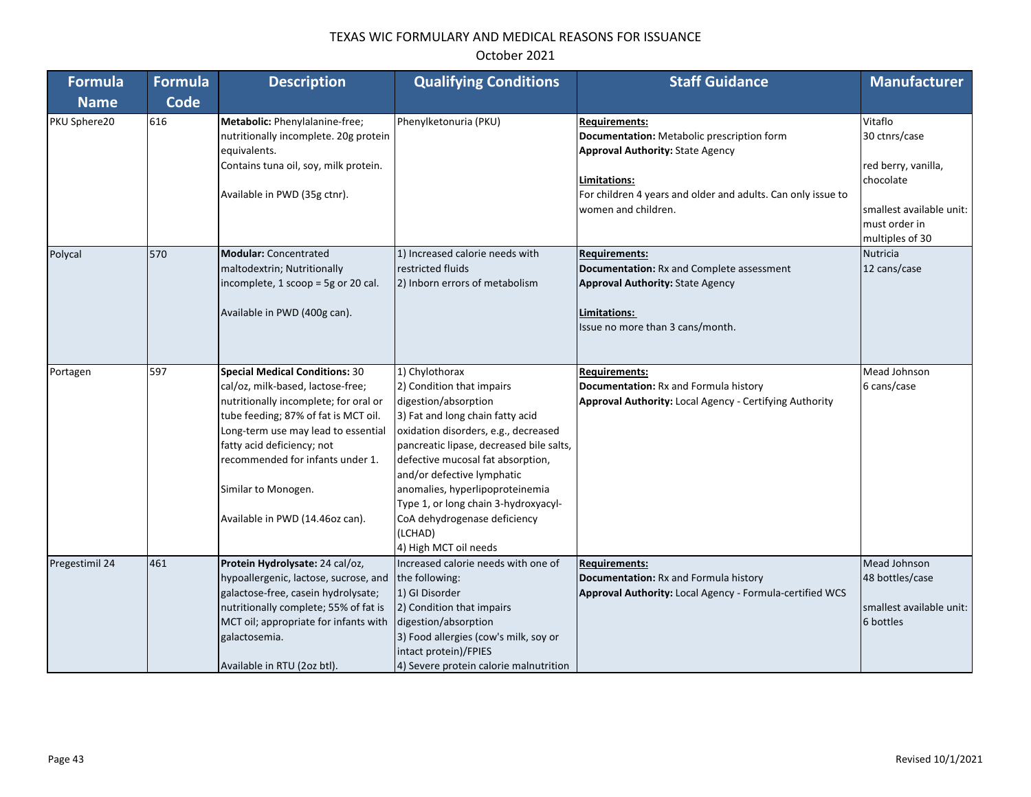| <b>Formula</b> | <b>Formula</b> | <b>Description</b>                                                                                                                                                                                                                                                                                                             | <b>Qualifying Conditions</b>                                                                                                                                                                                                                                                                                                                                                                                  | <b>Staff Guidance</b>                                                                                                                                                                                                | <b>Manufacturer</b>                                                                                                          |
|----------------|----------------|--------------------------------------------------------------------------------------------------------------------------------------------------------------------------------------------------------------------------------------------------------------------------------------------------------------------------------|---------------------------------------------------------------------------------------------------------------------------------------------------------------------------------------------------------------------------------------------------------------------------------------------------------------------------------------------------------------------------------------------------------------|----------------------------------------------------------------------------------------------------------------------------------------------------------------------------------------------------------------------|------------------------------------------------------------------------------------------------------------------------------|
| <b>Name</b>    | <b>Code</b>    |                                                                                                                                                                                                                                                                                                                                |                                                                                                                                                                                                                                                                                                                                                                                                               |                                                                                                                                                                                                                      |                                                                                                                              |
| PKU Sphere20   | 616            | Metabolic: Phenylalanine-free;<br>nutritionally incomplete. 20g protein<br>equivalents.<br>Contains tuna oil, soy, milk protein.<br>Available in PWD (35g ctnr).                                                                                                                                                               | Phenylketonuria (PKU)                                                                                                                                                                                                                                                                                                                                                                                         | <b>Requirements:</b><br>Documentation: Metabolic prescription form<br><b>Approval Authority: State Agency</b><br>Limitations:<br>For children 4 years and older and adults. Can only issue to<br>women and children. | Vitaflo<br>30 ctnrs/case<br>red berry, vanilla,<br>chocolate<br>smallest available unit:<br>must order in<br>multiples of 30 |
| Polycal        | 570            | <b>Modular: Concentrated</b><br>maltodextrin; Nutritionally<br>incomplete, 1 $scoop = 5g$ or 20 cal.<br>Available in PWD (400g can).                                                                                                                                                                                           | 1) Increased calorie needs with<br>restricted fluids<br>2) Inborn errors of metabolism                                                                                                                                                                                                                                                                                                                        | <b>Requirements:</b><br><b>Documentation: Rx and Complete assessment</b><br><b>Approval Authority: State Agency</b><br>Limitations:<br>Issue no more than 3 cans/month.                                              | Nutricia<br>12 cans/case                                                                                                     |
| Portagen       | 597            | <b>Special Medical Conditions: 30</b><br>cal/oz, milk-based, lactose-free;<br>nutritionally incomplete; for oral or<br>tube feeding; 87% of fat is MCT oil.<br>Long-term use may lead to essential<br>fatty acid deficiency; not<br>recommended for infants under 1.<br>Similar to Monogen.<br>Available in PWD (14.46oz can). | 1) Chylothorax<br>2) Condition that impairs<br>digestion/absorption<br>3) Fat and long chain fatty acid<br>oxidation disorders, e.g., decreased<br>pancreatic lipase, decreased bile salts,<br>defective mucosal fat absorption,<br>and/or defective lymphatic<br>anomalies, hyperlipoproteinemia<br>Type 1, or long chain 3-hydroxyacyl-<br>CoA dehydrogenase deficiency<br>(LCHAD)<br>4) High MCT oil needs | <b>Requirements:</b><br>Documentation: Rx and Formula history<br><b>Approval Authority: Local Agency - Certifying Authority</b>                                                                                      | Mead Johnson<br>6 cans/case                                                                                                  |
| Pregestimil 24 | 461            | Protein Hydrolysate: 24 cal/oz,<br>hypoallergenic, lactose, sucrose, and<br>galactose-free, casein hydrolysate;<br>nutritionally complete; 55% of fat is<br>MCT oil; appropriate for infants with<br>galactosemia.<br>Available in RTU (2oz btl).                                                                              | Increased calorie needs with one of<br>the following:<br>1) GI Disorder<br>2) Condition that impairs<br>digestion/absorption<br>3) Food allergies (cow's milk, soy or<br>intact protein)/FPIES<br>4) Severe protein calorie malnutrition                                                                                                                                                                      | <b>Requirements:</b><br><b>Documentation: Rx and Formula history</b><br>Approval Authority: Local Agency - Formula-certified WCS                                                                                     | Mead Johnson<br>48 bottles/case<br>smallest available unit:<br>6 bottles                                                     |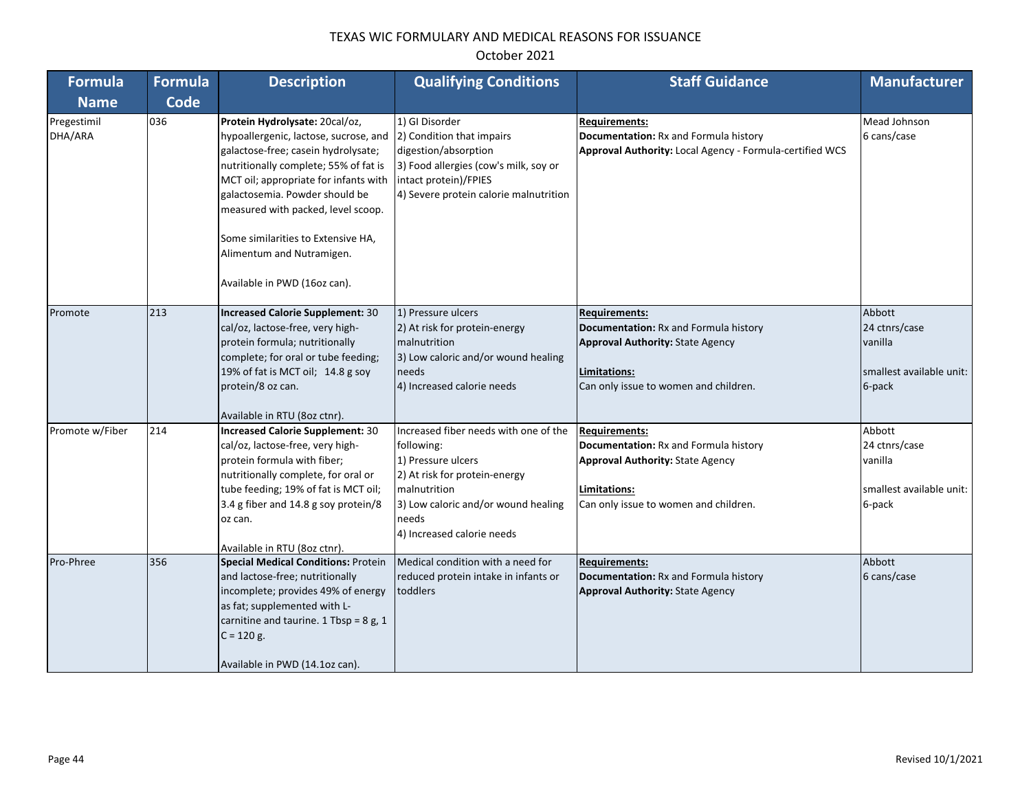| <b>Formula</b>         | <b>Formula</b> | <b>Description</b>                                                                                                                                                                                                                                                                                                                                                          | <b>Qualifying Conditions</b>                                                                                                                                                                             | <b>Staff Guidance</b>                                                                                                                                                    | <b>Manufacturer</b>                                                      |
|------------------------|----------------|-----------------------------------------------------------------------------------------------------------------------------------------------------------------------------------------------------------------------------------------------------------------------------------------------------------------------------------------------------------------------------|----------------------------------------------------------------------------------------------------------------------------------------------------------------------------------------------------------|--------------------------------------------------------------------------------------------------------------------------------------------------------------------------|--------------------------------------------------------------------------|
| <b>Name</b>            | <b>Code</b>    |                                                                                                                                                                                                                                                                                                                                                                             |                                                                                                                                                                                                          |                                                                                                                                                                          |                                                                          |
| Pregestimil<br>DHA/ARA | 036            | Protein Hydrolysate: 20cal/oz,<br>hypoallergenic, lactose, sucrose, and<br>galactose-free; casein hydrolysate;<br>nutritionally complete; 55% of fat is<br>MCT oil; appropriate for infants with<br>galactosemia. Powder should be<br>measured with packed, level scoop.<br>Some similarities to Extensive HA,<br>Alimentum and Nutramigen.<br>Available in PWD (16oz can). | 1) GI Disorder<br>2) Condition that impairs<br>digestion/absorption<br>3) Food allergies (cow's milk, soy or<br>intact protein)/FPIES<br>4) Severe protein calorie malnutrition                          | Requirements:<br>Documentation: Rx and Formula history<br>Approval Authority: Local Agency - Formula-certified WCS                                                       | Mead Johnson<br>6 cans/case                                              |
| Promote                | 213            | Increased Calorie Supplement: 30<br>cal/oz, lactose-free, very high-<br>protein formula; nutritionally<br>complete; for oral or tube feeding;<br>19% of fat is MCT oil; 14.8 g soy<br>protein/8 oz can.<br>Available in RTU (8oz ctnr).                                                                                                                                     | 1) Pressure ulcers<br>2) At risk for protein-energy<br>malnutrition<br>3) Low caloric and/or wound healing<br>needs<br>4) Increased calorie needs                                                        | <b>Requirements:</b><br><b>Documentation: Rx and Formula history</b><br><b>Approval Authority: State Agency</b><br>Limitations:<br>Can only issue to women and children. | Abbott<br>24 ctnrs/case<br>vanilla<br>smallest available unit:<br>6-pack |
| Promote w/Fiber        | 214            | <b>Increased Calorie Supplement: 30</b><br>cal/oz, lactose-free, very high-<br>protein formula with fiber;<br>nutritionally complete, for oral or<br>tube feeding; 19% of fat is MCT oil;<br>3.4 g fiber and 14.8 g soy protein/8<br>oz can.<br>Available in RTU (8oz ctnr).                                                                                                | Increased fiber needs with one of the<br>following:<br>1) Pressure ulcers<br>2) At risk for protein-energy<br>malnutrition<br>3) Low caloric and/or wound healing<br>needs<br>4) Increased calorie needs | <b>Requirements:</b><br>Documentation: Rx and Formula history<br><b>Approval Authority: State Agency</b><br>Limitations:<br>Can only issue to women and children.        | Abbott<br>24 ctnrs/case<br>vanilla<br>smallest available unit:<br>6-pack |
| Pro-Phree              | 356            | <b>Special Medical Conditions: Protein</b><br>and lactose-free; nutritionally<br>incomplete; provides 49% of energy<br>as fat; supplemented with L-<br>carnitine and taurine. 1 Tbsp = 8 g, 1<br>$C = 120 g.$<br>Available in PWD (14.1oz can).                                                                                                                             | Medical condition with a need for<br>reduced protein intake in infants or<br>toddlers                                                                                                                    | <b>Requirements:</b><br>Documentation: Rx and Formula history<br><b>Approval Authority: State Agency</b>                                                                 | Abbott<br>6 cans/case                                                    |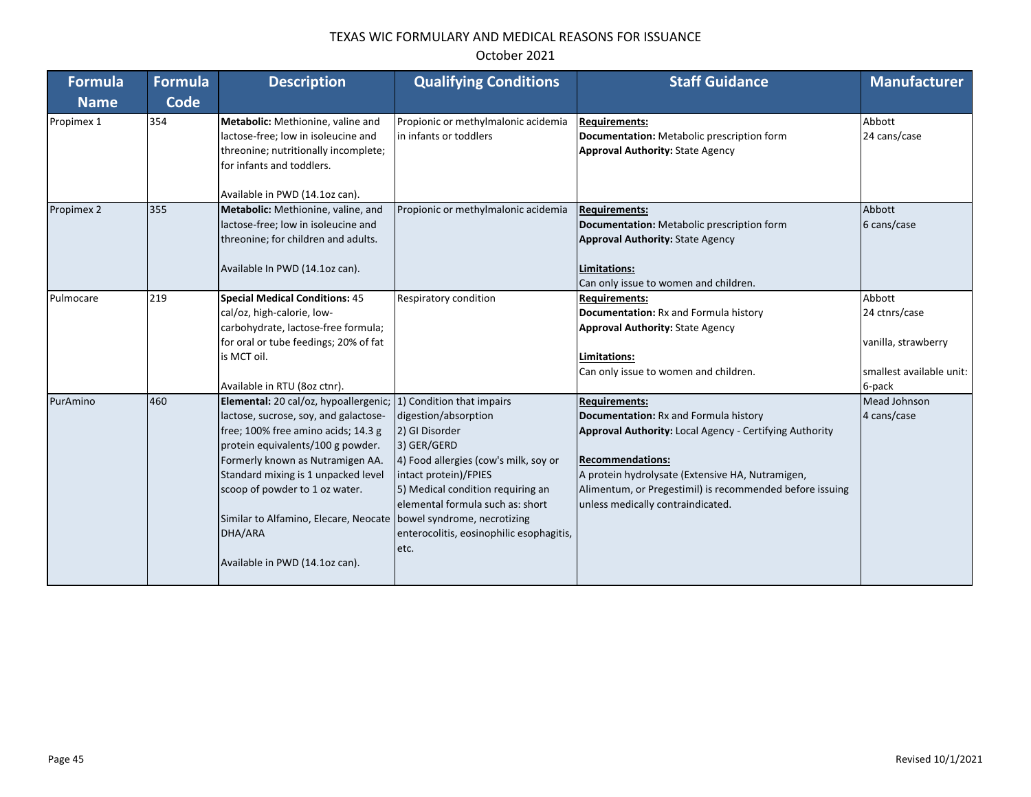| October 2021 |  |
|--------------|--|
|--------------|--|

| Formula     | Formula | <b>Description</b>                                               | <b>Qualifying Conditions</b>             | <b>Staff Guidance</b>                                    | <b>Manufacturer</b>      |
|-------------|---------|------------------------------------------------------------------|------------------------------------------|----------------------------------------------------------|--------------------------|
| <b>Name</b> | Code    |                                                                  |                                          |                                                          |                          |
| Propimex 1  | 354     | Metabolic: Methionine, valine and                                | Propionic or methylmalonic acidemia      | <b>Requirements:</b>                                     | Abbott                   |
|             |         | lactose-free; low in isoleucine and                              | in infants or toddlers                   | Documentation: Metabolic prescription form               | 24 cans/case             |
|             |         | threonine; nutritionally incomplete;                             |                                          | <b>Approval Authority: State Agency</b>                  |                          |
|             |         | for infants and toddlers.                                        |                                          |                                                          |                          |
|             |         | Available in PWD (14.1oz can).                                   |                                          |                                                          |                          |
| Propimex 2  | 355     | Metabolic: Methionine, valine, and                               | Propionic or methylmalonic acidemia      | <b>Requirements:</b>                                     | Abbott                   |
|             |         | lactose-free; low in isoleucine and                              |                                          | Documentation: Metabolic prescription form               | 6 cans/case              |
|             |         | threonine; for children and adults.                              |                                          | <b>Approval Authority: State Agency</b>                  |                          |
|             |         | Available In PWD (14.1oz can).                                   |                                          | Limitations:                                             |                          |
|             |         |                                                                  |                                          | Can only issue to women and children.                    |                          |
| Pulmocare   | 219     | <b>Special Medical Conditions: 45</b>                            | Respiratory condition                    | <b>Requirements:</b>                                     | Abbott                   |
|             |         | cal/oz, high-calorie, low-                                       |                                          | Documentation: Rx and Formula history                    | 24 ctnrs/case            |
|             |         | carbohydrate, lactose-free formula;                              |                                          | <b>Approval Authority: State Agency</b>                  |                          |
|             |         | for oral or tube feedings; 20% of fat                            |                                          |                                                          | vanilla, strawberry      |
|             |         | is MCT oil.                                                      |                                          | Limitations:                                             |                          |
|             |         |                                                                  |                                          | Can only issue to women and children.                    | smallest available unit: |
|             |         | Available in RTU (8oz ctnr).                                     |                                          |                                                          | 6-pack                   |
| PurAmino    | 460     | Elemental: 20 cal/oz, hypoallergenic; (1) Condition that impairs |                                          | <b>Requirements:</b>                                     | Mead Johnson             |
|             |         | lactose, sucrose, soy, and galactose-                            | digestion/absorption                     | Documentation: Rx and Formula history                    | 4 cans/case              |
|             |         | free; 100% free amino acids; 14.3 g                              | 2) GI Disorder                           | Approval Authority: Local Agency - Certifying Authority  |                          |
|             |         | protein equivalents/100 g powder.                                | 3) GER/GERD                              |                                                          |                          |
|             |         | Formerly known as Nutramigen AA.                                 | 4) Food allergies (cow's milk, soy or    | <b>Recommendations:</b>                                  |                          |
|             |         | Standard mixing is 1 unpacked level                              | intact protein)/FPIES                    | A protein hydrolysate (Extensive HA, Nutramigen,         |                          |
|             |         | scoop of powder to 1 oz water.                                   | 5) Medical condition requiring an        | Alimentum, or Pregestimil) is recommended before issuing |                          |
|             |         |                                                                  | elemental formula such as: short         | unless medically contraindicated.                        |                          |
|             |         | Similar to Alfamino, Elecare, Neocate                            | bowel syndrome, necrotizing              |                                                          |                          |
|             |         | DHA/ARA                                                          | enterocolitis, eosinophilic esophagitis, |                                                          |                          |
|             |         |                                                                  | etc.                                     |                                                          |                          |
|             |         | Available in PWD (14.1oz can).                                   |                                          |                                                          |                          |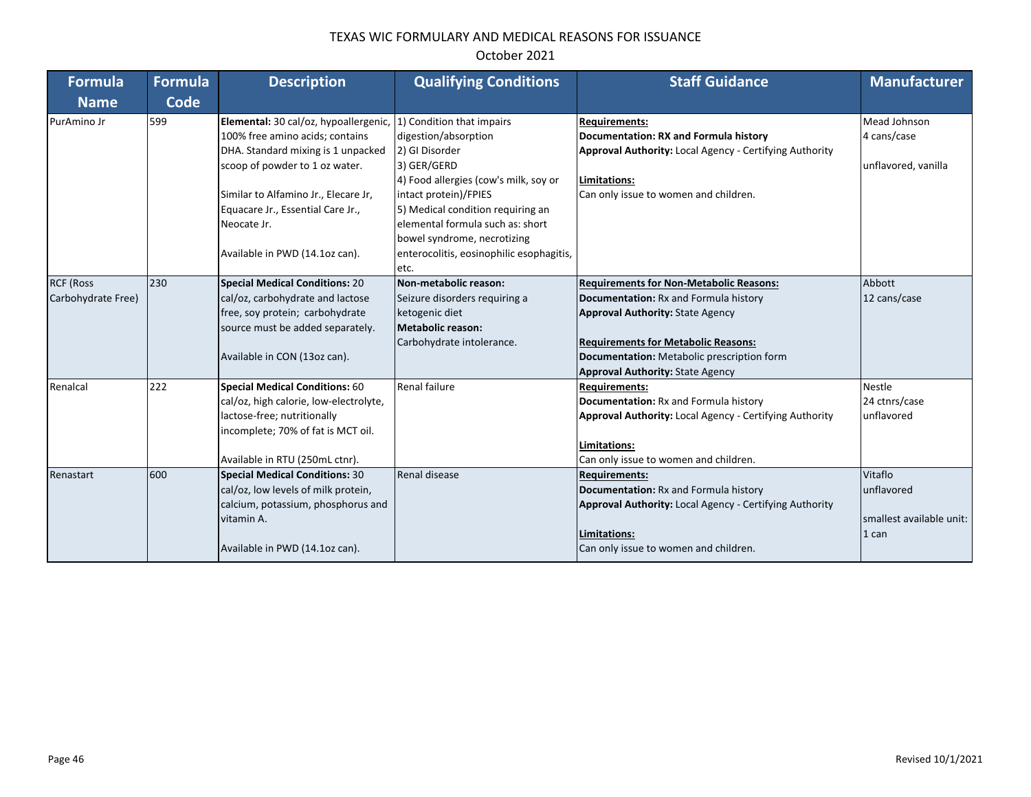| <b>Formula</b>     | Formula     | <b>Description</b>                     | <b>Qualifying Conditions</b>             | <b>Staff Guidance</b>                                          | <b>Manufacturer</b>      |
|--------------------|-------------|----------------------------------------|------------------------------------------|----------------------------------------------------------------|--------------------------|
| <b>Name</b>        | <b>Code</b> |                                        |                                          |                                                                |                          |
| PurAmino Jr        | 599         | Elemental: 30 cal/oz, hypoallergenic,  | 1) Condition that impairs                | <b>Requirements:</b>                                           | Mead Johnson             |
|                    |             | 100% free amino acids; contains        | digestion/absorption                     | Documentation: RX and Formula history                          | 4 cans/case              |
|                    |             | DHA. Standard mixing is 1 unpacked     | 2) GI Disorder                           | Approval Authority: Local Agency - Certifying Authority        |                          |
|                    |             | scoop of powder to 1 oz water.         | 3) GER/GERD                              |                                                                | unflavored, vanilla      |
|                    |             |                                        | 4) Food allergies (cow's milk, soy or    | Limitations:                                                   |                          |
|                    |             | Similar to Alfamino Jr., Elecare Jr,   | intact protein)/FPIES                    | Can only issue to women and children.                          |                          |
|                    |             | Equacare Jr., Essential Care Jr.,      | 5) Medical condition requiring an        |                                                                |                          |
|                    |             | Neocate Jr.                            | elemental formula such as: short         |                                                                |                          |
|                    |             |                                        | bowel syndrome, necrotizing              |                                                                |                          |
|                    |             | Available in PWD (14.1oz can).         | enterocolitis, eosinophilic esophagitis, |                                                                |                          |
|                    |             |                                        | letc.                                    |                                                                |                          |
| <b>RCF (Ross</b>   | 230         | <b>Special Medical Conditions: 20</b>  | Non-metabolic reason:                    | <b>Requirements for Non-Metabolic Reasons:</b>                 | Abbott                   |
| Carbohydrate Free) |             | cal/oz, carbohydrate and lactose       | Seizure disorders requiring a            | Documentation: Rx and Formula history                          | 12 cans/case             |
|                    |             | free, soy protein; carbohydrate        | ketogenic diet                           | <b>Approval Authority: State Agency</b>                        |                          |
|                    |             | source must be added separately.       | Metabolic reason:                        |                                                                |                          |
|                    |             |                                        | Carbohydrate intolerance.                | <b>Requirements for Metabolic Reasons:</b>                     |                          |
|                    |             | Available in CON (13oz can).           |                                          | Documentation: Metabolic prescription form                     |                          |
|                    |             |                                        |                                          | <b>Approval Authority: State Agency</b>                        |                          |
| Renalcal           | 222         | <b>Special Medical Conditions: 60</b>  | <b>Renal failure</b>                     | <b>Requirements:</b>                                           | <b>Nestle</b>            |
|                    |             | cal/oz, high calorie, low-electrolyte, |                                          | <b>Documentation: Rx and Formula history</b>                   | 24 ctnrs/case            |
|                    |             | lactose-free; nutritionally            |                                          | <b>Approval Authority: Local Agency - Certifying Authority</b> | unflavored               |
|                    |             | incomplete; 70% of fat is MCT oil.     |                                          |                                                                |                          |
|                    |             |                                        |                                          | Limitations:                                                   |                          |
|                    |             | Available in RTU (250mL ctnr).         |                                          | Can only issue to women and children.                          |                          |
| Renastart          | 600         | <b>Special Medical Conditions: 30</b>  | Renal disease                            | <b>Requirements:</b>                                           | Vitaflo                  |
|                    |             | cal/oz, low levels of milk protein,    |                                          | Documentation: Rx and Formula history                          | unflavored               |
|                    |             | calcium, potassium, phosphorus and     |                                          | <b>Approval Authority: Local Agency - Certifying Authority</b> |                          |
|                    |             | vitamin A.                             |                                          |                                                                | smallest available unit: |
|                    |             |                                        |                                          | Limitations:                                                   | 1 can                    |
|                    |             | Available in PWD (14.1oz can).         |                                          | Can only issue to women and children.                          |                          |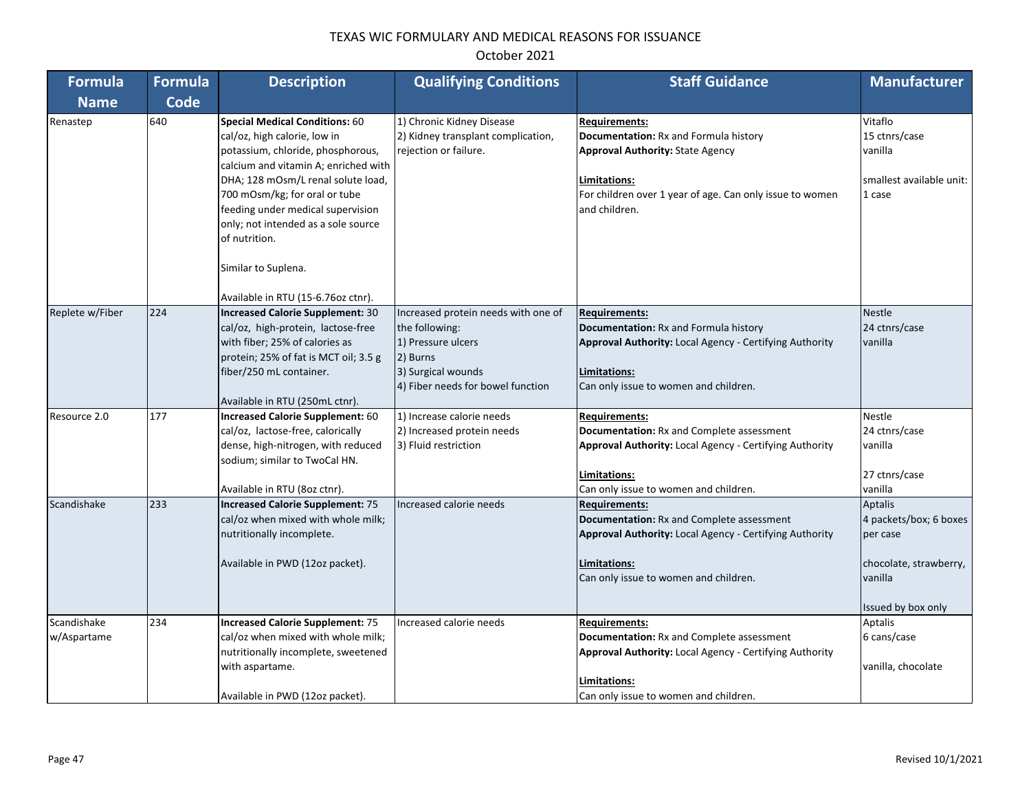| <b>Formula</b>             | <b>Formula</b> | <b>Description</b>                                                                                                                                                                                                                                                                                                                                                                  | <b>Qualifying Conditions</b>                                                                                                                       | <b>Staff Guidance</b>                                                                                                                                                                                 | <b>Manufacturer</b>                                                                                      |
|----------------------------|----------------|-------------------------------------------------------------------------------------------------------------------------------------------------------------------------------------------------------------------------------------------------------------------------------------------------------------------------------------------------------------------------------------|----------------------------------------------------------------------------------------------------------------------------------------------------|-------------------------------------------------------------------------------------------------------------------------------------------------------------------------------------------------------|----------------------------------------------------------------------------------------------------------|
| <b>Name</b>                | <b>Code</b>    |                                                                                                                                                                                                                                                                                                                                                                                     |                                                                                                                                                    |                                                                                                                                                                                                       |                                                                                                          |
| Renastep                   | 640            | <b>Special Medical Conditions: 60</b><br>cal/oz, high calorie, low in<br>potassium, chloride, phosphorous,<br>calcium and vitamin A; enriched with<br>DHA; 128 mOsm/L renal solute load,<br>700 mOsm/kg; for oral or tube<br>feeding under medical supervision<br>only; not intended as a sole source<br>of nutrition.<br>Similar to Suplena.<br>Available in RTU (15-6.76oz ctnr). | 1) Chronic Kidney Disease<br>2) Kidney transplant complication,<br>rejection or failure.                                                           | <b>Requirements:</b><br>Documentation: Rx and Formula history<br><b>Approval Authority: State Agency</b><br>Limitations:<br>For children over 1 year of age. Can only issue to women<br>and children. | Vitaflo<br>15 ctnrs/case<br>vanilla<br>smallest available unit:<br>1 case                                |
| Replete w/Fiber            | 224            | <b>Increased Calorie Supplement: 30</b><br>cal/oz, high-protein, lactose-free<br>with fiber; 25% of calories as<br>protein; 25% of fat is MCT oil; 3.5 g<br>fiber/250 mL container.<br>Available in RTU (250mL ctnr).                                                                                                                                                               | Increased protein needs with one of<br>the following:<br>1) Pressure ulcers<br>2) Burns<br>3) Surgical wounds<br>4) Fiber needs for bowel function | <b>Requirements:</b><br>Documentation: Rx and Formula history<br>Approval Authority: Local Agency - Certifying Authority<br>Limitations:<br>Can only issue to women and children.                     | <b>Nestle</b><br>24 ctnrs/case<br>vanilla                                                                |
| Resource 2.0               | 177            | <b>Increased Calorie Supplement: 60</b><br>cal/oz, lactose-free, calorically<br>dense, high-nitrogen, with reduced<br>sodium; similar to TwoCal HN.<br>Available in RTU (8oz ctnr).                                                                                                                                                                                                 | 1) Increase calorie needs<br>2) Increased protein needs<br>3) Fluid restriction                                                                    | <b>Requirements:</b><br>Documentation: Rx and Complete assessment<br>Approval Authority: Local Agency - Certifying Authority<br>Limitations:<br>Can only issue to women and children.                 | <b>Nestle</b><br>24 ctnrs/case<br>vanilla<br>27 ctnrs/case<br>vanilla                                    |
| Scandishake                | 233            | <b>Increased Calorie Supplement: 75</b><br>cal/oz when mixed with whole milk;<br>nutritionally incomplete.<br>Available in PWD (12oz packet).                                                                                                                                                                                                                                       | Increased calorie needs                                                                                                                            | <b>Requirements:</b><br>Documentation: Rx and Complete assessment<br>Approval Authority: Local Agency - Certifying Authority<br>Limitations:<br>Can only issue to women and children.                 | Aptalis<br>4 packets/box; 6 boxes<br>per case<br>chocolate, strawberry,<br>vanilla<br>Issued by box only |
| Scandishake<br>w/Aspartame | 234            | <b>Increased Calorie Supplement: 75</b><br>cal/oz when mixed with whole milk;<br>nutritionally incomplete, sweetened<br>with aspartame.<br>Available in PWD (12oz packet).                                                                                                                                                                                                          | Increased calorie needs                                                                                                                            | <b>Requirements:</b><br><b>Documentation: Rx and Complete assessment</b><br>Approval Authority: Local Agency - Certifying Authority<br>Limitations:<br>Can only issue to women and children.          | Aptalis<br>6 cans/case<br>vanilla, chocolate                                                             |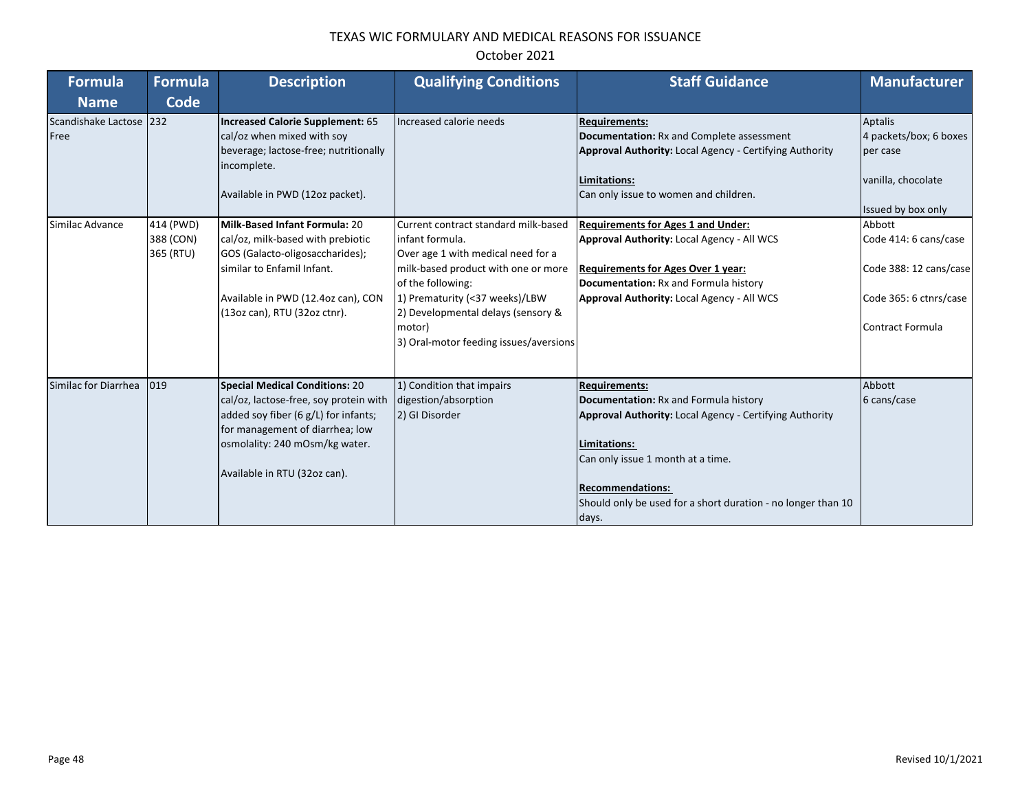| <b>Formula</b>                  | <b>Formula</b>                      | <b>Description</b>                                                                                                                                                                                                           | <b>Qualifying Conditions</b>                                                                                                                                                                                                                                                          | <b>Staff Guidance</b>                                                                                                                                                                                                                                                                    | <b>Manufacturer</b>                                                                                                                  |
|---------------------------------|-------------------------------------|------------------------------------------------------------------------------------------------------------------------------------------------------------------------------------------------------------------------------|---------------------------------------------------------------------------------------------------------------------------------------------------------------------------------------------------------------------------------------------------------------------------------------|------------------------------------------------------------------------------------------------------------------------------------------------------------------------------------------------------------------------------------------------------------------------------------------|--------------------------------------------------------------------------------------------------------------------------------------|
| <b>Name</b>                     | Code                                |                                                                                                                                                                                                                              |                                                                                                                                                                                                                                                                                       |                                                                                                                                                                                                                                                                                          |                                                                                                                                      |
| Scandishake Lactose 232<br>Free |                                     | Increased Calorie Supplement: 65<br>cal/oz when mixed with soy<br>beverage; lactose-free; nutritionally<br>incomplete.<br>Available in PWD (12oz packet).                                                                    | Increased calorie needs                                                                                                                                                                                                                                                               | <b>Requirements:</b><br>Documentation: Rx and Complete assessment<br><b>Approval Authority: Local Agency - Certifying Authority</b><br>Limitations:<br>Can only issue to women and children.                                                                                             | Aptalis<br>4 packets/box; 6 boxes<br>per case<br>vanilla, chocolate                                                                  |
| Similac Advance                 | 414 (PWD)<br>388 (CON)<br>365 (RTU) | Milk-Based Infant Formula: 20<br>cal/oz, milk-based with prebiotic<br>GOS (Galacto-oligosaccharides);<br>similar to Enfamil Infant.<br>Available in PWD (12.4oz can), CON<br>(13oz can), RTU (32oz ctnr).                    | Current contract standard milk-based<br>infant formula.<br>Over age 1 with medical need for a<br>milk-based product with one or more<br>of the following:<br>1) Prematurity (<37 weeks)/LBW<br>2) Developmental delays (sensory &<br>motor)<br>3) Oral-motor feeding issues/aversions | <b>Requirements for Ages 1 and Under:</b><br>Approval Authority: Local Agency - All WCS<br><b>Requirements for Ages Over 1 year:</b><br>Documentation: Rx and Formula history<br><b>Approval Authority: Local Agency - All WCS</b>                                                       | Issued by box only<br>Abbott<br>Code 414: 6 cans/case<br>Code 388: 12 cans/case<br>Code 365: 6 ctnrs/case<br><b>Contract Formula</b> |
| Similac for Diarrhea            | 019                                 | <b>Special Medical Conditions: 20</b><br>cal/oz, lactose-free, soy protein with<br>added soy fiber (6 g/L) for infants;<br>for management of diarrhea; low<br>osmolality: 240 mOsm/kg water.<br>Available in RTU (32oz can). | 1) Condition that impairs<br>digestion/absorption<br>2) GI Disorder                                                                                                                                                                                                                   | <b>Requirements:</b><br>Documentation: Rx and Formula history<br><b>Approval Authority: Local Agency - Certifying Authority</b><br>Limitations:<br>Can only issue 1 month at a time.<br><b>Recommendations:</b><br>Should only be used for a short duration - no longer than 10<br>days. | Abbott<br>6 cans/case                                                                                                                |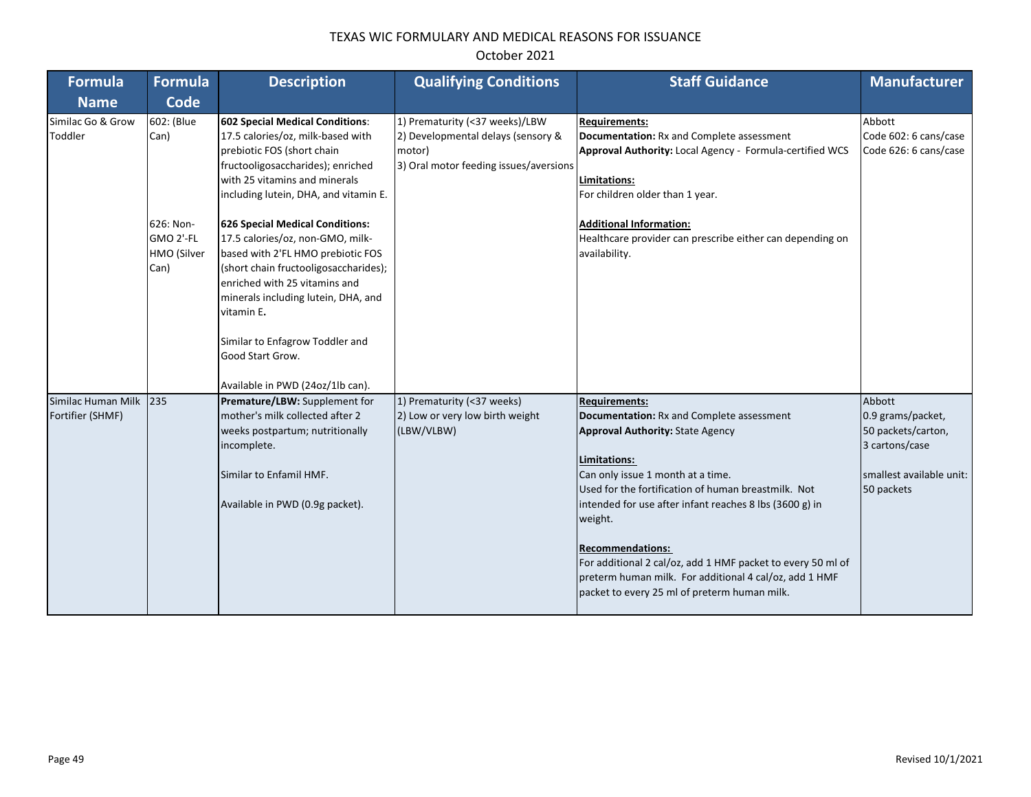| <b>Formula</b>                         | <b>Formula</b>                                                      | <b>Description</b>                                                                                                                                                                                                                                                                                                                                                                                                                                                                                                                | <b>Qualifying Conditions</b>                                                                                             | <b>Staff Guidance</b>                                                                                                                                                                                                                                                                                                                                                                                                                                                                              | <b>Manufacturer</b>                                                                                           |
|----------------------------------------|---------------------------------------------------------------------|-----------------------------------------------------------------------------------------------------------------------------------------------------------------------------------------------------------------------------------------------------------------------------------------------------------------------------------------------------------------------------------------------------------------------------------------------------------------------------------------------------------------------------------|--------------------------------------------------------------------------------------------------------------------------|----------------------------------------------------------------------------------------------------------------------------------------------------------------------------------------------------------------------------------------------------------------------------------------------------------------------------------------------------------------------------------------------------------------------------------------------------------------------------------------------------|---------------------------------------------------------------------------------------------------------------|
| <b>Name</b>                            | Code                                                                |                                                                                                                                                                                                                                                                                                                                                                                                                                                                                                                                   |                                                                                                                          |                                                                                                                                                                                                                                                                                                                                                                                                                                                                                                    |                                                                                                               |
| Similac Go & Grow<br>Toddler           | 602: (Blue<br>Can)<br>626: Non-<br>GMO 2'-FL<br>HMO (Silver<br>Can) | <b>602 Special Medical Conditions:</b><br>17.5 calories/oz, milk-based with<br>prebiotic FOS (short chain<br>fructooligosaccharides); enriched<br>with 25 vitamins and minerals<br>including lutein, DHA, and vitamin E.<br><b>626 Special Medical Conditions:</b><br>17.5 calories/oz, non-GMO, milk-<br>based with 2'FL HMO prebiotic FOS<br>(short chain fructooligosaccharides);<br>enriched with 25 vitamins and<br>minerals including lutein, DHA, and<br>vitamin E.<br>Similar to Enfagrow Toddler and<br>Good Start Grow. | 1) Prematurity (<37 weeks)/LBW<br>2) Developmental delays (sensory &<br>motor)<br>3) Oral motor feeding issues/aversions | <b>Requirements:</b><br>Documentation: Rx and Complete assessment<br>Approval Authority: Local Agency - Formula-certified WCS<br>Limitations:<br>For children older than 1 year.<br><b>Additional Information:</b><br>Healthcare provider can prescribe either can depending on<br>availability.                                                                                                                                                                                                   | Abbott<br>Code 602: 6 cans/case<br>Code 626: 6 cans/case                                                      |
| Similac Human Milk<br>Fortifier (SHMF) | 235                                                                 | Available in PWD (24oz/1lb can).<br>Premature/LBW: Supplement for<br>mother's milk collected after 2<br>weeks postpartum; nutritionally<br>incomplete.<br>Similar to Enfamil HMF.<br>Available in PWD (0.9g packet).                                                                                                                                                                                                                                                                                                              | 1) Prematurity (<37 weeks)<br>2) Low or very low birth weight<br>(LBW/VLBW)                                              | <b>Requirements:</b><br>Documentation: Rx and Complete assessment<br><b>Approval Authority: State Agency</b><br>Limitations:<br>Can only issue 1 month at a time.<br>Used for the fortification of human breastmilk. Not<br>intended for use after infant reaches 8 lbs (3600 g) in<br>weight.<br><b>Recommendations:</b><br>For additional 2 cal/oz, add 1 HMF packet to every 50 ml of<br>preterm human milk. For additional 4 cal/oz, add 1 HMF<br>packet to every 25 ml of preterm human milk. | Abbott<br>0.9 grams/packet,<br>50 packets/carton,<br>3 cartons/case<br>smallest available unit:<br>50 packets |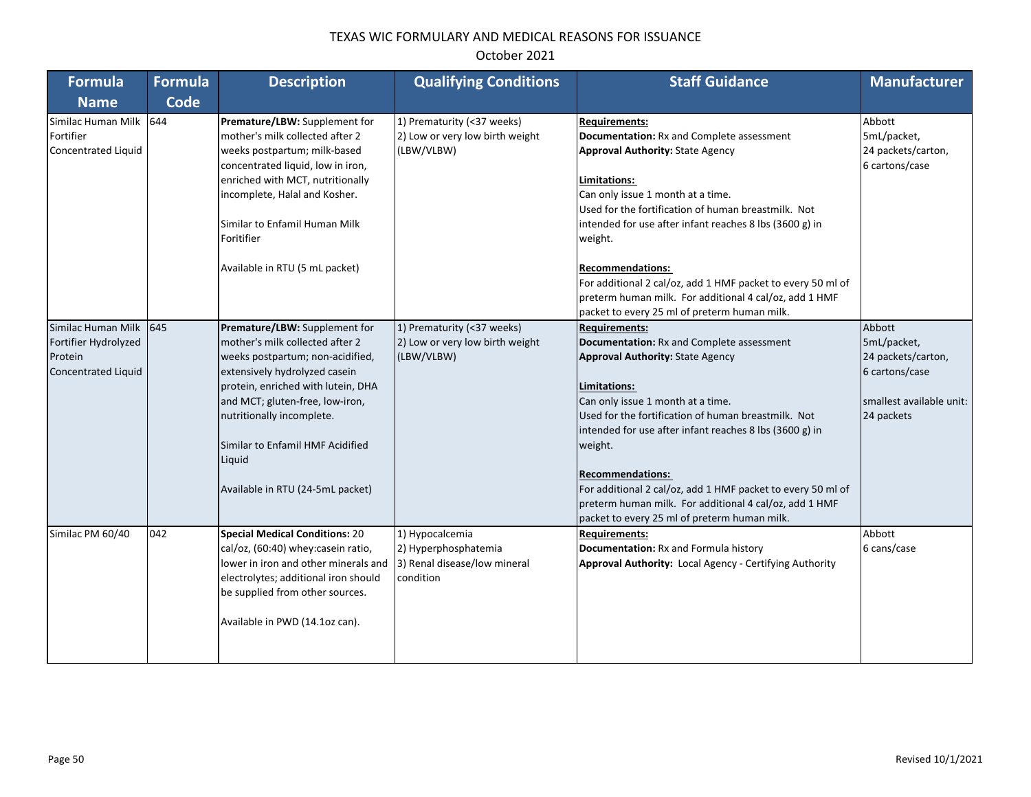| Formula                                                                             | <b>Formula</b> | <b>Description</b>                                                                                                                                                                                                                                                                                                            | <b>Qualifying Conditions</b>                                                         | <b>Staff Guidance</b>                                                                                                                                                                                                                                                                                                                                                                                                                                                                                     | <b>Manufacturer</b>                                                                                     |
|-------------------------------------------------------------------------------------|----------------|-------------------------------------------------------------------------------------------------------------------------------------------------------------------------------------------------------------------------------------------------------------------------------------------------------------------------------|--------------------------------------------------------------------------------------|-----------------------------------------------------------------------------------------------------------------------------------------------------------------------------------------------------------------------------------------------------------------------------------------------------------------------------------------------------------------------------------------------------------------------------------------------------------------------------------------------------------|---------------------------------------------------------------------------------------------------------|
| <b>Name</b>                                                                         | Code           |                                                                                                                                                                                                                                                                                                                               |                                                                                      |                                                                                                                                                                                                                                                                                                                                                                                                                                                                                                           |                                                                                                         |
| Similac Human Milk 644<br>Fortifier<br>Concentrated Liquid                          |                | Premature/LBW: Supplement for<br>mother's milk collected after 2<br>weeks postpartum; milk-based<br>concentrated liquid, low in iron,<br>enriched with MCT, nutritionally<br>incomplete, Halal and Kosher.<br>Similar to Enfamil Human Milk<br>Foritifier<br>Available in RTU (5 mL packet)                                   | 1) Prematurity (<37 weeks)<br>2) Low or very low birth weight<br>(LBW/VLBW)          | <b>Requirements:</b><br><b>Documentation:</b> Rx and Complete assessment<br><b>Approval Authority: State Agency</b><br>Limitations:<br>Can only issue 1 month at a time.<br>Used for the fortification of human breastmilk. Not<br>intended for use after infant reaches 8 lbs (3600 g) in<br>weight.<br><b>Recommendations:</b><br>For additional 2 cal/oz, add 1 HMF packet to every 50 ml of<br>preterm human milk. For additional 4 cal/oz, add 1 HMF<br>packet to every 25 ml of preterm human milk. | Abbott<br>5mL/packet,<br>24 packets/carton,<br>6 cartons/case                                           |
| Similac Human Milk<br>Fortifier Hydrolyzed<br>Protein<br><b>Concentrated Liquid</b> | 645            | Premature/LBW: Supplement for<br>mother's milk collected after 2<br>weeks postpartum; non-acidified,<br>extensively hydrolyzed casein<br>protein, enriched with lutein, DHA<br>and MCT; gluten-free, low-iron,<br>nutritionally incomplete.<br>Similar to Enfamil HMF Acidified<br>Liquid<br>Available in RTU (24-5mL packet) | 1) Prematurity (<37 weeks)<br>2) Low or very low birth weight<br>(LBW/VLBW)          | <b>Requirements:</b><br>Documentation: Rx and Complete assessment<br><b>Approval Authority: State Agency</b><br>Limitations:<br>Can only issue 1 month at a time.<br>Used for the fortification of human breastmilk. Not<br>intended for use after infant reaches 8 lbs (3600 g) in<br>weight.<br><b>Recommendations:</b><br>For additional 2 cal/oz, add 1 HMF packet to every 50 ml of<br>preterm human milk. For additional 4 cal/oz, add 1 HMF<br>packet to every 25 ml of preterm human milk.        | Abbott<br>5mL/packet,<br>24 packets/carton,<br>6 cartons/case<br>smallest available unit:<br>24 packets |
| Similac PM 60/40                                                                    | 042            | <b>Special Medical Conditions: 20</b><br>cal/oz, (60:40) whey: casein ratio,<br>lower in iron and other minerals and<br>electrolytes; additional iron should<br>be supplied from other sources.<br>Available in PWD (14.1oz can).                                                                                             | 1) Hypocalcemia<br>2) Hyperphosphatemia<br>3) Renal disease/low mineral<br>condition | <b>Requirements:</b><br>Documentation: Rx and Formula history<br>Approval Authority: Local Agency - Certifying Authority                                                                                                                                                                                                                                                                                                                                                                                  | Abbott<br>6 cans/case                                                                                   |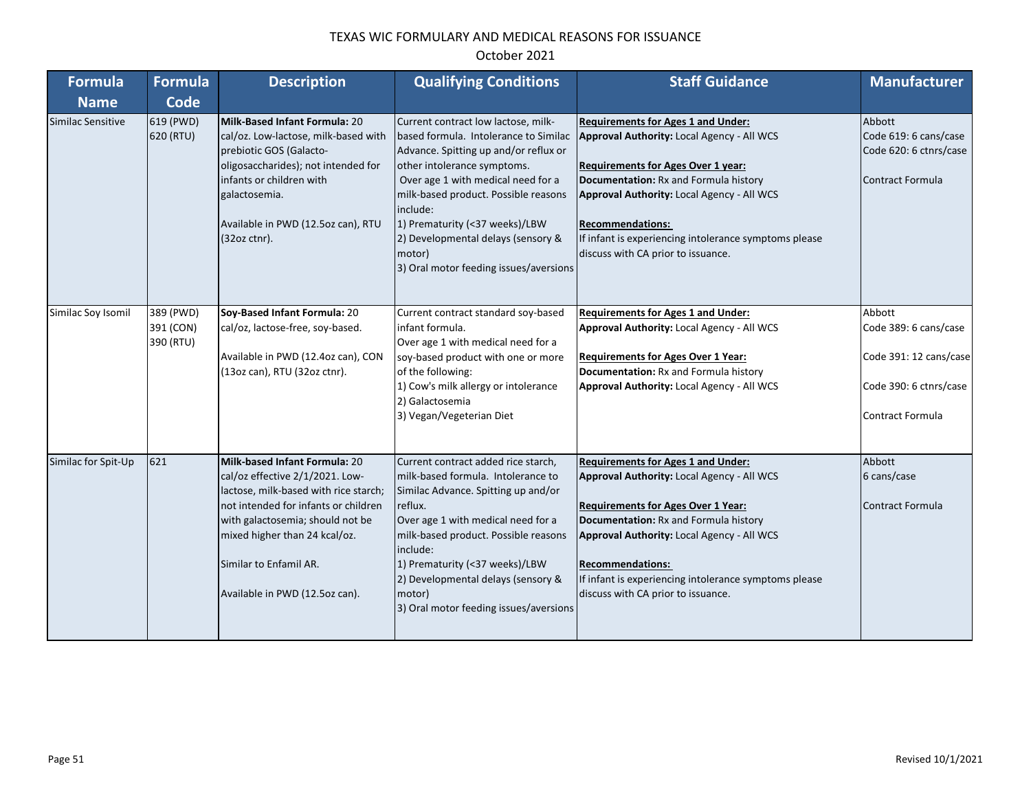| <b>Formula</b>      | <b>Formula</b>                      | <b>Description</b>                                                                                                                                                                                                                                                                        | <b>Qualifying Conditions</b>                                                                                                                                                                                                                                                                                                                                               | <b>Staff Guidance</b>                                                                                                                                                                                                                                                                                                                                 | <b>Manufacturer</b>                                                                                            |
|---------------------|-------------------------------------|-------------------------------------------------------------------------------------------------------------------------------------------------------------------------------------------------------------------------------------------------------------------------------------------|----------------------------------------------------------------------------------------------------------------------------------------------------------------------------------------------------------------------------------------------------------------------------------------------------------------------------------------------------------------------------|-------------------------------------------------------------------------------------------------------------------------------------------------------------------------------------------------------------------------------------------------------------------------------------------------------------------------------------------------------|----------------------------------------------------------------------------------------------------------------|
| <b>Name</b>         | <b>Code</b>                         |                                                                                                                                                                                                                                                                                           |                                                                                                                                                                                                                                                                                                                                                                            |                                                                                                                                                                                                                                                                                                                                                       |                                                                                                                |
| Similac Sensitive   | 619 (PWD)<br>620 (RTU)              | Milk-Based Infant Formula: 20<br>cal/oz. Low-lactose, milk-based with<br>prebiotic GOS (Galacto-<br>oligosaccharides); not intended for<br>infants or children with<br>galactosemia.<br>Available in PWD (12.5oz can), RTU<br>(32oz ctnr).                                                | Current contract low lactose, milk-<br>based formula. Intolerance to Similac<br>Advance. Spitting up and/or reflux or<br>other intolerance symptoms.<br>Over age 1 with medical need for a<br>milk-based product. Possible reasons<br>include:<br>1) Prematurity (<37 weeks)/LBW<br>2) Developmental delays (sensory &<br>motor)<br>3) Oral motor feeding issues/aversions | <b>Requirements for Ages 1 and Under:</b><br>Approval Authority: Local Agency - All WCS<br><b>Requirements for Ages Over 1 year:</b><br>Documentation: Rx and Formula history<br>Approval Authority: Local Agency - All WCS<br><b>Recommendations:</b><br>If infant is experiencing intolerance symptoms please<br>discuss with CA prior to issuance. | Abbott<br>Code 619: 6 cans/case<br>Code 620: 6 ctnrs/case<br>Contract Formula                                  |
| Similac Soy Isomil  | 389 (PWD)<br>391 (CON)<br>390 (RTU) | Soy-Based Infant Formula: 20<br>cal/oz, lactose-free, soy-based.<br>Available in PWD (12.4oz can), CON<br>(13oz can), RTU (32oz ctnr).                                                                                                                                                    | Current contract standard soy-based<br>infant formula.<br>Over age 1 with medical need for a<br>soy-based product with one or more<br>of the following:<br>1) Cow's milk allergy or intolerance<br>2) Galactosemia<br>3) Vegan/Vegeterian Diet                                                                                                                             | <b>Requirements for Ages 1 and Under:</b><br>Approval Authority: Local Agency - All WCS<br><b>Requirements for Ages Over 1 Year:</b><br>Documentation: Rx and Formula history<br>Approval Authority: Local Agency - All WCS                                                                                                                           | Abbott<br>Code 389: 6 cans/case<br>Code 391: 12 cans/case<br>Code 390: 6 ctnrs/case<br><b>Contract Formula</b> |
| Similac for Spit-Up | 621                                 | <b>Milk-based Infant Formula: 20</b><br>cal/oz effective 2/1/2021. Low-<br>lactose, milk-based with rice starch;<br>not intended for infants or children<br>with galactosemia; should not be<br>mixed higher than 24 kcal/oz.<br>Similar to Enfamil AR.<br>Available in PWD (12.5oz can). | Current contract added rice starch,<br>milk-based formula. Intolerance to<br>Similac Advance. Spitting up and/or<br>reflux.<br>Over age 1 with medical need for a<br>milk-based product. Possible reasons<br>include:<br>1) Prematurity (<37 weeks)/LBW<br>2) Developmental delays (sensory &<br>motor)<br>3) Oral motor feeding issues/aversions                          | <b>Requirements for Ages 1 and Under:</b><br>Approval Authority: Local Agency - All WCS<br><b>Requirements for Ages Over 1 Year:</b><br>Documentation: Rx and Formula history<br>Approval Authority: Local Agency - All WCS<br><b>Recommendations:</b><br>If infant is experiencing intolerance symptoms please<br>discuss with CA prior to issuance. | Abbott<br>6 cans/case<br><b>Contract Formula</b>                                                               |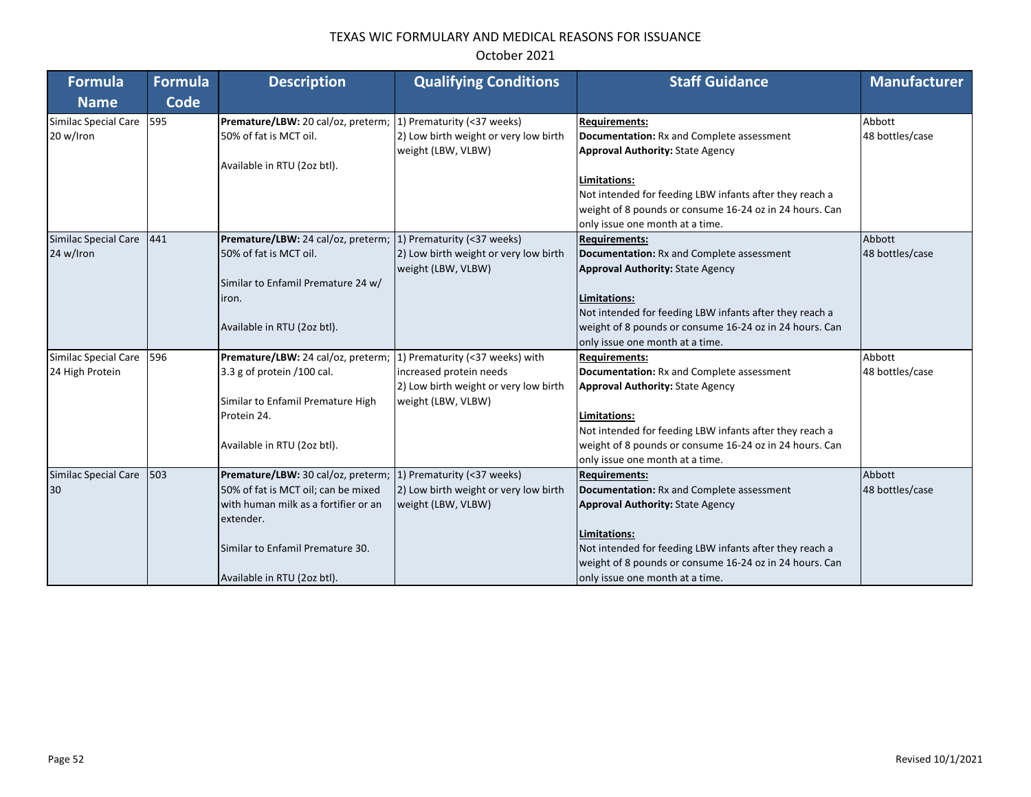| Formula                           | <b>Formula</b> | <b>Description</b>                                            | <b>Qualifying Conditions</b>                                                              | <b>Staff Guidance</b>                                                                                                                                 | <b>Manufacturer</b>       |
|-----------------------------------|----------------|---------------------------------------------------------------|-------------------------------------------------------------------------------------------|-------------------------------------------------------------------------------------------------------------------------------------------------------|---------------------------|
| <b>Name</b>                       | <b>Code</b>    |                                                               |                                                                                           |                                                                                                                                                       |                           |
| Similac Special Care<br>20 w/lron | 595            | Premature/LBW: 20 cal/oz, preterm;<br>50% of fat is MCT oil.  | 1) Prematurity (<37 weeks)<br>2) Low birth weight or very low birth<br>weight (LBW, VLBW) | <b>Requirements:</b><br>Documentation: Rx and Complete assessment<br><b>Approval Authority: State Agency</b>                                          | Abbott<br>48 bottles/case |
|                                   |                | Available in RTU (2oz btl).                                   |                                                                                           | Limitations:                                                                                                                                          |                           |
|                                   |                |                                                               |                                                                                           | Not intended for feeding LBW infants after they reach a<br>weight of 8 pounds or consume 16-24 oz in 24 hours. Can<br>only issue one month at a time. |                           |
| Similac Special Care              | 441            | Premature/LBW: 24 cal/oz, preterm; 1) Prematurity (<37 weeks) |                                                                                           | <b>Requirements:</b>                                                                                                                                  | Abbott                    |
| 24 w/lron                         |                | 50% of fat is MCT oil.                                        | 2) Low birth weight or very low birth<br>weight (LBW, VLBW)                               | Documentation: Rx and Complete assessment<br><b>Approval Authority: State Agency</b>                                                                  | 48 bottles/case           |
|                                   |                | Similar to Enfamil Premature 24 w/                            |                                                                                           |                                                                                                                                                       |                           |
|                                   |                | iron.                                                         |                                                                                           | Limitations:                                                                                                                                          |                           |
|                                   |                |                                                               |                                                                                           | Not intended for feeding LBW infants after they reach a                                                                                               |                           |
|                                   |                | Available in RTU (2oz btl).                                   |                                                                                           | weight of 8 pounds or consume 16-24 oz in 24 hours. Can<br>only issue one month at a time.                                                            |                           |
| Similac Special Care              | 596            | Premature/LBW: 24 cal/oz, preterm;                            | 1) Prematurity (<37 weeks) with                                                           | <b>Requirements:</b>                                                                                                                                  | Abbott                    |
| 24 High Protein                   |                | 3.3 g of protein /100 cal.                                    | increased protein needs<br>2) Low birth weight or very low birth                          | Documentation: Rx and Complete assessment<br><b>Approval Authority: State Agency</b>                                                                  | 48 bottles/case           |
|                                   |                | Similar to Enfamil Premature High                             | weight (LBW, VLBW)                                                                        |                                                                                                                                                       |                           |
|                                   |                | Protein 24.                                                   |                                                                                           | Limitations:                                                                                                                                          |                           |
|                                   |                |                                                               |                                                                                           | Not intended for feeding LBW infants after they reach a                                                                                               |                           |
|                                   |                | Available in RTU (2oz btl).                                   |                                                                                           | weight of 8 pounds or consume 16-24 oz in 24 hours. Can                                                                                               |                           |
|                                   |                |                                                               |                                                                                           | only issue one month at a time.                                                                                                                       |                           |
| Similac Special Care              | 503            | Premature/LBW: 30 cal/oz, preterm;                            | 1) Prematurity (<37 weeks)                                                                | <b>Requirements:</b>                                                                                                                                  | Abbott                    |
| 30                                |                | 50% of fat is MCT oil; can be mixed                           | 2) Low birth weight or very low birth                                                     | Documentation: Rx and Complete assessment                                                                                                             | 48 bottles/case           |
|                                   |                | with human milk as a fortifier or an<br>extender.             | weight (LBW, VLBW)                                                                        | <b>Approval Authority: State Agency</b>                                                                                                               |                           |
|                                   |                |                                                               |                                                                                           | Limitations:                                                                                                                                          |                           |
|                                   |                | Similar to Enfamil Premature 30.                              |                                                                                           | Not intended for feeding LBW infants after they reach a                                                                                               |                           |
|                                   |                |                                                               |                                                                                           | weight of 8 pounds or consume 16-24 oz in 24 hours. Can                                                                                               |                           |
|                                   |                | Available in RTU (2oz btl).                                   |                                                                                           | only issue one month at a time.                                                                                                                       |                           |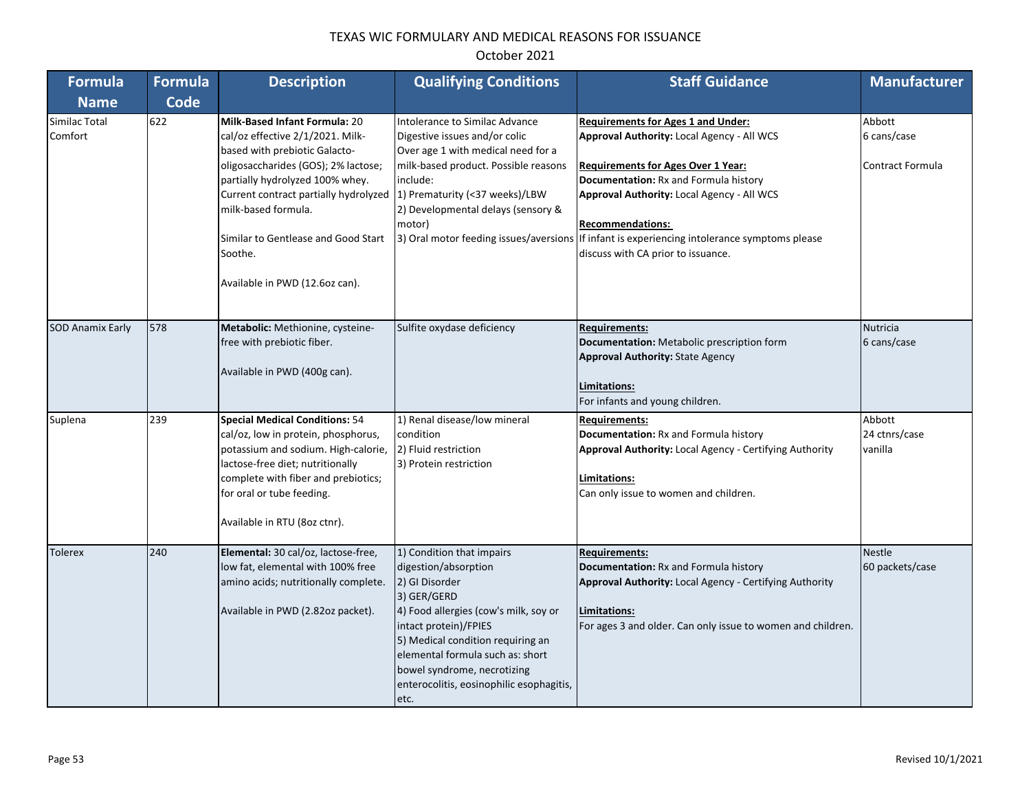| <b>Formula</b>           | <b>Formula</b> | <b>Description</b>                                                                                                                                                                                                                                                                                                                      | <b>Qualifying Conditions</b>                                                                                                                                                                                                                                                                                     | <b>Staff Guidance</b>                                                                                                                                                                                                                                                                                                                                                                               | <b>Manufacturer</b>                              |
|--------------------------|----------------|-----------------------------------------------------------------------------------------------------------------------------------------------------------------------------------------------------------------------------------------------------------------------------------------------------------------------------------------|------------------------------------------------------------------------------------------------------------------------------------------------------------------------------------------------------------------------------------------------------------------------------------------------------------------|-----------------------------------------------------------------------------------------------------------------------------------------------------------------------------------------------------------------------------------------------------------------------------------------------------------------------------------------------------------------------------------------------------|--------------------------------------------------|
| <b>Name</b>              | <b>Code</b>    |                                                                                                                                                                                                                                                                                                                                         |                                                                                                                                                                                                                                                                                                                  |                                                                                                                                                                                                                                                                                                                                                                                                     |                                                  |
| Similac Total<br>Comfort | 622            | <b>Milk-Based Infant Formula: 20</b><br>cal/oz effective 2/1/2021. Milk-<br>based with prebiotic Galacto-<br>oligosaccharides (GOS); 2% lactose;<br>partially hydrolyzed 100% whey.<br>Current contract partially hydrolyzed<br>milk-based formula.<br>Similar to Gentlease and Good Start<br>Soothe.<br>Available in PWD (12.6oz can). | Intolerance to Similac Advance<br>Digestive issues and/or colic<br>Over age 1 with medical need for a<br>milk-based product. Possible reasons<br>include:<br>1) Prematurity (<37 weeks)/LBW<br>2) Developmental delays (sensory &<br>motor)                                                                      | <b>Requirements for Ages 1 and Under:</b><br>Approval Authority: Local Agency - All WCS<br><b>Requirements for Ages Over 1 Year:</b><br>Documentation: Rx and Formula history<br><b>Approval Authority: Local Agency - All WCS</b><br><b>Recommendations:</b><br>3) Oral motor feeding issues/aversions If infant is experiencing intolerance symptoms please<br>discuss with CA prior to issuance. | Abbott<br>6 cans/case<br><b>Contract Formula</b> |
| <b>SOD Anamix Early</b>  | 578            | Metabolic: Methionine, cysteine-<br>free with prebiotic fiber.<br>Available in PWD (400g can).                                                                                                                                                                                                                                          | Sulfite oxydase deficiency                                                                                                                                                                                                                                                                                       | <b>Requirements:</b><br>Documentation: Metabolic prescription form<br><b>Approval Authority: State Agency</b><br>Limitations:<br>For infants and young children.                                                                                                                                                                                                                                    | <b>Nutricia</b><br>6 cans/case                   |
| Suplena                  | 239            | <b>Special Medical Conditions: 54</b><br>cal/oz, low in protein, phosphorus,<br>potassium and sodium. High-calorie,<br>lactose-free diet; nutritionally<br>complete with fiber and prebiotics;<br>for oral or tube feeding.<br>Available in RTU (8oz ctnr).                                                                             | 1) Renal disease/low mineral<br>condition<br>2) Fluid restriction<br>3) Protein restriction                                                                                                                                                                                                                      | <b>Requirements:</b><br>Documentation: Rx and Formula history<br>Approval Authority: Local Agency - Certifying Authority<br>Limitations:<br>Can only issue to women and children.                                                                                                                                                                                                                   | Abbott<br>24 ctnrs/case<br>vanilla               |
| <b>Tolerex</b>           | 240            | Elemental: 30 cal/oz, lactose-free,<br>low fat, elemental with 100% free<br>amino acids; nutritionally complete.<br>Available in PWD (2.82oz packet).                                                                                                                                                                                   | 1) Condition that impairs<br>digestion/absorption<br>2) GI Disorder<br>3) GER/GERD<br>4) Food allergies (cow's milk, soy or<br>intact protein)/FPIES<br>5) Medical condition requiring an<br>elemental formula such as: short<br>bowel syndrome, necrotizing<br>enterocolitis, eosinophilic esophagitis,<br>etc. | <b>Requirements:</b><br>Documentation: Rx and Formula history<br>Approval Authority: Local Agency - Certifying Authority<br>Limitations:<br>For ages 3 and older. Can only issue to women and children.                                                                                                                                                                                             | <b>Nestle</b><br>60 packets/case                 |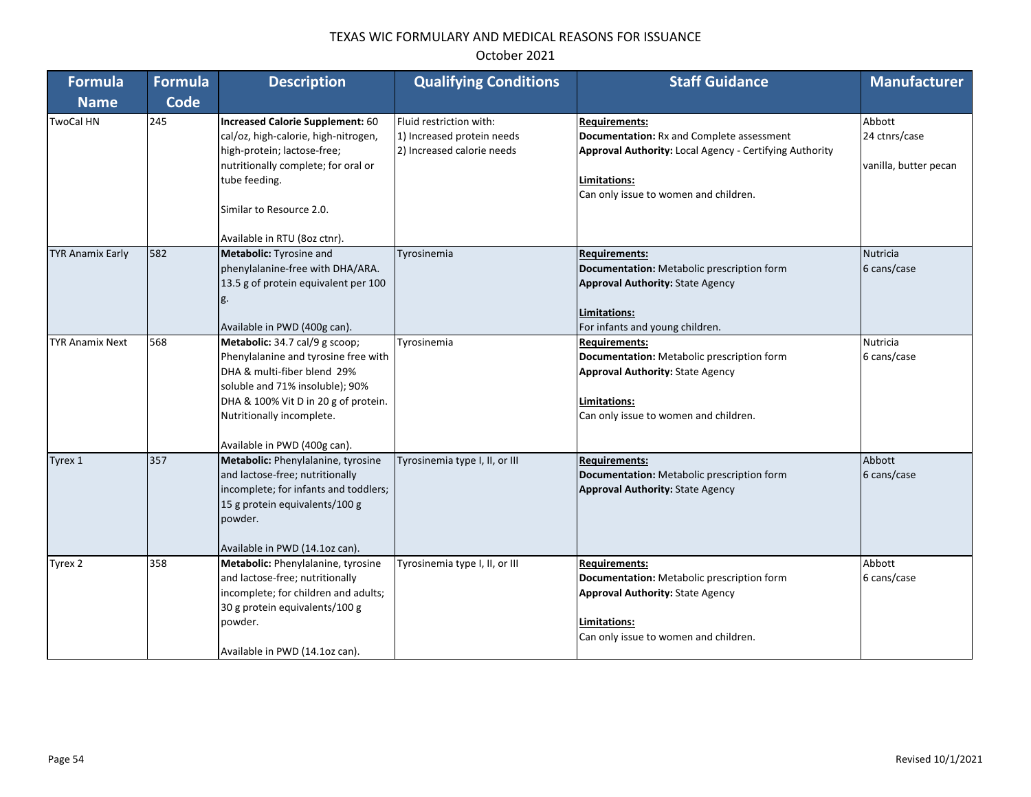| <b>Formula</b>          | <b>Formula</b> | <b>Description</b>                                                                                                                                                                                                                            | <b>Qualifying Conditions</b>                                                        | <b>Staff Guidance</b>                                                                                                                                                                        | <b>Manufacturer</b>                              |
|-------------------------|----------------|-----------------------------------------------------------------------------------------------------------------------------------------------------------------------------------------------------------------------------------------------|-------------------------------------------------------------------------------------|----------------------------------------------------------------------------------------------------------------------------------------------------------------------------------------------|--------------------------------------------------|
| <b>Name</b>             | Code           |                                                                                                                                                                                                                                               |                                                                                     |                                                                                                                                                                                              |                                                  |
| <b>TwoCal HN</b>        | 245            | Increased Calorie Supplement: 60<br>cal/oz, high-calorie, high-nitrogen,<br>high-protein; lactose-free;<br>nutritionally complete; for oral or<br>tube feeding.<br>Similar to Resource 2.0.                                                   | Fluid restriction with:<br>1) Increased protein needs<br>2) Increased calorie needs | <b>Requirements:</b><br>Documentation: Rx and Complete assessment<br><b>Approval Authority: Local Agency - Certifying Authority</b><br>Limitations:<br>Can only issue to women and children. | Abbott<br>24 ctnrs/case<br>vanilla, butter pecan |
| <b>TYR Anamix Early</b> | 582            | Available in RTU (8oz ctnr).<br>Metabolic: Tyrosine and<br>phenylalanine-free with DHA/ARA.<br>13.5 g of protein equivalent per 100<br>g.<br>Available in PWD (400g can).                                                                     | Tyrosinemia                                                                         | <b>Requirements:</b><br>Documentation: Metabolic prescription form<br><b>Approval Authority: State Agency</b><br>Limitations:<br>For infants and young children.                             | <b>Nutricia</b><br>6 cans/case                   |
| TYR Anamix Next         | 568            | Metabolic: 34.7 cal/9 g scoop;<br>Phenylalanine and tyrosine free with<br>DHA & multi-fiber blend 29%<br>soluble and 71% insoluble); 90%<br>DHA & 100% Vit D in 20 g of protein.<br>Nutritionally incomplete.<br>Available in PWD (400g can). | Tyrosinemia                                                                         | <b>Requirements:</b><br>Documentation: Metabolic prescription form<br><b>Approval Authority: State Agency</b><br>Limitations:<br>Can only issue to women and children.                       | Nutricia<br>6 cans/case                          |
| Tyrex 1                 | 357            | Metabolic: Phenylalanine, tyrosine<br>and lactose-free; nutritionally<br>incomplete; for infants and toddlers;<br>15 g protein equivalents/100 g<br>powder.<br>Available in PWD (14.1oz can).                                                 | Tyrosinemia type I, II, or III                                                      | <b>Requirements:</b><br>Documentation: Metabolic prescription form<br><b>Approval Authority: State Agency</b>                                                                                | Abbott<br>6 cans/case                            |
| Tyrex 2                 | 358            | Metabolic: Phenylalanine, tyrosine<br>and lactose-free; nutritionally<br>incomplete; for children and adults;<br>30 g protein equivalents/100 g<br>powder.<br>Available in PWD (14.1oz can).                                                  | Tyrosinemia type I, II, or III                                                      | <b>Requirements:</b><br>Documentation: Metabolic prescription form<br><b>Approval Authority: State Agency</b><br>Limitations:<br>Can only issue to women and children.                       | Abbott<br>6 cans/case                            |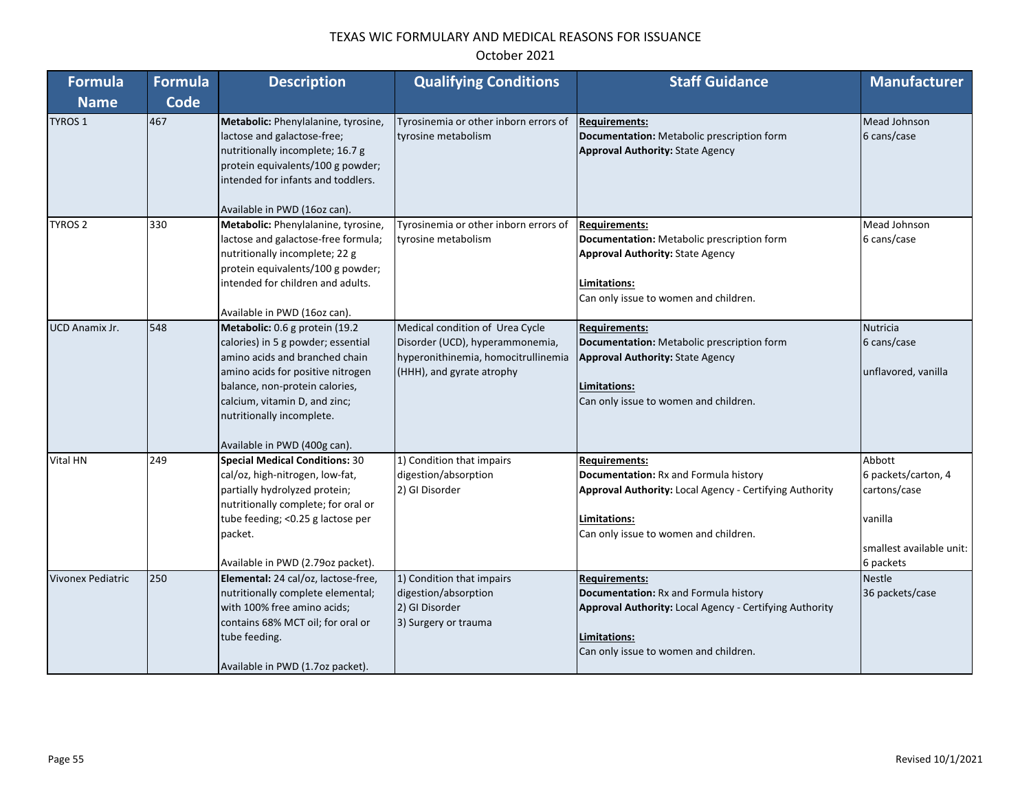| October 2021 |  |
|--------------|--|
|--------------|--|

| <b>Formula</b>           | <b>Formula</b> | <b>Description</b>                                                                                                                                                                                                                                                          | <b>Qualifying Conditions</b>                                                                                                           | <b>Staff Guidance</b>                                                                                                                                                                    | <b>Manufacturer</b>                                                                               |
|--------------------------|----------------|-----------------------------------------------------------------------------------------------------------------------------------------------------------------------------------------------------------------------------------------------------------------------------|----------------------------------------------------------------------------------------------------------------------------------------|------------------------------------------------------------------------------------------------------------------------------------------------------------------------------------------|---------------------------------------------------------------------------------------------------|
| <b>Name</b>              | Code           |                                                                                                                                                                                                                                                                             |                                                                                                                                        |                                                                                                                                                                                          |                                                                                                   |
| <b>TYROS 1</b>           | 467            | Metabolic: Phenylalanine, tyrosine,<br>lactose and galactose-free;<br>nutritionally incomplete; 16.7 g<br>protein equivalents/100 g powder;<br>intended for infants and toddlers.<br>Available in PWD (16oz can).                                                           | Tyrosinemia or other inborn errors of<br>tyrosine metabolism                                                                           | <b>Requirements:</b><br>Documentation: Metabolic prescription form<br><b>Approval Authority: State Agency</b>                                                                            | Mead Johnson<br>6 cans/case                                                                       |
| <b>TYROS 2</b>           | 330            | Metabolic: Phenylalanine, tyrosine,<br>lactose and galactose-free formula;<br>nutritionally incomplete; 22 g<br>protein equivalents/100 g powder;<br>intended for children and adults.<br>Available in PWD (16oz can).                                                      | Tyrosinemia or other inborn errors of<br>tyrosine metabolism                                                                           | <b>Requirements:</b><br>Documentation: Metabolic prescription form<br><b>Approval Authority: State Agency</b><br>Limitations:<br>Can only issue to women and children.                   | Mead Johnson<br>6 cans/case                                                                       |
| UCD Anamix Jr.           | 548            | Metabolic: 0.6 g protein (19.2<br>calories) in 5 g powder; essential<br>amino acids and branched chain<br>amino acids for positive nitrogen<br>balance, non-protein calories,<br>calcium, vitamin D, and zinc;<br>nutritionally incomplete.<br>Available in PWD (400g can). | Medical condition of Urea Cycle<br>Disorder (UCD), hyperammonemia,<br>hyperonithinemia, homocitrullinemia<br>(HHH), and gyrate atrophy | <b>Requirements:</b><br>Documentation: Metabolic prescription form<br><b>Approval Authority: State Agency</b><br>Limitations:<br>Can only issue to women and children.                   | Nutricia<br>6 cans/case<br>unflavored, vanilla                                                    |
| Vital HN                 | 249            | <b>Special Medical Conditions: 30</b><br>cal/oz, high-nitrogen, low-fat,<br>partially hydrolyzed protein;<br>nutritionally complete; for oral or<br>tube feeding; < 0.25 g lactose per<br>packet.<br>Available in PWD (2.79oz packet).                                      | 1) Condition that impairs<br>digestion/absorption<br>2) GI Disorder                                                                    | <b>Requirements:</b><br>Documentation: Rx and Formula history<br>Approval Authority: Local Agency - Certifying Authority<br>Limitations:<br>Can only issue to women and children.        | Abbott<br>6 packets/carton, 4<br>cartons/case<br>vanilla<br>smallest available unit:<br>6 packets |
| <b>Vivonex Pediatric</b> | 250            | Elemental: 24 cal/oz, lactose-free,<br>nutritionally complete elemental;<br>with 100% free amino acids;<br>contains 68% MCT oil; for oral or<br>tube feeding.<br>Available in PWD (1.7oz packet).                                                                           | 1) Condition that impairs<br>digestion/absorption<br>2) GI Disorder<br>3) Surgery or trauma                                            | <b>Requirements:</b><br>Documentation: Rx and Formula history<br><b>Approval Authority: Local Agency - Certifying Authority</b><br>Limitations:<br>Can only issue to women and children. | <b>Nestle</b><br>36 packets/case                                                                  |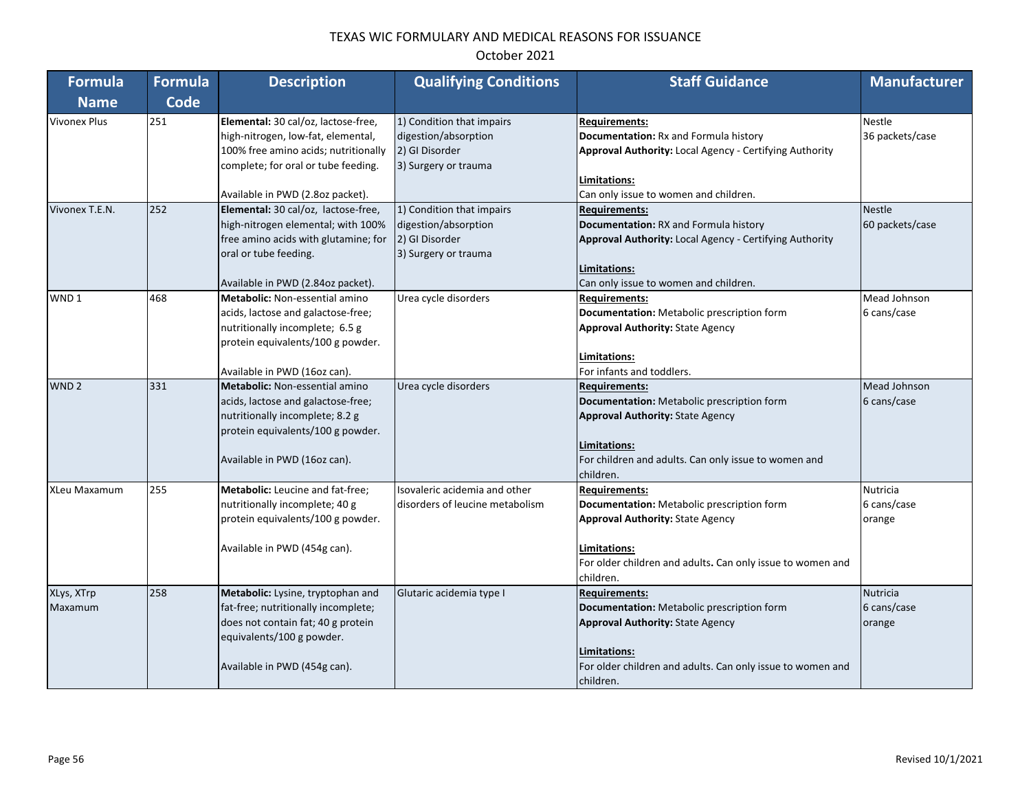| <b>Formula</b>      | <b>Formula</b> | <b>Description</b>                    | <b>Qualifying Conditions</b>    | <b>Staff Guidance</b>                                      | <b>Manufacturer</b> |
|---------------------|----------------|---------------------------------------|---------------------------------|------------------------------------------------------------|---------------------|
| <b>Name</b>         | <b>Code</b>    |                                       |                                 |                                                            |                     |
| <b>Vivonex Plus</b> | 251            | Elemental: 30 cal/oz, lactose-free,   | 1) Condition that impairs       | <b>Requirements:</b>                                       | <b>Nestle</b>       |
|                     |                | high-nitrogen, low-fat, elemental,    | digestion/absorption            | Documentation: Rx and Formula history                      | 36 packets/case     |
|                     |                | 100% free amino acids; nutritionally  | 2) GI Disorder                  | Approval Authority: Local Agency - Certifying Authority    |                     |
|                     |                | complete; for oral or tube feeding.   | 3) Surgery or trauma            |                                                            |                     |
|                     |                |                                       |                                 | Limitations:                                               |                     |
|                     |                | Available in PWD (2.8oz packet).      |                                 | Can only issue to women and children.                      |                     |
| Vivonex T.E.N.      | 252            | Elemental: 30 cal/oz, lactose-free,   | 1) Condition that impairs       | <b>Requirements:</b>                                       | <b>Nestle</b>       |
|                     |                | high-nitrogen elemental; with 100%    | digestion/absorption            | Documentation: RX and Formula history                      | 60 packets/case     |
|                     |                | free amino acids with glutamine; for  | 2) GI Disorder                  | Approval Authority: Local Agency - Certifying Authority    |                     |
|                     |                | oral or tube feeding.                 | 3) Surgery or trauma            |                                                            |                     |
|                     |                |                                       |                                 | Limitations:                                               |                     |
|                     |                | Available in PWD (2.84oz packet).     |                                 | Can only issue to women and children.                      |                     |
| WND <sub>1</sub>    | 468            | <b>Metabolic: Non-essential amino</b> | Urea cycle disorders            | <b>Requirements:</b>                                       | Mead Johnson        |
|                     |                | acids, lactose and galactose-free;    |                                 | Documentation: Metabolic prescription form                 | 6 cans/case         |
|                     |                | nutritionally incomplete; 6.5 g       |                                 | <b>Approval Authority: State Agency</b>                    |                     |
|                     |                | protein equivalents/100 g powder.     |                                 |                                                            |                     |
|                     |                |                                       |                                 | Limitations:                                               |                     |
|                     |                | Available in PWD (16oz can).          |                                 | For infants and toddlers.                                  |                     |
| WND <sub>2</sub>    | 331            | Metabolic: Non-essential amino        | Urea cycle disorders            | <b>Requirements:</b>                                       | Mead Johnson        |
|                     |                | acids, lactose and galactose-free;    |                                 | Documentation: Metabolic prescription form                 | 6 cans/case         |
|                     |                | nutritionally incomplete; 8.2 g       |                                 | <b>Approval Authority: State Agency</b>                    |                     |
|                     |                | protein equivalents/100 g powder.     |                                 |                                                            |                     |
|                     |                |                                       |                                 | Limitations:                                               |                     |
|                     |                | Available in PWD (16oz can).          |                                 | For children and adults. Can only issue to women and       |                     |
|                     |                |                                       |                                 | children.                                                  |                     |
| <b>XLeu Maxamum</b> | 255            | Metabolic: Leucine and fat-free;      | Isovaleric acidemia and other   | <b>Requirements:</b>                                       | <b>Nutricia</b>     |
|                     |                | nutritionally incomplete; 40 g        | disorders of leucine metabolism | Documentation: Metabolic prescription form                 | 6 cans/case         |
|                     |                | protein equivalents/100 g powder.     |                                 | <b>Approval Authority: State Agency</b>                    | orange              |
|                     |                |                                       |                                 |                                                            |                     |
|                     |                | Available in PWD (454g can).          |                                 | Limitations:                                               |                     |
|                     |                |                                       |                                 | For older children and adults. Can only issue to women and |                     |
|                     |                |                                       |                                 | children.                                                  |                     |
| XLys, XTrp          | 258            | Metabolic: Lysine, tryptophan and     | Glutaric acidemia type I        | <b>Requirements:</b>                                       | Nutricia            |
| Maxamum             |                | fat-free; nutritionally incomplete;   |                                 | Documentation: Metabolic prescription form                 | 6 cans/case         |
|                     |                | does not contain fat; 40 g protein    |                                 | <b>Approval Authority: State Agency</b>                    | orange              |
|                     |                | equivalents/100 g powder.             |                                 |                                                            |                     |
|                     |                |                                       |                                 | Limitations:                                               |                     |
|                     |                | Available in PWD (454g can).          |                                 | For older children and adults. Can only issue to women and |                     |
|                     |                |                                       |                                 | children.                                                  |                     |